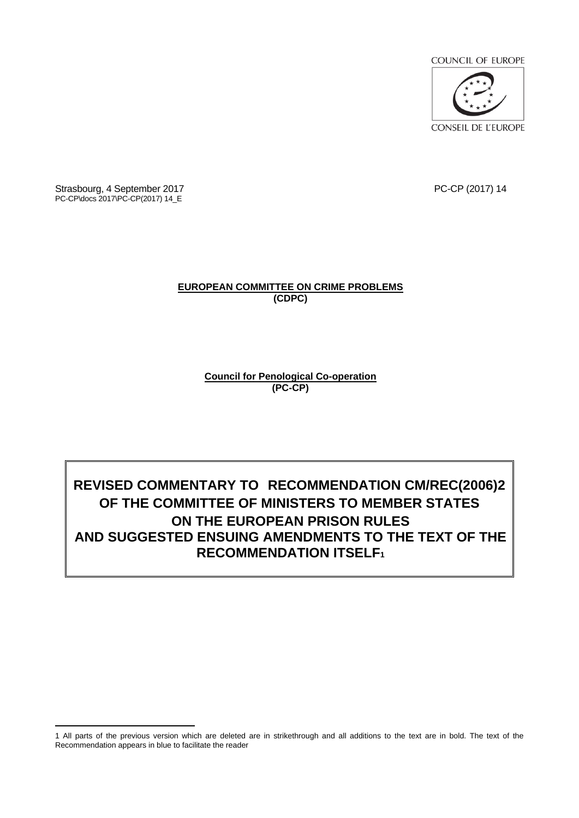**COUNCIL OF EUROPE** CONSEIL DE L'EUROPE

Strasbourg, 4 September 2017 **PC-CP (2017)** 14 PC-CP\docs 2017\PC-CP(2017) 14\_E

# **EUROPEAN COMMITTEE ON CRIME PROBLEMS (CDPC)**

**Council for Penological Co-operation (PC-CP)**

# **REVISED COMMENTARY TO RECOMMENDATION CM/[REC\(2006\)2](https://search.coe.int/cm/Pages/result_details.aspx?Reference=Rec(2006)2)  OF THE COMMITTEE OF MINISTERS TO MEMBER STATES ON THE EUROPEAN PRISON RULES AND SUGGESTED ENSUING AMENDMENTS TO THE TEXT OF THE RECOMMENDATION ITSELF<sup>1</sup>**

<sup>1</sup> All parts of the previous version which are deleted are in strikethrough and all additions to the text are in bold. The text of the Recommendation appears in blue to facilitate the reader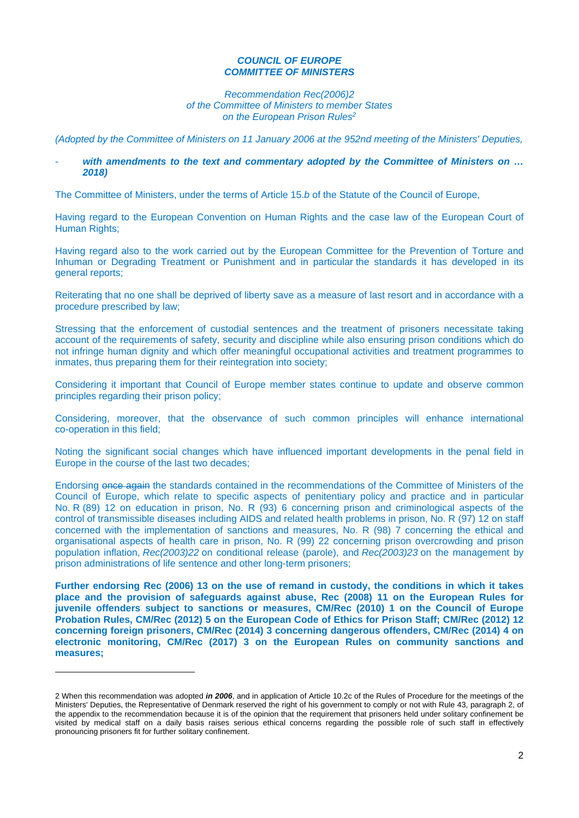## *COUNCIL OF EUROPE COMMITTEE OF MINISTERS*

## *Recommendation [Rec\(2006\)2](https://search.coe.int/cm/Pages/result_details.aspx?Reference=Rec(2006)2) of the Committee of Ministers to member States on the European Prison Rules<sup>2</sup>*

*(Adopted by the Committee of Ministers on 11 January 2006 at the 952nd meeting of the Ministers' Deputies,* 

## - *with amendments to the text and commentary adopted by the Committee of Ministers on … 2018)*

The Committee of Ministers, under the terms of Article 15.*b* of the Statute of the Council of Europe,

Having regard to the European Convention on Human Rights and the case law of the European Court of Human Rights;

Having regard also to the work carried out by the European Committee for the Prevention of Torture and Inhuman or Degrading Treatment or Punishment and in particular the standards it has developed in its general reports;

Reiterating that no one shall be deprived of liberty save as a measure of last resort and in accordance with a procedure prescribed by law;

Stressing that the enforcement of custodial sentences and the treatment of prisoners necessitate taking account of the requirements of safety, security and discipline while also ensuring prison conditions which do not infringe human dignity and which offer meaningful occupational activities and treatment programmes to inmates, thus preparing them for their reintegration into society;

Considering it important that Council of Europe member states continue to update and observe common principles regarding their prison policy;

Considering, moreover, that the observance of such common principles will enhance international co-operation in this field;

Noting the significant social changes which have influenced important developments in the penal field in Europe in the course of the last two decades;

Endorsing once again the standards contained in the recommendations of the Committee of Ministers of the Council of Europe, which relate to specific aspects of penitentiary policy and practice and in particular No. R (89) 12 on education in prison, No. R (93) 6 concerning prison and criminological aspects of the control of transmissible diseases including AIDS and related health problems in prison, No. R (97) 12 on staff concerned with the implementation of sanctions and measures, No. R (98) 7 concerning the ethical and organisational aspects of health care in prison, No. R (99) 22 concerning prison overcrowding and prison population inflation, *[Rec\(2003\)22](https://search.coe.int/cm/Pages/result_details.aspx?Reference=Rec(2003)22)* on conditional release (parole), and *[Rec\(2003\)23](https://search.coe.int/cm/Pages/result_details.aspx?Reference=Rec(2003)23)* on the management by prison administrations of life sentence and other long-term prisoners;

**Further endorsing Rec (2006) 13 on the use of remand in custody, the conditions in which it takes place and the provision of safeguards against abuse, Rec (2008) 11 on the European Rules for juvenile offenders subject to sanctions or measures, CM/Rec (2010) 1 on the Council of Europe Probation Rules, CM/Rec (2012) 5 on the European Code of Ethics for Prison Staff; CM/Rec (2012) 12 concerning foreign prisoners, CM/Rec (2014) 3 concerning dangerous offenders, CM/Rec (2014) 4 on electronic monitoring, CM/Rec (2017) 3 on the European Rules on community sanctions and measures;**

<sup>2</sup> When this recommendation was adopted *in 2006*, and in application of Article 10.2c of the Rules of Procedure for the meetings of the Ministers' Deputies, the Representative of Denmark reserved the right of his government to comply or not with Rule 43, paragraph 2, of the appendix to the recommendation because it is of the opinion that the requirement that prisoners held under solitary confinement be visited by medical staff on a daily basis raises serious ethical concerns regarding the possible role of such staff in effectively pronouncing prisoners fit for further solitary confinement.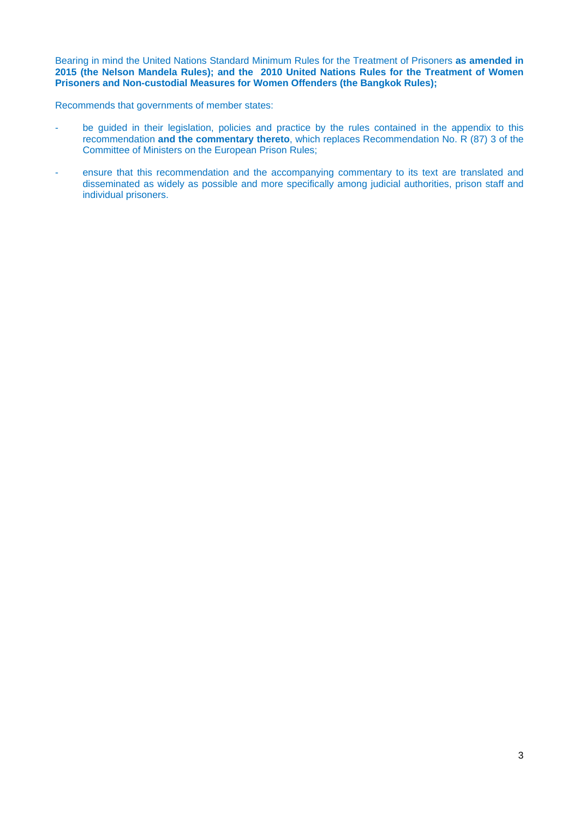Bearing in mind the United Nations Standard Minimum Rules for the Treatment of Prisoners **as amended in 2015 (the Nelson Mandela Rules); and the 2010 United Nations Rules for the Treatment of Women Prisoners and Non-custodial Measures for Women Offenders (the Bangkok Rules);**

Recommends that governments of member states:

- be quided in their legislation, policies and practice by the rules contained in the appendix to this recommendation **and the commentary thereto**, which replaces Recommendation No. R (87) 3 of the Committee of Ministers on the European Prison Rules;
- ensure that this recommendation and the accompanying commentary to its text are translated and disseminated as widely as possible and more specifically among judicial authorities, prison staff and individual prisoners.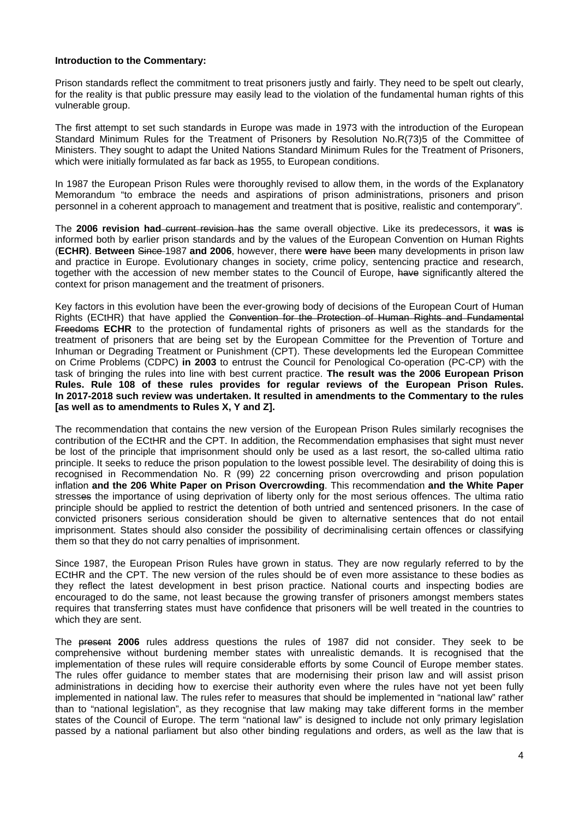## **Introduction to the Commentary:**

Prison standards reflect the commitment to treat prisoners justly and fairly. They need to be spelt out clearly, for the reality is that public pressure may easily lead to the violation of the fundamental human rights of this vulnerable group.

The first attempt to set such standards in Europe was made in 1973 with the introduction of the European Standard Minimum Rules for the Treatment of Prisoners by Resolution No.R(73)5 of the Committee of Ministers. They sought to adapt the United Nations Standard Minimum Rules for the Treatment of Prisoners, which were initially formulated as far back as 1955, to European conditions.

In 1987 the European Prison Rules were thoroughly revised to allow them, in the words of the Explanatory Memorandum "to embrace the needs and aspirations of prison administrations, prisoners and prison personnel in a coherent approach to management and treatment that is positive, realistic and contemporary".

The **2006 revision had** current revision has the same overall objective. Like its predecessors, it **was** is informed both by earlier prison standards and by the values of the European Convention on Human Rights (**ECHR)**. **Between** Since 1987 **and 2006**, however, there **were** have been many developments in prison law and practice in Europe. Evolutionary changes in society, crime policy, sentencing practice and research, together with the accession of new member states to the Council of Europe, have significantly altered the context for prison management and the treatment of prisoners.

Key factors in this evolution have been the ever-growing body of decisions of the European Court of Human Rights (ECtHR) that have applied the Convention for the Protection of Human Rights and Fundamental Freedoms **ECHR** to the protection of fundamental rights of prisoners as well as the standards for the treatment of prisoners that are being set by the European Committee for the Prevention of Torture and Inhuman or Degrading Treatment or Punishment (CPT). These developments led the European Committee on Crime Problems (CDPC) **in 2003** to entrust the Council for Penological Co-operation (PC-CP) with the task of bringing the rules into line with best current practice. **The result was the 2006 European Prison Rules. Rule 108 of these rules provides for regular reviews of the European Prison Rules. In 2017-2018 such review was undertaken. It resulted in amendments to the Commentary to the rules [as well as to amendments to Rules X, Y and Z].**

The recommendation that contains the new version of the European Prison Rules similarly recognises the contribution of the ECtHR and the CPT. In addition, the Recommendation emphasises that sight must never be lost of the principle that imprisonment should only be used as a last resort, the so-called ultima ratio principle. It seeks to reduce the prison population to the lowest possible level. The desirability of doing this is recognised in Recommendation No. R (99) 22 concerning prison overcrowding and prison population inflation **and the 206 White Paper on Prison Overcrowding**. This recommendation **and the White Paper**  stresses the importance of using deprivation of liberty only for the most serious offences. The ultima ratio principle should be applied to restrict the detention of both untried and sentenced prisoners. In the case of convicted prisoners serious consideration should be given to alternative sentences that do not entail imprisonment. States should also consider the possibility of decriminalising certain offences or classifying them so that they do not carry penalties of imprisonment.

Since 1987, the European Prison Rules have grown in status. They are now regularly referred to by the ECtHR and the CPT. The new version of the rules should be of even more assistance to these bodies as they reflect the latest development in best prison practice. National courts and inspecting bodies are encouraged to do the same, not least because the growing transfer of prisoners amongst members states requires that transferring states must have confidence that prisoners will be well treated in the countries to which they are sent.

The present **2006** rules address questions the rules of 1987 did not consider. They seek to be comprehensive without burdening member states with unrealistic demands. It is recognised that the implementation of these rules will require considerable efforts by some Council of Europe member states. The rules offer guidance to member states that are modernising their prison law and will assist prison administrations in deciding how to exercise their authority even where the rules have not yet been fully implemented in national law. The rules refer to measures that should be implemented in "national law" rather than to "national legislation", as they recognise that law making may take different forms in the member states of the Council of Europe. The term "national law" is designed to include not only primary legislation passed by a national parliament but also other binding regulations and orders, as well as the law that is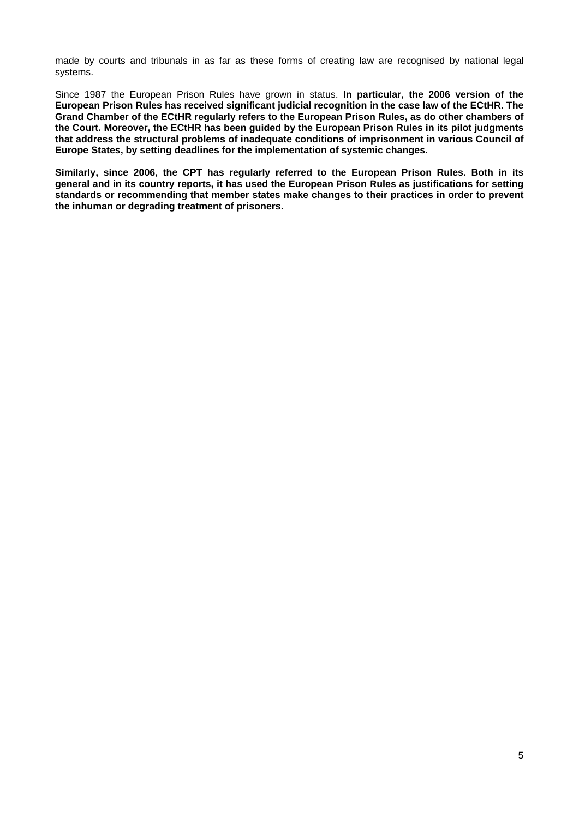made by courts and tribunals in as far as these forms of creating law are recognised by national legal systems.

Since 1987 the European Prison Rules have grown in status. **In particular, the 2006 version of the European Prison Rules has received significant judicial recognition in the case law of the ECtHR. The Grand Chamber of the ECtHR regularly refers to the European Prison Rules, as do other chambers of the Court. Moreover, the ECtHR has been guided by the European Prison Rules in its pilot judgments that address the structural problems of inadequate conditions of imprisonment in various Council of Europe States, by setting deadlines for the implementation of systemic changes.**

**Similarly, since 2006, the CPT has regularly referred to the European Prison Rules. Both in its general and in its country reports, it has used the European Prison Rules as justifications for setting standards or recommending that member states make changes to their practices in order to prevent the inhuman or degrading treatment of prisoners.**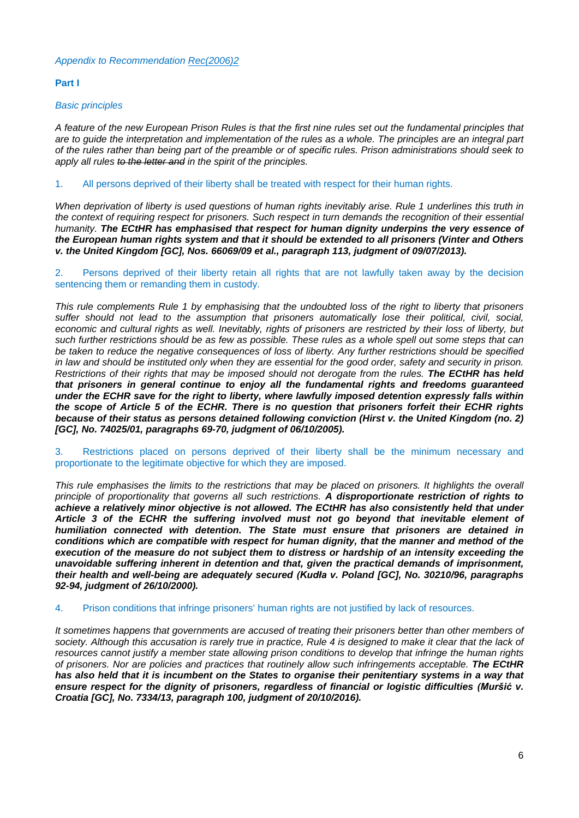## *Appendix to Recommendation [Rec\(2006\)2](https://search.coe.int/cm/Pages/result_details.aspx?Reference=Rec(2006)2)*

# **Part I**

# *Basic principles*

*A feature of the new European Prison Rules is that the first nine rules set out the fundamental principles that are to guide the interpretation and implementation of the rules as a whole. The principles are an integral part of the rules rather than being part of the preamble or of specific rules. Prison administrations should seek to apply all rules to the letter and in the spirit of the principles.*

1. All persons deprived of their liberty shall be treated with respect for their human rights.

*When deprivation of liberty is used questions of human rights inevitably arise. Rule 1 underlines this truth in the context of requiring respect for prisoners. Such respect in turn demands the recognition of their essential humanity. The ECtHR has emphasised that respect for human dignity underpins the very essence of the European human rights system and that it should be extended to all prisoners (Vinter and Others v. the United Kingdom [GC], Nos. 66069/09 et al., paragraph 113, judgment of 09/07/2013).*

2. Persons deprived of their liberty retain all rights that are not lawfully taken away by the decision sentencing them or remanding them in custody.

*This rule complements Rule 1 by emphasising that the undoubted loss of the right to liberty that prisoners suffer should not lead to the assumption that prisoners automatically lose their political, civil, social, economic and cultural rights as well. Inevitably, rights of prisoners are restricted by their loss of liberty, but such further restrictions should be as few as possible. These rules as a whole spell out some steps that can be taken to reduce the negative consequences of loss of liberty. Any further restrictions should be specified in law and should be instituted only when they are essential for the good order, safety and security in prison. Restrictions of their rights that may be imposed should not derogate from the rules. The ECtHR has held that prisoners in general continue to enjoy all the fundamental rights and freedoms guaranteed under the ECHR save for the right to liberty, where lawfully imposed detention expressly falls within the scope of Article 5 of the ECHR. There is no question that prisoners forfeit their ECHR rights because of their status as persons detained following conviction (Hirst v. the United Kingdom (no. 2) [GC], No. 74025/01, paragraphs 69-70, judgment of 06/10/2005).*

3. Restrictions placed on persons deprived of their liberty shall be the minimum necessary and proportionate to the legitimate objective for which they are imposed.

*This rule emphasises the limits to the restrictions that may be placed on prisoners. It highlights the overall principle of proportionality that governs all such restrictions. A disproportionate restriction of rights to achieve a relatively minor objective is not allowed. The ECtHR has also consistently held that under Article 3 of the ECHR the suffering involved must not go beyond that inevitable element of humiliation connected with detention. The State must ensure that prisoners are detained in conditions which are compatible with respect for human dignity, that the manner and method of the execution of the measure do not subject them to distress or hardship of an intensity exceeding the unavoidable suffering inherent in detention and that, given the practical demands of imprisonment, their health and well-being are adequately secured (Kudła v. Poland [GC], No. 30210/96, paragraphs 92-94, judgment of 26/10/2000).* 

## 4. Prison conditions that infringe prisoners' human rights are not justified by lack of resources.

*It sometimes happens that governments are accused of treating their prisoners better than other members of society. Although this accusation is rarely true in practice, Rule 4 is designed to make it clear that the lack of resources cannot justify a member state allowing prison conditions to develop that infringe the human rights of prisoners. Nor are policies and practices that routinely allow such infringements acceptable. The ECtHR has also held that it is incumbent on the States to organise their penitentiary systems in a way that ensure respect for the dignity of prisoners, regardless of financial or logistic difficulties (Muršić v. Croatia [GC], No. 7334/13, paragraph 100, judgment of 20/10/2016).*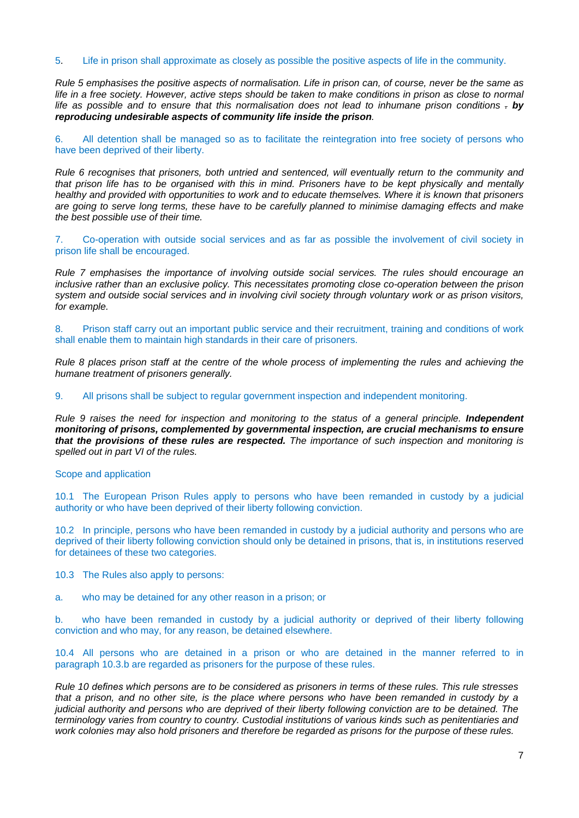## 5. Life in prison shall approximate as closely as possible the positive aspects of life in the community.

*Rule 5 emphasises the positive aspects of normalisation. Life in prison can, of course, never be the same as life in a free society. However, active steps should be taken to make conditions in prison as close to normal life as possible and to ensure that this normalisation does not lead to inhumane prison conditions . by reproducing undesirable aspects of community life inside the prison.*

6. All detention shall be managed so as to facilitate the reintegration into free society of persons who have been deprived of their liberty.

*Rule 6 recognises that prisoners, both untried and sentenced, will eventually return to the community and that prison life has to be organised with this in mind. Prisoners have to be kept physically and mentally healthy and provided with opportunities to work and to educate themselves. Where it is known that prisoners are going to serve long terms, these have to be carefully planned to minimise damaging effects and make the best possible use of their time.*

7. Co-operation with outside social services and as far as possible the involvement of civil society in prison life shall be encouraged.

*Rule 7 emphasises the importance of involving outside social services. The rules should encourage an inclusive rather than an exclusive policy. This necessitates promoting close co-operation between the prison system and outside social services and in involving civil society through voluntary work or as prison visitors, for example.*

8. Prison staff carry out an important public service and their recruitment, training and conditions of work shall enable them to maintain high standards in their care of prisoners.

*Rule 8 places prison staff at the centre of the whole process of implementing the rules and achieving the humane treatment of prisoners generally.*

9. All prisons shall be subject to regular government inspection and independent monitoring.

*Rule 9 raises the need for inspection and monitoring to the status of a general principle. Independent monitoring of prisons, complemented by governmental inspection, are crucial mechanisms to ensure that the provisions of these rules are respected. The importance of such inspection and monitoring is spelled out in part VI of the rules.*

#### Scope and application

10.1 The European Prison Rules apply to persons who have been remanded in custody by a judicial authority or who have been deprived of their liberty following conviction.

10.2 In principle, persons who have been remanded in custody by a judicial authority and persons who are deprived of their liberty following conviction should only be detained in prisons, that is, in institutions reserved for detainees of these two categories.

10.3 The Rules also apply to persons:

a. who may be detained for any other reason in a prison; or

b. who have been remanded in custody by a judicial authority or deprived of their liberty following conviction and who may, for any reason, be detained elsewhere.

10.4 All persons who are detained in a prison or who are detained in the manner referred to in paragraph 10.3.b are regarded as prisoners for the purpose of these rules.

*Rule 10 defines which persons are to be considered as prisoners in terms of these rules. This rule stresses that a prison, and no other site, is the place where persons who have been remanded in custody by a judicial authority and persons who are deprived of their liberty following conviction are to be detained. The terminology varies from country to country. Custodial institutions of various kinds such as penitentiaries and work colonies may also hold prisoners and therefore be regarded as prisons for the purpose of these rules.*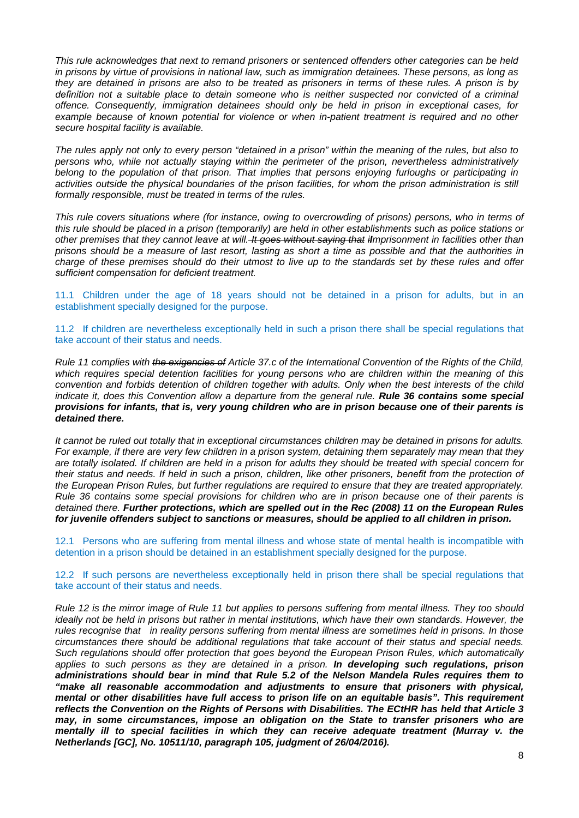*This rule acknowledges that next to remand prisoners or sentenced offenders other categories can be held in prisons by virtue of provisions in national law, such as immigration detainees. These persons, as long as they are detained in prisons are also to be treated as prisoners in terms of these rules. A prison is by definition not a suitable place to detain someone who is neither suspected nor convicted of a criminal offence. Consequently, immigration detainees should only be held in prison in exceptional cases, for example because of known potential for violence or when in-patient treatment is required and no other secure hospital facility is available.*

*The rules apply not only to every person "detained in a prison" within the meaning of the rules, but also to persons who, while not actually staying within the perimeter of the prison, nevertheless administratively belong to the population of that prison. That implies that persons enjoying furloughs or participating in activities outside the physical boundaries of the prison facilities, for whom the prison administration is still formally responsible, must be treated in terms of the rules.*

*This rule covers situations where (for instance, owing to overcrowding of prisons) persons, who in terms of this rule should be placed in a prison (temporarily) are held in other establishments such as police stations or other premises that they cannot leave at will. It goes without saying that iImprisonment in facilities other than prisons should be a measure of last resort, lasting as short a time as possible and that the authorities in charge of these premises should do their utmost to live up to the standards set by these rules and offer sufficient compensation for deficient treatment.*

11.1 Children under the age of 18 years should not be detained in a prison for adults, but in an establishment specially designed for the purpose.

11.2 If children are nevertheless exceptionally held in such a prison there shall be special regulations that take account of their status and needs.

*Rule 11 complies with the exigencies of Article 37.c of the International Convention of the Rights of the Child, which requires special detention facilities for young persons who are children within the meaning of this convention and forbids detention of children together with adults. Only when the best interests of the child indicate it, does this Convention allow a departure from the general rule. Rule 36 contains some special provisions for infants, that is, very young children who are in prison because one of their parents is detained there.*

*It cannot be ruled out totally that in exceptional circumstances children may be detained in prisons for adults. For example, if there are very few children in a prison system, detaining them separately may mean that they are totally isolated. If children are held in a prison for adults they should be treated with special concern for their status and needs. If held in such a prison, children, like other prisoners, benefit from the protection of the European Prison Rules, but further regulations are required to ensure that they are treated appropriately. Rule 36 contains some special provisions for children who are in prison because one of their parents is detained there. Further protections, which are spelled out in the Rec (2008) 11 on the European Rules for juvenile offenders subject to sanctions or measures, should be applied to all children in prison.*

12.1 Persons who are suffering from mental illness and whose state of mental health is incompatible with detention in a prison should be detained in an establishment specially designed for the purpose.

12.2 If such persons are nevertheless exceptionally held in prison there shall be special regulations that take account of their status and needs.

*Rule 12 is the mirror image of Rule 11 but applies to persons suffering from mental illness. They too should ideally not be held in prisons but rather in mental institutions, which have their own standards. However, the rules recognise that in reality persons suffering from mental illness are sometimes held in prisons. In those circumstances there should be additional regulations that take account of their status and special needs. Such regulations should offer protection that goes beyond the European Prison Rules, which automatically applies to such persons as they are detained in a prison. In developing such regulations, prison administrations should bear in mind that Rule 5.2 of the Nelson Mandela Rules requires them to "make all reasonable accommodation and adjustments to ensure that prisoners with physical, mental or other disabilities have full access to prison life on an equitable basis". This requirement reflects the Convention on the Rights of Persons with Disabilities. The ECtHR has held that Article 3 may, in some circumstances, impose an obligation on the State to transfer prisoners who are mentally ill to special facilities in which they can receive adequate treatment (Murray v. the Netherlands [GC], No. 10511/10, paragraph 105, judgment of 26/04/2016).*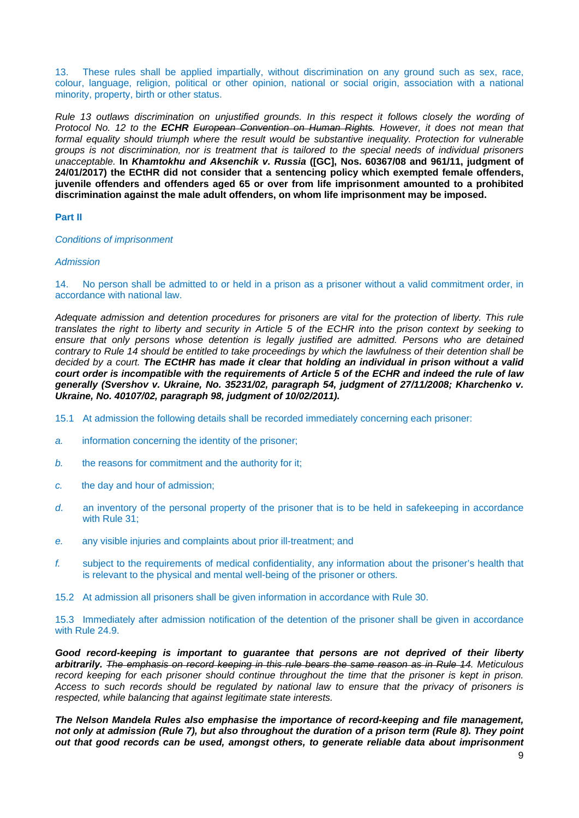13. These rules shall be applied impartially, without discrimination on any ground such as sex, race, colour, language, religion, political or other opinion, national or social origin, association with a national minority, property, birth or other status.

*Rule 13 outlaws discrimination on unjustified grounds. In this respect it follows closely the wording of Protocol No. 12 to the ECHR European Convention on Human Rights. However, it does not mean that formal equality should triumph where the result would be substantive inequality. Protection for vulnerable groups is not discrimination, nor is treatment that is tailored to the special needs of individual prisoners unacceptable.* **In** *Khamtokhu and Aksenchik v. Russia* **([GC], Nos. 60367/08 and 961/11, judgment of 24/01/2017) the ECtHR did not consider that a sentencing policy which exempted female offenders, juvenile offenders and offenders aged 65 or over from life imprisonment amounted to a prohibited discrimination against the male adult offenders, on whom life imprisonment may be imposed.**

## **Part II**

#### *Conditions of imprisonment*

#### *Admission*

14. No person shall be admitted to or held in a prison as a prisoner without a valid commitment order, in accordance with national law.

*Adequate admission and detention procedures for prisoners are vital for the protection of liberty. This rule translates the right to liberty and security in Article 5 of the ECHR into the prison context by seeking to ensure that only persons whose detention is legally justified are admitted. Persons who are detained contrary to Rule 14 should be entitled to take proceedings by which the lawfulness of their detention shall be decided by a court. The ECtHR has made it clear that holding an individual in prison without a valid court order is incompatible with the requirements of Article 5 of the ECHR and indeed the rule of law generally (Svershov v. Ukraine, No. 35231/02, paragraph 54, judgment of 27/11/2008; Kharchenko v. Ukraine, No. 40107/02, paragraph 98, judgment of 10/02/2011).* 

- 15.1 At admission the following details shall be recorded immediately concerning each prisoner:
- *a.* information concerning the identity of the prisoner;
- *b.* the reasons for commitment and the authority for it;
- *c.* the day and hour of admission;
- *d.* an inventory of the personal property of the prisoner that is to be held in safekeeping in accordance with Rule 31;
- *e.* any visible injuries and complaints about prior ill-treatment; and
- *f.* subject to the requirements of medical confidentiality, any information about the prisoner's health that is relevant to the physical and mental well-being of the prisoner or others.
- 15.2 At admission all prisoners shall be given information in accordance with Rule 30.

15.3 Immediately after admission notification of the detention of the prisoner shall be given in accordance with Rule 24.9.

*Good record-keeping is important to guarantee that persons are not deprived of their liberty arbitrarily. The emphasis on record keeping in this rule bears the same reason as in Rule 14. Meticulous record keeping for each prisoner should continue throughout the time that the prisoner is kept in prison. Access to such records should be regulated by national law to ensure that the privacy of prisoners is respected, while balancing that against legitimate state interests.*

*The Nelson Mandela Rules also emphasise the importance of record-keeping and file management, not only at admission (Rule 7), but also throughout the duration of a prison term (Rule 8). They point out that good records can be used, amongst others, to generate reliable data about imprisonment*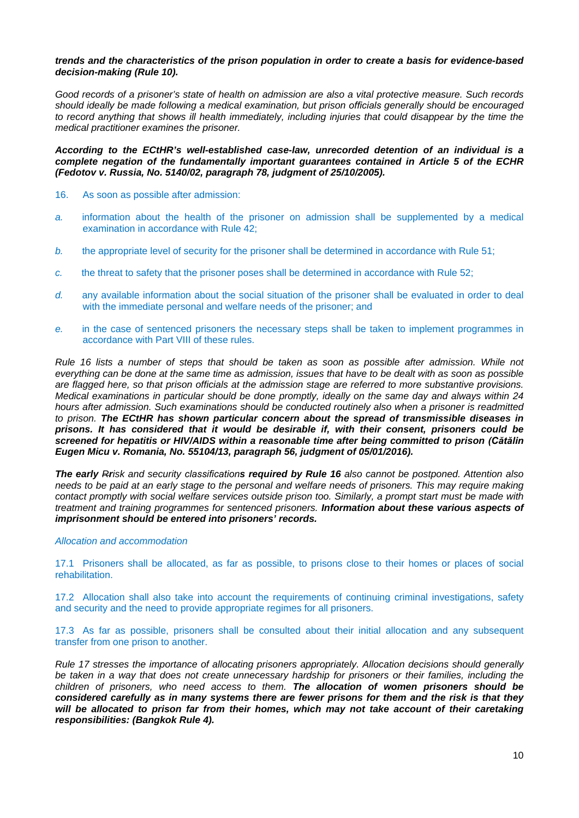## *trends and the characteristics of the prison population in order to create a basis for evidence-based decision-making (Rule 10).*

*Good records of a prisoner's state of health on admission are also a vital protective measure. Such records should ideally be made following a medical examination, but prison officials generally should be encouraged*  to record anything that shows ill health immediately, including injuries that could disappear by the time the *medical practitioner examines the prisoner.*

*According to the ECtHR's well-established case-law, unrecorded detention of an individual is a complete negation of the fundamentally important guarantees contained in Article 5 of the ECHR (Fedotov v. Russia, No. 5140/02, paragraph 78, judgment of 25/10/2005).*

- 16. As soon as possible after admission:
- *a.* information about the health of the prisoner on admission shall be supplemented by a medical examination in accordance with Rule 42;
- *b.* the appropriate level of security for the prisoner shall be determined in accordance with Rule 51;
- *c.* the threat to safety that the prisoner poses shall be determined in accordance with Rule 52;
- *d.* any available information about the social situation of the prisoner shall be evaluated in order to deal with the immediate personal and welfare needs of the prisoner; and
- *e.* in the case of sentenced prisoners the necessary steps shall be taken to implement programmes in accordance with Part VIII of these rules.

*Rule 16 lists a number of steps that should be taken as soon as possible after admission. While not everything can be done at the same time as admission, issues that have to be dealt with as soon as possible are flagged here, so that prison officials at the admission stage are referred to more substantive provisions. Medical examinations in particular should be done promptly, ideally on the same day and always within 24 hours after admission. Such examinations should be conducted routinely also when a prisoner is readmitted to prison. The ECtHR has shown particular concern about the spread of transmissible diseases in prisons. It has considered that it would be desirable if, with their consent, prisoners could be screened for hepatitis or HIV/AIDS within a reasonable time after being committed to prison (Cătălin Eugen Micu v. Romania, No. 55104/13, paragraph 56, judgment of 05/01/2016).*

*The early Rrisk and security classifications required by Rule 16 also cannot be postponed. Attention also needs to be paid at an early stage to the personal and welfare needs of prisoners. This may require making contact promptly with social welfare services outside prison too. Similarly, a prompt start must be made with treatment and training programmes for sentenced prisoners. Information about these various aspects of imprisonment should be entered into prisoners' records.*

#### *Allocation and accommodation*

17.1 Prisoners shall be allocated, as far as possible, to prisons close to their homes or places of social rehabilitation.

17.2 Allocation shall also take into account the requirements of continuing criminal investigations, safety and security and the need to provide appropriate regimes for all prisoners.

17.3 As far as possible, prisoners shall be consulted about their initial allocation and any subsequent transfer from one prison to another.

*Rule 17 stresses the importance of allocating prisoners appropriately. Allocation decisions should generally be taken in a way that does not create unnecessary hardship for prisoners or their families, including the children of prisoners, who need access to them. The allocation of women prisoners should be considered carefully as in many systems there are fewer prisons for them and the risk is that they*  will be allocated to prison far from their homes, which may not take account of their caretaking *responsibilities: (Bangkok Rule 4).*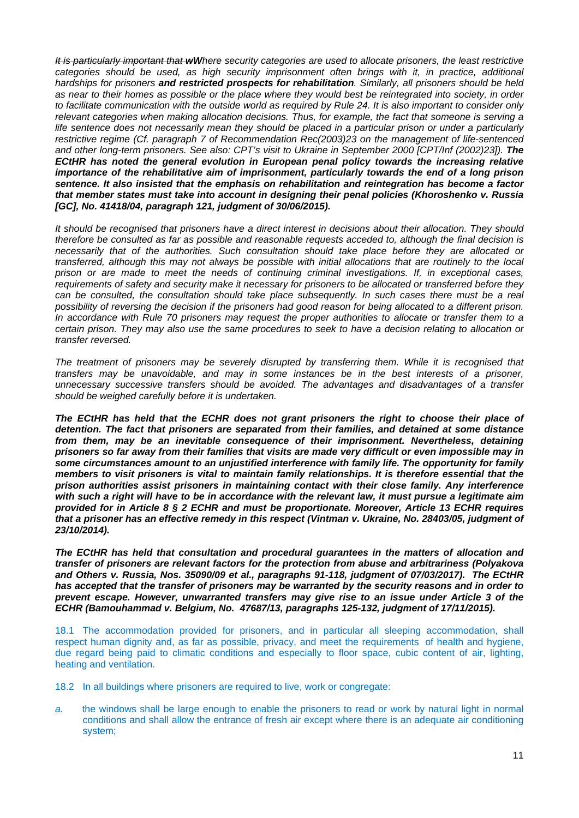*It is particularly important that wWhere security categories are used to allocate prisoners, the least restrictive categories should be used, as high security imprisonment often brings with it, in practice, additional hardships for prisoners and restricted prospects for rehabilitation. Similarly, all prisoners should be held as near to their homes as possible or the place where they would best be reintegrated into society, in order to facilitate communication with the outside world as required by Rule 24. It is also important to consider only relevant categories when making allocation decisions. Thus, for example, the fact that someone is serving a life sentence does not necessarily mean they should be placed in a particular prison or under a particularly restrictive regime (Cf. paragraph 7 of Recommendation Rec(2003)23 on the management of life-sentenced and other long-term prisoners. See also: CPT's visit to Ukraine in September 2000 [CPT/Inf (2002)23]). The ECtHR has noted the general evolution in European penal policy towards the increasing relative importance of the rehabilitative aim of imprisonment, particularly towards the end of a long prison sentence. It also insisted that the emphasis on rehabilitation and reintegration has become a factor that member states must take into account in designing their penal policies (Khoroshenko v. Russia [GC], No. 41418/04, paragraph 121, judgment of 30/06/2015).*

*It should be recognised that prisoners have a direct interest in decisions about their allocation. They should therefore be consulted as far as possible and reasonable requests acceded to, although the final decision is necessarily that of the authorities. Such consultation should take place before they are allocated or transferred, although this may not always be possible with initial allocations that are routinely to the local prison or are made to meet the needs of continuing criminal investigations. If, in exceptional cases, requirements of safety and security make it necessary for prisoners to be allocated or transferred before they can be consulted, the consultation should take place subsequently. In such cases there must be a real possibility of reversing the decision if the prisoners had good reason for being allocated to a different prison. In accordance with Rule 70 prisoners may request the proper authorities to allocate or transfer them to a certain prison. They may also use the same procedures to seek to have a decision relating to allocation or transfer reversed.*

*The treatment of prisoners may be severely disrupted by transferring them. While it is recognised that transfers may be unavoidable, and may in some instances be in the best interests of a prisoner, unnecessary successive transfers should be avoided. The advantages and disadvantages of a transfer should be weighed carefully before it is undertaken.*

*The ECtHR has held that the ECHR does not grant prisoners the right to choose their place of detention. The fact that prisoners are separated from their families, and detained at some distance from them, may be an inevitable consequence of their imprisonment. Nevertheless, detaining prisoners so far away from their families that visits are made very difficult or even impossible may in some circumstances amount to an unjustified interference with family life. The opportunity for family members to visit prisoners is vital to maintain family relationships. It is therefore essential that the prison authorities assist prisoners in maintaining contact with their close family. Any interference with such a right will have to be in accordance with the relevant law, it must pursue a legitimate aim provided for in Article 8 § 2 ECHR and must be proportionate. Moreover, Article 13 ECHR requires that a prisoner has an effective remedy in this respect (Vintman v. Ukraine, No. 28403/05, judgment of 23/10/2014).*

*The ECtHR has held that consultation and procedural guarantees in the matters of allocation and transfer of prisoners are relevant factors for the protection from abuse and arbitrariness (Polyakova and Others v. Russia, Nos. 35090/09 et al., paragraphs 91-118, judgment of 07/03/2017). The ECtHR has accepted that the transfer of prisoners may be warranted by the security reasons and in order to prevent escape. However, unwarranted transfers may give rise to an issue under Article 3 of the ECHR (Bamouhammad v. Belgium, No. 47687/13, paragraphs 125-132, judgment of 17/11/2015).*

18.1 The accommodation provided for prisoners, and in particular all sleeping accommodation, shall respect human dignity and, as far as possible, privacy, and meet the requirements of health and hygiene, due regard being paid to climatic conditions and especially to floor space, cubic content of air, lighting, heating and ventilation.

18.2 In all buildings where prisoners are required to live, work or congregate:

*a.* the windows shall be large enough to enable the prisoners to read or work by natural light in normal conditions and shall allow the entrance of fresh air except where there is an adequate air conditioning system;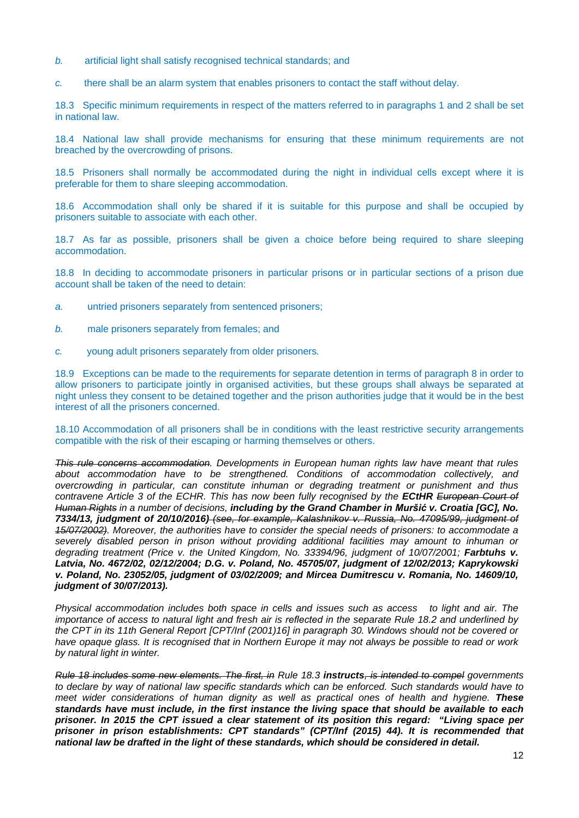- *b.* artificial light shall satisfy recognised technical standards; and
- *c.* there shall be an alarm system that enables prisoners to contact the staff without delay.

18.3 Specific minimum requirements in respect of the matters referred to in paragraphs 1 and 2 shall be set in national law.

18.4 National law shall provide mechanisms for ensuring that these minimum requirements are not breached by the overcrowding of prisons.

18.5 Prisoners shall normally be accommodated during the night in individual cells except where it is preferable for them to share sleeping accommodation.

18.6 Accommodation shall only be shared if it is suitable for this purpose and shall be occupied by prisoners suitable to associate with each other.

18.7 As far as possible, prisoners shall be given a choice before being required to share sleeping accommodation.

18.8 In deciding to accommodate prisoners in particular prisons or in particular sections of a prison due account shall be taken of the need to detain:

- *a.* untried prisoners separately from sentenced prisoners;
- *b.* male prisoners separately from females; and
- *c.* young adult prisoners separately from older prisoners*.*

18.9 Exceptions can be made to the requirements for separate detention in terms of paragraph 8 in order to allow prisoners to participate jointly in organised activities, but these groups shall always be separated at night unless they consent to be detained together and the prison authorities judge that it would be in the best interest of all the prisoners concerned.

18.10 Accommodation of all prisoners shall be in conditions with the least restrictive security arrangements compatible with the risk of their escaping or harming themselves or others.

*This rule concerns accommodation. Developments in European human rights law have meant that rules about accommodation have to be strengthened. Conditions of accommodation collectively, and overcrowding in particular, can constitute inhuman or degrading treatment or punishment and thus contravene Article 3 of the ECHR. This has now been fully recognised by the ECtHR European Court of Human Rights in a number of decisions, including by the Grand Chamber in Muršić v. Croatia [GC], No. 7334/13, judgment of 20/10/2016) (see, for example, Kalashnikov v. Russia, No. 47095/99, judgment of 15/07/2002). Moreover, the authorities have to consider the special needs of prisoners: to accommodate a severely disabled person in prison without providing additional facilities may amount to inhuman or*  degrading treatment (Price v. the United Kingdom, No. 33394/96, judgment of 10/07/2001; Farbtuhs v. *Latvia, No. 4672/02, 02/12/2004; D.G. v. Poland, No. 45705/07, judgment of 12/02/2013; Kaprykowski v. Poland, No. 23052/05, judgment of 03/02/2009; and Mircea Dumitrescu v. Romania, No. 14609/10, judgment of 30/07/2013).*

*Physical accommodation includes both space in cells and issues such as access to light and air. The importance of access to natural light and fresh air is reflected in the separate Rule 18.2 and underlined by the CPT in its 11th General Report [CPT/Inf (2001)16] in paragraph 30. Windows should not be covered or have opaque glass. It is recognised that in Northern Europe it may not always be possible to read or work by natural light in winter.*

*Rule 18 includes some new elements. The first, in Rule 18.3 instructs, is intended to compel governments to declare by way of national law specific standards which can be enforced. Such standards would have to meet wider considerations of human dignity as well as practical ones of health and hygiene. These standards have must include, in the first instance the living space that should be available to each prisoner. In 2015 the CPT issued a clear statement of its position this regard: "Living space per prisoner in prison establishments: CPT standards" (CPT/Inf (2015) 44). It is recommended that national law be drafted in the light of these standards, which should be considered in detail.*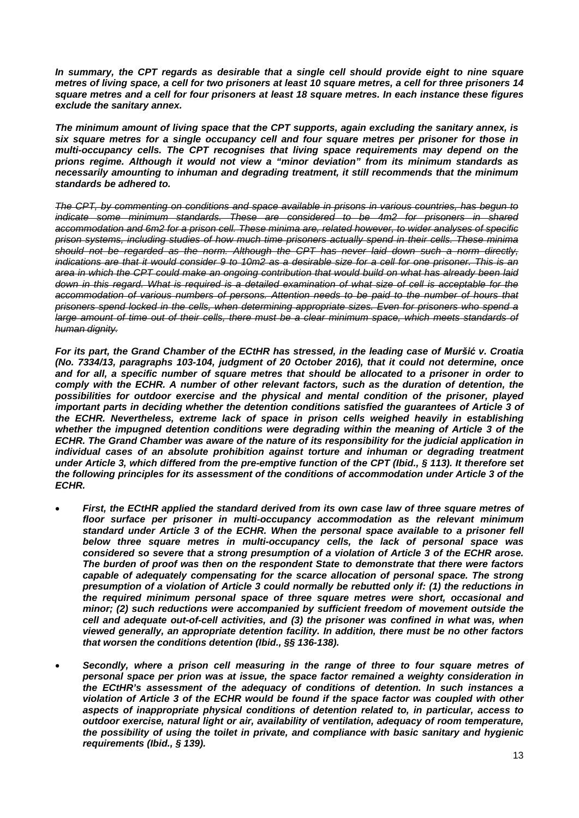*In summary, the CPT regards as desirable that a single cell should provide eight to nine square metres of living space, a cell for two prisoners at least 10 square metres, a cell for three prisoners 14 square metres and a cell for four prisoners at least 18 square metres. In each instance these figures exclude the sanitary annex.* 

*The minimum amount of living space that the CPT supports, again excluding the sanitary annex, is six square metres for a single occupancy cell and four square metres per prisoner for those in multi-occupancy cells. The CPT recognises that living space requirements may depend on the prions regime. Although it would not view a "minor deviation" from its minimum standards as necessarily amounting to inhuman and degrading treatment, it still recommends that the minimum standards be adhered to.* 

*The CPT, by commenting on conditions and space available in prisons in various countries, has begun to indicate some minimum standards. These are considered to be 4m2 for prisoners in shared accommodation and 6m2 for a prison cell. These minima are, related however, to wider analyses of specific prison systems, including studies of how much time prisoners actually spend in their cells. These minima should not be regarded as the norm. Although the CPT has never laid down such a norm directly, indications are that it would consider 9 to 10m2 as a desirable size for a cell for one prisoner. This is an area in which the CPT could make an ongoing contribution that would build on what has already been laid down in this regard. What is required is a detailed examination of what size of cell is acceptable for the accommodation of various numbers of persons. Attention needs to be paid to the number of hours that prisoners spend locked in the cells, when determining appropriate sizes. Even for prisoners who spend a large amount of time out of their cells, there must be a clear minimum space, which meets standards of human dignity.*

*For its part, the Grand Chamber of the ECtHR has stressed, in the leading case of Muršić v. Croatia (No. 7334/13, paragraphs 103-104, judgment of 20 October 2016), that it could not determine, once and for all, a specific number of square metres that should be allocated to a prisoner in order to comply with the ECHR. A number of other relevant factors, such as the duration of detention, the possibilities for outdoor exercise and the physical and mental condition of the prisoner, played important parts in deciding whether the detention conditions satisfied the guarantees of Article 3 of the ECHR. Nevertheless, extreme lack of space in prison cells weighed heavily in establishing whether the impugned detention conditions were degrading within the meaning of Article 3 of the ECHR. The Grand Chamber was aware of the nature of its responsibility for the judicial application in individual cases of an absolute prohibition against torture and inhuman or degrading treatment under Article 3, which differed from the pre-emptive function of the CPT (Ibid., § 113). It therefore set the following principles for its assessment of the conditions of accommodation under Article 3 of the ECHR.* 

- *First, the ECtHR applied the standard derived from its own case law of three square metres of floor surface per prisoner in multi-occupancy accommodation as the relevant minimum standard under Article 3 of the ECHR. When the personal space available to a prisoner fell below three square metres in multi-occupancy cells, the lack of personal space was considered so severe that a strong presumption of a violation of Article 3 of the ECHR arose. The burden of proof was then on the respondent State to demonstrate that there were factors capable of adequately compensating for the scarce allocation of personal space. The strong presumption of a violation of Article 3 could normally be rebutted only if: (1) the reductions in the required minimum personal space of three square metres were short, occasional and minor; (2) such reductions were accompanied by sufficient freedom of movement outside the cell and adequate out-of-cell activities, and (3) the prisoner was confined in what was, when viewed generally, an appropriate detention facility. In addition, there must be no other factors that worsen the conditions detention (Ibid., §§ 136-138).*
- *Secondly, where a prison cell measuring in the range of three to four square metres of personal space per prion was at issue, the space factor remained a weighty consideration in the ECtHR's assessment of the adequacy of conditions of detention. In such instances a violation of Article 3 of the ECHR would be found if the space factor was coupled with other aspects of inappropriate physical conditions of detention related to, in particular, access to outdoor exercise, natural light or air, availability of ventilation, adequacy of room temperature, the possibility of using the toilet in private, and compliance with basic sanitary and hygienic requirements (Ibid., § 139).*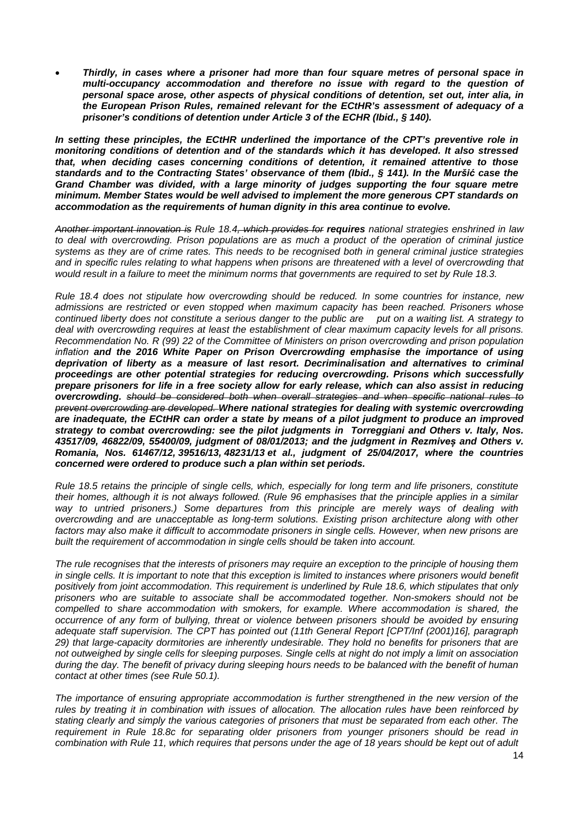*Thirdly, in cases where a prisoner had more than four square metres of personal space in*  multi-occupancy accommodation and therefore no issue with regard to the question of *personal space arose, other aspects of physical conditions of detention, set out, inter alia, in the European Prison Rules, remained relevant for the ECtHR's assessment of adequacy of a prisoner's conditions of detention under Article 3 of the ECHR (Ibid., § 140).*

*In setting these principles, the ECtHR underlined the importance of the CPT's preventive role in monitoring conditions of detention and of the standards which it has developed. It also stressed that, when deciding cases concerning conditions of detention, it remained attentive to those standards and to the Contracting States' observance of them (Ibid., § 141). In the Muršić case the Grand Chamber was divided, with a large minority of judges supporting the four square metre minimum. Member States would be well advised to implement the more generous CPT standards on accommodation as the requirements of human dignity in this area continue to evolve.* 

*Another important innovation is Rule 18.4, which provides for requires national strategies enshrined in law to deal with overcrowding. Prison populations are as much a product of the operation of criminal justice systems as they are of crime rates. This needs to be recognised both in general criminal justice strategies and in specific rules relating to what happens when prisons are threatened with a level of overcrowding that would result in a failure to meet the minimum norms that governments are required to set by Rule 18.3.*

*Rule 18.4 does not stipulate how overcrowding should be reduced. In some countries for instance, new admissions are restricted or even stopped when maximum capacity has been reached. Prisoners whose continued liberty does not constitute a serious danger to the public are put on a waiting list. A strategy to deal with overcrowding requires at least the establishment of clear maximum capacity levels for all prisons. Recommendation No. R (99) 22 of the Committee of Ministers on prison overcrowding and prison population inflation and the 2016 White Paper on Prison Overcrowding emphasise the importance of using deprivation of liberty as a measure of last resort. Decriminalisation and alternatives to criminal proceedings are other potential strategies for reducing overcrowding. Prisons which successfully prepare prisoners for life in a free society allow for early release, which can also assist in reducing overcrowding. should be considered both when overall strategies and when specific national rules to prevent overcrowding are developed. Where national strategies for dealing with systemic overcrowding are inadequate, the ECtHR can order a state by means of a pilot judgment to produce an improved strategy to combat overcrowding: see the pilot judgments in Torreggiani and Others v. Italy, Nos. 43517/09, 46822/09, 55400/09, judgment of 08/01/2013; and the judgment in Rezmiveș and Others v. Romania, Nos. [61467/12, 39516/13](http://hudoc.echr.coe.int/eng#{), [48231/13](http://hudoc.echr.coe.int/eng#{) et al., judgment of 25/04/2017, where the countries concerned were ordered to produce such a plan within set periods.*

*Rule 18.5 retains the principle of single cells, which, especially for long term and life prisoners, constitute their homes, although it is not always followed. (Rule 96 emphasises that the principle applies in a similar way to untried prisoners.) Some departures from this principle are merely ways of dealing with overcrowding and are unacceptable as long-term solutions. Existing prison architecture along with other factors may also make it difficult to accommodate prisoners in single cells. However, when new prisons are built the requirement of accommodation in single cells should be taken into account.*

*The rule recognises that the interests of prisoners may require an exception to the principle of housing them in single cells. It is important to note that this exception is limited to instances where prisoners would benefit positively from joint accommodation. This requirement is underlined by Rule 18.6, which stipulates that only prisoners who are suitable to associate shall be accommodated together. Non-smokers should not be compelled to share accommodation with smokers, for example. Where accommodation is shared, the occurrence of any form of bullying, threat or violence between prisoners should be avoided by ensuring adequate staff supervision. The CPT has pointed out (11th General Report [CPT/Inf (2001)16], paragraph 29) that large-capacity dormitories are inherently undesirable. They hold no benefits for prisoners that are not outweighed by single cells for sleeping purposes. Single cells at night do not imply a limit on association during the day. The benefit of privacy during sleeping hours needs to be balanced with the benefit of human contact at other times (see Rule 50.1).*

*The importance of ensuring appropriate accommodation is further strengthened in the new version of the rules by treating it in combination with issues of allocation. The allocation rules have been reinforced by stating clearly and simply the various categories of prisoners that must be separated from each other. The requirement in Rule 18.8c for separating older prisoners from younger prisoners should be read in combination with Rule 11, which requires that persons under the age of 18 years should be kept out of adult*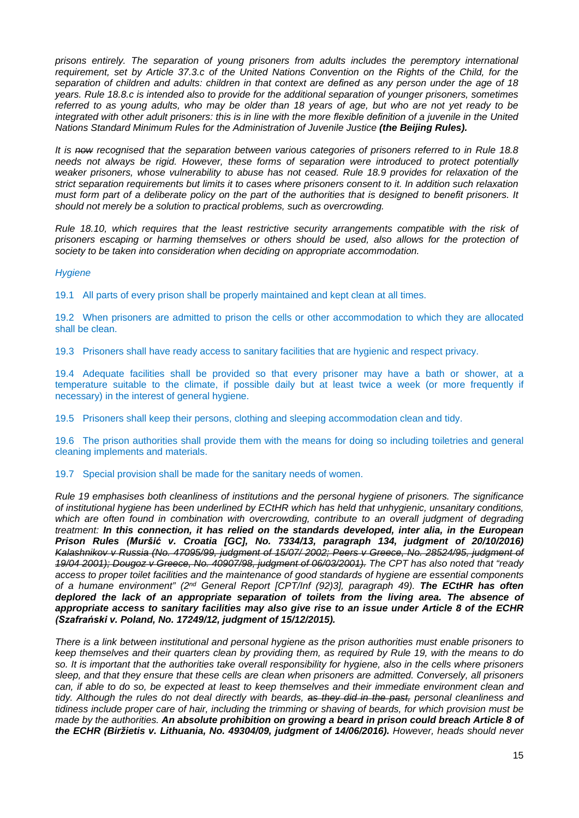*prisons entirely. The separation of young prisoners from adults includes the peremptory international*  requirement, set by Article 37.3.c of the United Nations Convention on the Rights of the Child, for the *separation of children and adults: children in that context are defined as any person under the age of 18 years. Rule 18.8.c is intended also to provide for the additional separation of younger prisoners, sometimes referred to as young adults, who may be older than 18 years of age, but who are not yet ready to be integrated with other adult prisoners: this is in line with the more flexible definition of a juvenile in the United Nations Standard Minimum Rules for the Administration of Juvenile Justice (the Beijing Rules).*

*It is now recognised that the separation between various categories of prisoners referred to in Rule 18.8 needs not always be rigid. However, these forms of separation were introduced to protect potentially weaker prisoners, whose vulnerability to abuse has not ceased. Rule 18.9 provides for relaxation of the strict separation requirements but limits it to cases where prisoners consent to it. In addition such relaxation must form part of a deliberate policy on the part of the authorities that is designed to benefit prisoners. It should not merely be a solution to practical problems, such as overcrowding.*

*Rule 18.10, which requires that the least restrictive security arrangements compatible with the risk of prisoners escaping or harming themselves or others should be used, also allows for the protection of society to be taken into consideration when deciding on appropriate accommodation.*

*Hygiene*

19.1 All parts of every prison shall be properly maintained and kept clean at all times.

19.2 When prisoners are admitted to prison the cells or other accommodation to which they are allocated shall be clean.

19.3 Prisoners shall have ready access to sanitary facilities that are hygienic and respect privacy.

19.4 Adequate facilities shall be provided so that every prisoner may have a bath or shower, at a temperature suitable to the climate, if possible daily but at least twice a week (or more frequently if necessary) in the interest of general hygiene.

19.5 Prisoners shall keep their persons, clothing and sleeping accommodation clean and tidy.

19.6 The prison authorities shall provide them with the means for doing so including toiletries and general cleaning implements and materials.

19.7 Special provision shall be made for the sanitary needs of women.

*Rule 19 emphasises both cleanliness of institutions and the personal hygiene of prisoners. The significance of institutional hygiene has been underlined by ECtHR which has held that unhygienic, unsanitary conditions,*  which are often found in combination with overcrowding, contribute to an overall judgment of degrading *treatment: In this connection, it has relied on the standards developed, inter alia, in the European Prison Rules (Muršić v. Croatia [GC], No. 7334/13, paragraph 134, judgment of 20/10/2016) Kalashnikov v Russia (No. 47095/99, judgment of 15/07/ 2002; Peers v Greece, No. 28524/95, judgment of 19/04 2001); Dougoz v Greece, No. 40907/98, judgment of 06/03/2001). The CPT has also noted that "ready access to proper toilet facilities and the maintenance of good standards of hygiene are essential components of a humane environment" (2nd General Report [CPT/Inf (92)3], paragraph 49). The ECtHR has often deplored the lack of an appropriate separation of toilets from the living area. The absence of appropriate access to sanitary facilities may also give rise to an issue under Article 8 of the ECHR (Szafrański v. Poland, No. 17249/12, judgment of 15/12/2015).*

*There is a link between institutional and personal hygiene as the prison authorities must enable prisoners to keep themselves and their quarters clean by providing them, as required by Rule 19, with the means to do so. It is important that the authorities take overall responsibility for hygiene, also in the cells where prisoners sleep, and that they ensure that these cells are clean when prisoners are admitted. Conversely, all prisoners can, if able to do so, be expected at least to keep themselves and their immediate environment clean and*  tidy. Although the rules do not deal directly with beards, as they did in the past, personal cleanliness and *tidiness include proper care of hair, including the trimming or shaving of beards, for which provision must be made by the authorities. An absolute prohibition on growing a beard in prison could breach Article 8 of the ECHR (Biržietis v. Lithuania, No. 49304/09, judgment of 14/06/2016). However, heads should never*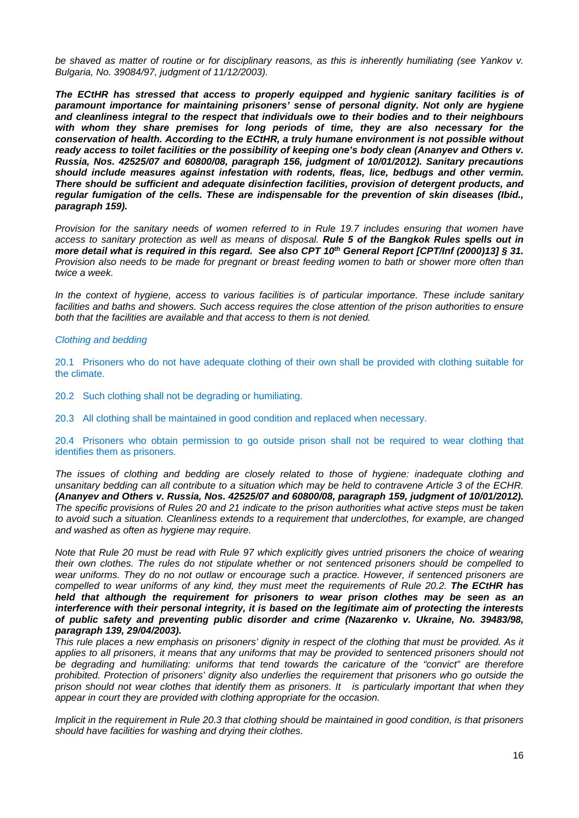be shaved as matter of routine or for disciplinary reasons, as this is inherently humiliating (see Yankov v. *Bulgaria, No. 39084/97, judgment of 11/12/2003).*

*The ECtHR has stressed that access to properly equipped and hygienic sanitary facilities is of paramount importance for maintaining prisoners' sense of personal dignity. Not only are hygiene and cleanliness integral to the respect that individuals owe to their bodies and to their neighbours with whom they share premises for long periods of time, they are also necessary for the conservation of health. According to the ECtHR, a truly humane environment is not possible without ready access to toilet facilities or the possibility of keeping one's body clean (Ananyev and Others v. Russia, Nos. 42525/07 and 60800/08, paragraph 156, judgment of 10/01/2012). Sanitary precautions should include measures against infestation with rodents, fleas, lice, bedbugs and other vermin. There should be sufficient and adequate disinfection facilities, provision of detergent products, and regular fumigation of the cells. These are indispensable for the prevention of skin diseases (Ibid., paragraph 159).*

*Provision for the sanitary needs of women referred to in Rule 19.7 includes ensuring that women have access to sanitary protection as well as means of disposal. Rule 5 of the Bangkok Rules spells out in more detail what is required in this regard. See also CPT 10th General Report [CPT/Inf (2000)13] § 31. Provision also needs to be made for pregnant or breast feeding women to bath or shower more often than twice a week.* 

*In the context of hygiene, access to various facilities is of particular importance. These include sanitary*  facilities and baths and showers. Such access requires the close attention of the prison authorities to ensure *both that the facilities are available and that access to them is not denied.*

#### *Clothing and bedding*

20.1 Prisoners who do not have adequate clothing of their own shall be provided with clothing suitable for the climate.

20.2 Such clothing shall not be degrading or humiliating.

20.3 All clothing shall be maintained in good condition and replaced when necessary.

20.4 Prisoners who obtain permission to go outside prison shall not be required to wear clothing that identifies them as prisoners.

*The issues of clothing and bedding are closely related to those of hygiene: inadequate clothing and unsanitary bedding can all contribute to a situation which may be held to contravene Article 3 of the ECHR. (Ananyev and Others v. Russia, Nos. 42525/07 and 60800/08, paragraph 159, judgment of 10/01/2012). The specific provisions of Rules 20 and 21 indicate to the prison authorities what active steps must be taken to avoid such a situation. Cleanliness extends to a requirement that underclothes, for example, are changed and washed as often as hygiene may require.*

*Note that Rule 20 must be read with Rule 97 which explicitly gives untried prisoners the choice of wearing their own clothes. The rules do not stipulate whether or not sentenced prisoners should be compelled to*  wear uniforms. They do no not outlaw or encourage such a practice. However, if sentenced prisoners are *compelled to wear uniforms of any kind, they must meet the requirements of Rule 20.2. The ECtHR has held that although the requirement for prisoners to wear prison clothes may be seen as an interference with their personal integrity, it is based on the legitimate aim of protecting the interests of public safety and preventing public disorder and crime (Nazarenko v. Ukraine, No. 39483/98, paragraph 139, 29/04/2003).*

*This rule places a new emphasis on prisoners' dignity in respect of the clothing that must be provided. As it applies to all prisoners, it means that any uniforms that may be provided to sentenced prisoners should not be degrading and humiliating: uniforms that tend towards the caricature of the "convict" are therefore prohibited. Protection of prisoners' dignity also underlies the requirement that prisoners who go outside the prison should not wear clothes that identify them as prisoners. It is particularly important that when they appear in court they are provided with clothing appropriate for the occasion.*

*Implicit in the requirement in Rule 20.3 that clothing should be maintained in good condition, is that prisoners should have facilities for washing and drying their clothes.*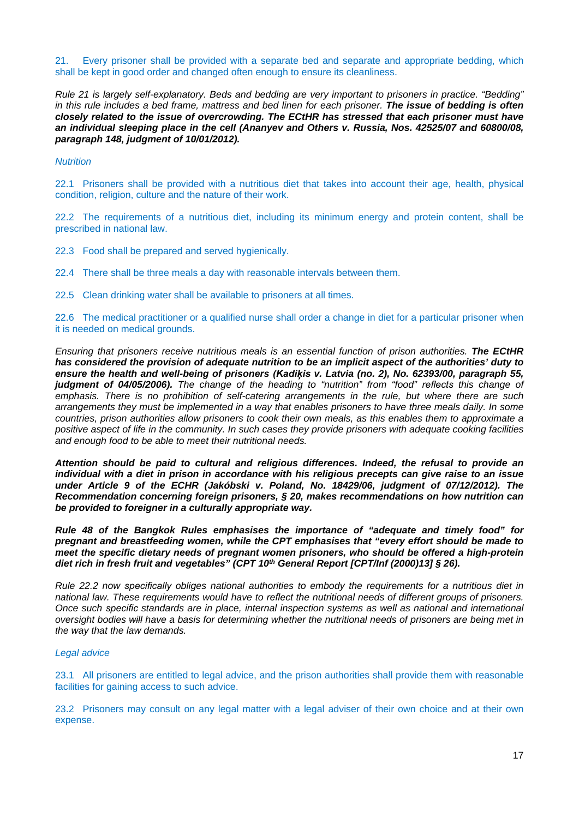21. Every prisoner shall be provided with a separate bed and separate and appropriate bedding, which shall be kept in good order and changed often enough to ensure its cleanliness.

*Rule 21 is largely self-explanatory. Beds and bedding are very important to prisoners in practice. "Bedding" in this rule includes a bed frame, mattress and bed linen for each prisoner. The issue of bedding is often closely related to the issue of overcrowding. The ECtHR has stressed that each prisoner must have an individual sleeping place in the cell (Ananyev and Others v. Russia, Nos. 42525/07 and 60800/08, paragraph 148, judgment of 10/01/2012).*

## *Nutrition*

22.1 Prisoners shall be provided with a nutritious diet that takes into account their age, health, physical condition, religion, culture and the nature of their work.

22.2 The requirements of a nutritious diet, including its minimum energy and protein content, shall be prescribed in national law.

22.3 Food shall be prepared and served hygienically.

22.4 There shall be three meals a day with reasonable intervals between them.

22.5 Clean drinking water shall be available to prisoners at all times.

22.6 The medical practitioner or a qualified nurse shall order a change in diet for a particular prisoner when it is needed on medical grounds.

*Ensuring that prisoners receive nutritious meals is an essential function of prison authorities. The ECtHR has considered the provision of adequate nutrition to be an implicit aspect of the authorities' duty to ensure the health and well-being of prisoners (Kadiķis v. Latvia (no. 2), No. 62393/00, paragraph 55, judgment of 04/05/2006). The change of the heading to "nutrition" from "food" reflects this change of emphasis. There is no prohibition of self-catering arrangements in the rule, but where there are such arrangements they must be implemented in a way that enables prisoners to have three meals daily. In some countries, prison authorities allow prisoners to cook their own meals, as this enables them to approximate a positive aspect of life in the community. In such cases they provide prisoners with adequate cooking facilities and enough food to be able to meet their nutritional needs.* 

*Attention should be paid to cultural and religious differences. Indeed, the refusal to provide an individual with a diet in prison in accordance with his religious precepts can give raise to an issue under Article 9 of the ECHR (Jakóbski v. Poland, No. 18429/06, judgment of 07/12/2012). The Recommendation concerning foreign prisoners, § 20, makes recommendations on how nutrition can be provided to foreigner in a culturally appropriate way.*

*Rule 48 of the Bangkok Rules emphasises the importance of "adequate and timely food" for pregnant and breastfeeding women, while the CPT emphasises that "every effort should be made to meet the specific dietary needs of pregnant women prisoners, who should be offered a high-protein diet rich in fresh fruit and vegetables" (CPT 10th General Report [CPT/Inf (2000)13] § 26).*

*Rule 22.2 now specifically obliges national authorities to embody the requirements for a nutritious diet in national law. These requirements would have to reflect the nutritional needs of different groups of prisoners. Once such specific standards are in place, internal inspection systems as well as national and international oversight bodies will have a basis for determining whether the nutritional needs of prisoners are being met in the way that the law demands.*

#### *Legal advice*

23.1 All prisoners are entitled to legal advice, and the prison authorities shall provide them with reasonable facilities for gaining access to such advice.

23.2 Prisoners may consult on any legal matter with a legal adviser of their own choice and at their own expense.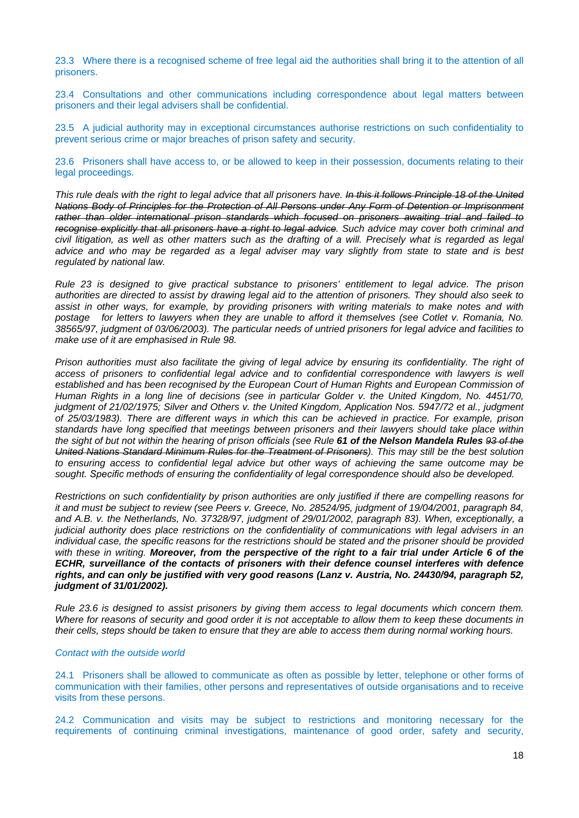23.3 Where there is a recognised scheme of free legal aid the authorities shall bring it to the attention of all prisoners.

23.4 Consultations and other communications including correspondence about legal matters between prisoners and their legal advisers shall be confidential.

23.5 A judicial authority may in exceptional circumstances authorise restrictions on such confidentiality to prevent serious crime or major breaches of prison safety and security.

23.6 Prisoners shall have access to, or be allowed to keep in their possession, documents relating to their legal proceedings.

*This rule deals with the right to legal advice that all prisoners have. In this it follows Principle 18 of the United Nations Body of Principles for the Protection of All Persons under Any Form of Detention or Imprisonment rather than older international prison standards which focused on prisoners awaiting trial and failed to recognise explicitly that all prisoners have a right to legal advice. Such advice may cover both criminal and civil litigation, as well as other matters such as the drafting of a will. Precisely what is regarded as legal advice and who may be regarded as a legal adviser may vary slightly from state to state and is best regulated by national law.*

*Rule 23 is designed to give practical substance to prisoners' entitlement to legal advice. The prison authorities are directed to assist by drawing legal aid to the attention of prisoners. They should also seek to assist in other ways, for example, by providing prisoners with writing materials to make notes and with postage for letters to lawyers when they are unable to afford it themselves (see Cotlet v. Romania, No. 38565/97, judgment of 03/06/2003). The particular needs of untried prisoners for legal advice and facilities to make use of it are emphasised in Rule 98.*

*Prison authorities must also facilitate the giving of legal advice by ensuring its confidentiality. The right of access of prisoners to confidential legal advice and to confidential correspondence with lawyers is well established and has been recognised by the European Court of Human Rights and European Commission of Human Rights in a long line of decisions (see in particular Golder v. the United Kingdom, No. 4451/70, judgment of 21/02/1975; Silver and Others v. the United Kingdom, Application Nos. 5947/72 et al., judgment of 25/03/1983). There are different ways in which this can be achieved in practice. For example, prison standards have long specified that meetings between prisoners and their lawyers should take place within the sight of but not within the hearing of prison officials (see Rule 61 of the Nelson Mandela Rules 93 of the United Nations Standard Minimum Rules for the Treatment of Prisoners). This may still be the best solution to ensuring access to confidential legal advice but other ways of achieving the same outcome may be sought. Specific methods of ensuring the confidentiality of legal correspondence should also be developed.*

*Restrictions on such confidentiality by prison authorities are only justified if there are compelling reasons for it and must be subject to review (see Peers v. Greece, No. 28524/95, judgment of 19/04/2001, paragraph 84, and A.B. v. the Netherlands, No. 37328/97, judgment of 29/01/2002, paragraph 83). When, exceptionally, a judicial authority does place restrictions on the confidentiality of communications with legal advisers in an individual case, the specific reasons for the restrictions should be stated and the prisoner should be provided with these in writing. Moreover, from the perspective of the right to a fair trial under Article 6 of the ECHR, surveillance of the contacts of prisoners with their defence counsel interferes with defence rights, and can only be justified with very good reasons (Lanz v. Austria, No. 24430/94, paragraph 52, judgment of 31/01/2002).*

*Rule 23.6 is designed to assist prisoners by giving them access to legal documents which concern them. Where for reasons of security and good order it is not acceptable to allow them to keep these documents in their cells, steps should be taken to ensure that they are able to access them during normal working hours.*

## *Contact with the outside world*

24.1 Prisoners shall be allowed to communicate as often as possible by letter, telephone or other forms of communication with their families, other persons and representatives of outside organisations and to receive visits from these persons.

24.2 Communication and visits may be subject to restrictions and monitoring necessary for the requirements of continuing criminal investigations, maintenance of good order, safety and security,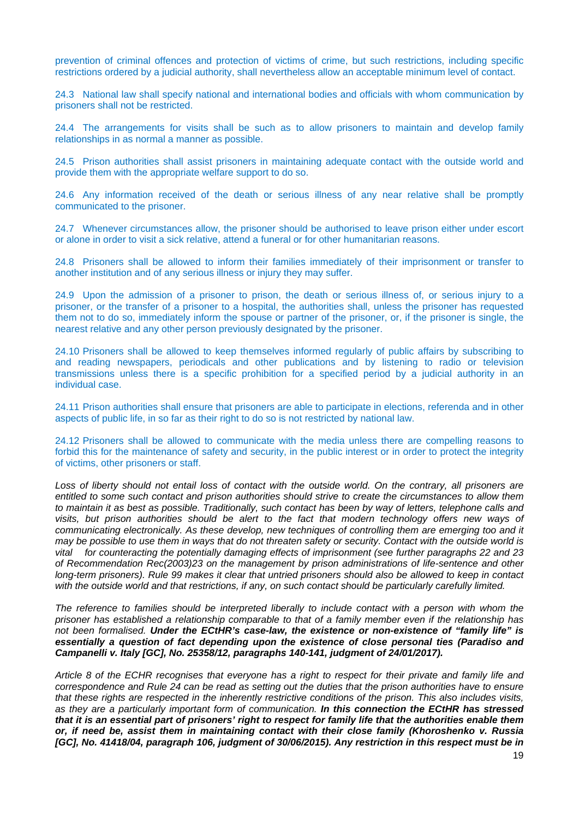prevention of criminal offences and protection of victims of crime, but such restrictions, including specific restrictions ordered by a judicial authority, shall nevertheless allow an acceptable minimum level of contact.

24.3 National law shall specify national and international bodies and officials with whom communication by prisoners shall not be restricted.

24.4 The arrangements for visits shall be such as to allow prisoners to maintain and develop family relationships in as normal a manner as possible.

24.5 Prison authorities shall assist prisoners in maintaining adequate contact with the outside world and provide them with the appropriate welfare support to do so.

24.6 Any information received of the death or serious illness of any near relative shall be promptly communicated to the prisoner.

24.7 Whenever circumstances allow, the prisoner should be authorised to leave prison either under escort or alone in order to visit a sick relative, attend a funeral or for other humanitarian reasons.

24.8 Prisoners shall be allowed to inform their families immediately of their imprisonment or transfer to another institution and of any serious illness or injury they may suffer.

24.9 Upon the admission of a prisoner to prison, the death or serious illness of, or serious injury to a prisoner, or the transfer of a prisoner to a hospital, the authorities shall, unless the prisoner has requested them not to do so, immediately inform the spouse or partner of the prisoner, or, if the prisoner is single, the nearest relative and any other person previously designated by the prisoner.

24.10 Prisoners shall be allowed to keep themselves informed regularly of public affairs by subscribing to and reading newspapers, periodicals and other publications and by listening to radio or television transmissions unless there is a specific prohibition for a specified period by a judicial authority in an individual case.

24.11 Prison authorities shall ensure that prisoners are able to participate in elections, referenda and in other aspects of public life, in so far as their right to do so is not restricted by national law.

24.12 Prisoners shall be allowed to communicate with the media unless there are compelling reasons to forbid this for the maintenance of safety and security, in the public interest or in order to protect the integrity of victims, other prisoners or staff.

*Loss of liberty should not entail loss of contact with the outside world. On the contrary, all prisoners are entitled to some such contact and prison authorities should strive to create the circumstances to allow them to maintain it as best as possible. Traditionally, such contact has been by way of letters, telephone calls and visits, but prison authorities should be alert to the fact that modern technology offers new ways of communicating electronically. As these develop, new techniques of controlling them are emerging too and it may be possible to use them in ways that do not threaten safety or security. Contact with the outside world is vital for counteracting the potentially damaging effects of imprisonment (see further paragraphs 22 and 23 of Recommendation Rec(2003)23 on the management by prison administrations of life-sentence and other long-term prisoners). Rule 99 makes it clear that untried prisoners should also be allowed to keep in contact with the outside world and that restrictions, if any, on such contact should be particularly carefully limited.*

The reference to families should be interpreted liberally to include contact with a person with whom the *prisoner has established a relationship comparable to that of a family member even if the relationship has not been formalised. Under the ECtHR's case-law, the existence or non-existence of "family life" is essentially a question of fact depending upon the existence of close personal ties (Paradiso and Campanelli v. Italy [GC], No. 25358/12, paragraphs 140-141, judgment of 24/01/2017).*

*Article 8 of the ECHR recognises that everyone has a right to respect for their private and family life and correspondence and Rule 24 can be read as setting out the duties that the prison authorities have to ensure that these rights are respected in the inherently restrictive conditions of the prison. This also includes visits, as they are a particularly important form of communication. In this connection the ECtHR has stressed that it is an essential part of prisoners' right to respect for family life that the authorities enable them or, if need be, assist them in maintaining contact with their close family (Khoroshenko v. Russia [GC], No. 41418/04, paragraph 106, judgment of 30/06/2015). Any restriction in this respect must be in*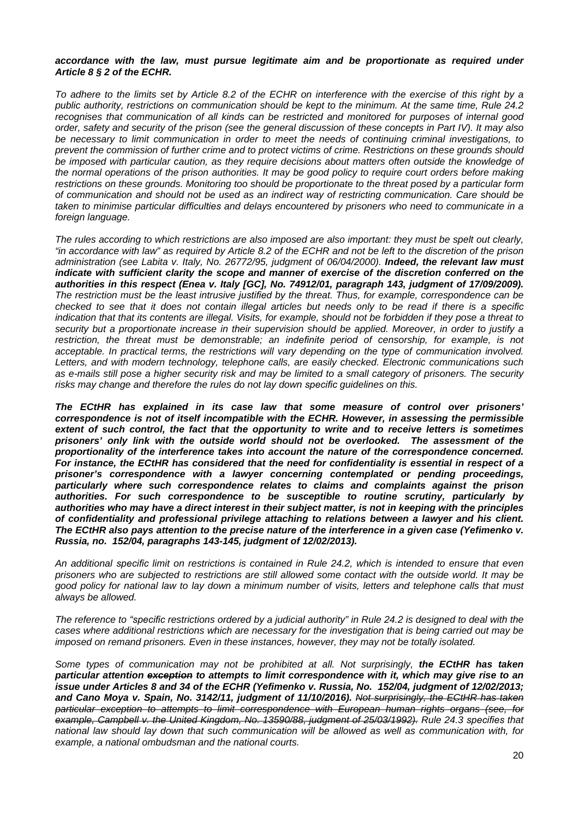## *accordance with the law, must pursue legitimate aim and be proportionate as required under Article 8 § 2 of the ECHR.*

*To adhere to the limits set by Article 8.2 of the ECHR on interference with the exercise of this right by a public authority, restrictions on communication should be kept to the minimum. At the same time, Rule 24.2 recognises that communication of all kinds can be restricted and monitored for purposes of internal good order, safety and security of the prison (see the general discussion of these concepts in Part IV). It may also be necessary to limit communication in order to meet the needs of continuing criminal investigations, to prevent the commission of further crime and to protect victims of crime. Restrictions on these grounds should be imposed with particular caution, as they require decisions about matters often outside the knowledge of the normal operations of the prison authorities. It may be good policy to require court orders before making restrictions on these grounds. Monitoring too should be proportionate to the threat posed by a particular form of communication and should not be used as an indirect way of restricting communication. Care should be taken to minimise particular difficulties and delays encountered by prisoners who need to communicate in a foreign language.*

*The rules according to which restrictions are also imposed are also important: they must be spelt out clearly, "in accordance with law" as required by Article 8.2 of the ECHR and not be left to the discretion of the prison administration (see Labita v. Italy, No. 26772/95, judgment of 06/04/2000). Indeed, the relevant law must indicate with sufficient clarity the scope and manner of exercise of the discretion conferred on the authorities in this respect (Enea v. Italy [GC], No. 74912/01, paragraph 143, judgment of 17/09/2009). The restriction must be the least intrusive justified by the threat. Thus, for example, correspondence can be checked to see that it does not contain illegal articles but needs only to be read if there is a specific indication that that its contents are illegal. Visits, for example, should not be forbidden if they pose a threat to security but a proportionate increase in their supervision should be applied. Moreover, in order to justify a restriction, the threat must be demonstrable; an indefinite period of censorship, for example, is not acceptable. In practical terms, the restrictions will vary depending on the type of communication involved. Letters, and with modern technology, telephone calls, are easily checked. Electronic communications such*  as e-mails still pose a higher security risk and may be limited to a small category of prisoners. The security *risks may change and therefore the rules do not lay down specific guidelines on this.*

*The ECtHR has explained in its case law that some measure of control over prisoners' correspondence is not of itself incompatible with the ECHR. However, in assessing the permissible extent of such control, the fact that the opportunity to write and to receive letters is sometimes prisoners' only link with the outside world should not be overlooked. The assessment of the proportionality of the interference takes into account the nature of the correspondence concerned. For instance, the ECtHR has considered that the need for confidentiality is essential in respect of a prisoner's correspondence with a lawyer concerning contemplated or pending proceedings, particularly where such correspondence relates to claims and complaints against the prison authorities. For such correspondence to be susceptible to routine scrutiny, particularly by authorities who may have a direct interest in their subject matter, is not in keeping with the principles of confidentiality and professional privilege attaching to relations between a lawyer and his client. The ECtHR also pays attention to the precise nature of the interference in a given case (Yefimenko v. Russia, no. 152/04, paragraphs 143-145, judgment of 12/02/2013).*

*An additional specific limit on restrictions is contained in Rule 24.2, which is intended to ensure that even prisoners who are subjected to restrictions are still allowed some contact with the outside world. It may be good policy for national law to lay down a minimum number of visits, letters and telephone calls that must always be allowed.*

*The reference to "specific restrictions ordered by a judicial authority" in Rule 24.2 is designed to deal with the cases where additional restrictions which are necessary for the investigation that is being carried out may be imposed on remand prisoners. Even in these instances, however, they may not be totally isolated.*

Some types of communication may not be prohibited at all. Not surprisingly, the ECtHR has taken *particular attention exception to attempts to limit correspondence with it, which may give rise to an issue under Articles 8 and 34 of the ECHR (Yefimenko v. Russia, No. 152/04, judgment of 12/02/2013; and Cano Moya v. Spain, No. 3142/11, judgment of 11/10/2016). Not surprisingly, the ECtHR has taken particular exception to attempts to limit correspondence with European human rights organs (see, for example, Campbell v. the United Kingdom, No. 13590/88, judgment of 25/03/1992). Rule 24.3 specifies that national law should lay down that such communication will be allowed as well as communication with, for example, a national ombudsman and the national courts.*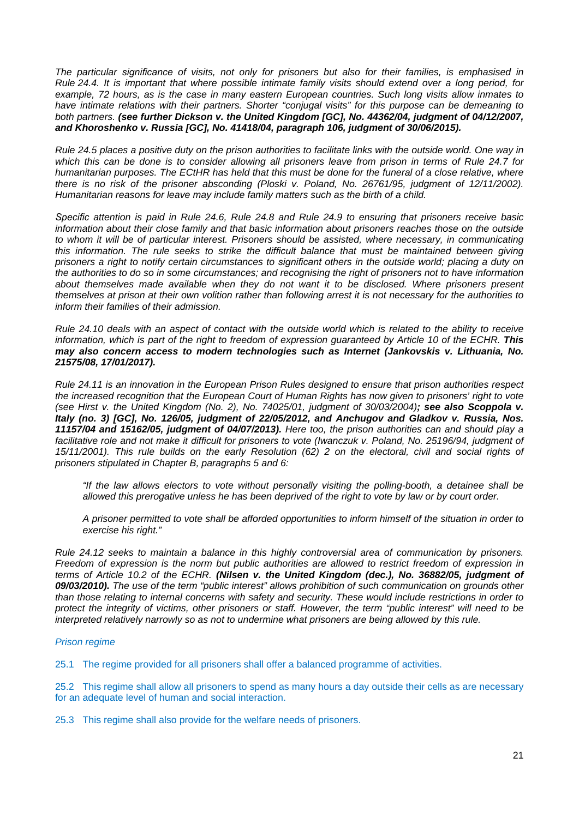*The particular significance of visits, not only for prisoners but also for their families, is emphasised in Rule 24.4. It is important that where possible intimate family visits should extend over a long period, for example, 72 hours, as is the case in many eastern European countries. Such long visits allow inmates to have intimate relations with their partners. Shorter "conjugal visits" for this purpose can be demeaning to both partners. (see further Dickson v. the United Kingdom [GC], No. 44362/04, judgment of 04/12/2007, and Khoroshenko v. Russia [GC], No. 41418/04, paragraph 106, judgment of 30/06/2015).*

*Rule 24.5 places a positive duty on the prison authorities to facilitate links with the outside world. One way in which this can be done is to consider allowing all prisoners leave from prison in terms of Rule 24.7 for humanitarian purposes. The ECtHR has held that this must be done for the funeral of a close relative, where there is no risk of the prisoner absconding (Ploski v. Poland, No. 26761/95, judgment of 12/11/2002). Humanitarian reasons for leave may include family matters such as the birth of a child.*

*Specific attention is paid in Rule 24.6, Rule 24.8 and Rule 24.9 to ensuring that prisoners receive basic information about their close family and that basic information about prisoners reaches those on the outside to whom it will be of particular interest. Prisoners should be assisted, where necessary, in communicating this information. The rule seeks to strike the difficult balance that must be maintained between giving prisoners a right to notify certain circumstances to significant others in the outside world; placing a duty on the authorities to do so in some circumstances; and recognising the right of prisoners not to have information about themselves made available when they do not want it to be disclosed. Where prisoners present themselves at prison at their own volition rather than following arrest it is not necessary for the authorities to inform their families of their admission.*

*Rule 24.10 deals with an aspect of contact with the outside world which is related to the ability to receive information, which is part of the right to freedom of expression guaranteed by Article 10 of the ECHR. This may also concern access to modern technologies such as Internet (Jankovskis v. Lithuania, No. 21575/08, 17/01/2017).*

*Rule 24.11 is an innovation in the European Prison Rules designed to ensure that prison authorities respect the increased recognition that the European Court of Human Rights has now given to prisoners' right to vote (see Hirst v. the United Kingdom (No. 2), No. 74025/01, judgment of 30/03/2004); see also Scoppola v. Italy (no. 3) [GC], No. 126/05, judgment of 22/05/2012, and Anchugov and Gladkov v. Russia, Nos. 11157/04 and 15162/05, judgment of 04/07/2013). Here too, the prison authorities can and should play a facilitative role and not make it difficult for prisoners to vote (Iwanczuk v. Poland, No. 25196/94, judgment of 15/11/2001). This rule builds on the early Resolution (62) 2 on the electoral, civil and social rights of prisoners stipulated in Chapter B, paragraphs 5 and 6:*

*"If the law allows electors to vote without personally visiting the polling-booth, a detainee shall be allowed this prerogative unless he has been deprived of the right to vote by law or by court order.*

*A prisoner permitted to vote shall be afforded opportunities to inform himself of the situation in order to exercise his right."*

*Rule 24.12 seeks to maintain a balance in this highly controversial area of communication by prisoners. Freedom of expression is the norm but public authorities are allowed to restrict freedom of expression in terms of Article 10.2 of the ECHR. (Nilsen v. the United Kingdom (dec.), No. 36882/05, judgment of 09/03/2010). The use of the term "public interest" allows prohibition of such communication on grounds other than those relating to internal concerns with safety and security. These would include restrictions in order to protect the integrity of victims, other prisoners or staff. However, the term "public interest" will need to be interpreted relatively narrowly so as not to undermine what prisoners are being allowed by this rule.*

# *Prison regime*

25.1 The regime provided for all prisoners shall offer a balanced programme of activities.

25.2 This regime shall allow all prisoners to spend as many hours a day outside their cells as are necessary for an adequate level of human and social interaction.

25.3 This regime shall also provide for the welfare needs of prisoners.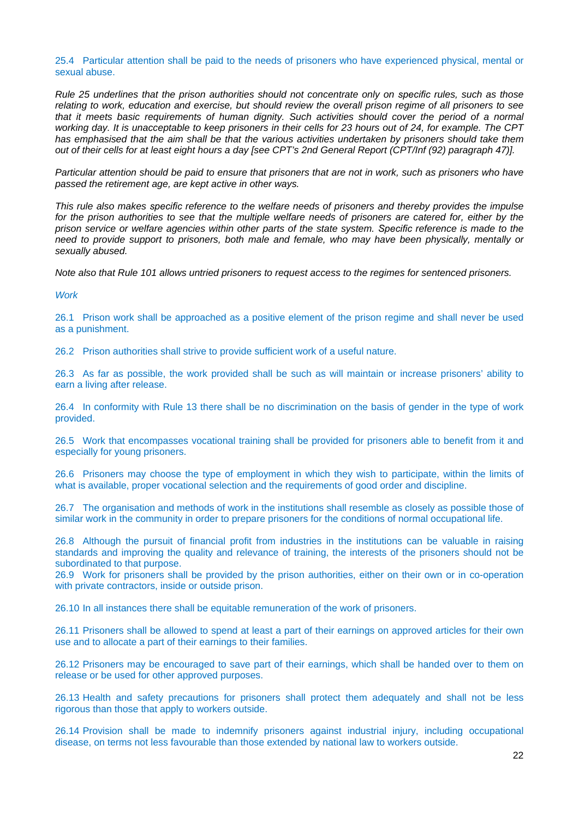25.4 Particular attention shall be paid to the needs of prisoners who have experienced physical, mental or sexual abuse.

*Rule 25 underlines that the prison authorities should not concentrate only on specific rules, such as those relating to work, education and exercise, but should review the overall prison regime of all prisoners to see that it meets basic requirements of human dignity. Such activities should cover the period of a normal working day. It is unacceptable to keep prisoners in their cells for 23 hours out of 24, for example. The CPT has emphasised that the aim shall be that the various activities undertaken by prisoners should take them out of their cells for at least eight hours a day [see CPT's 2nd General Report (CPT/Inf (92) paragraph 47)].*

*Particular attention should be paid to ensure that prisoners that are not in work, such as prisoners who have passed the retirement age, are kept active in other ways.*

*This rule also makes specific reference to the welfare needs of prisoners and thereby provides the impulse for the prison authorities to see that the multiple welfare needs of prisoners are catered for, either by the prison service or welfare agencies within other parts of the state system. Specific reference is made to the need to provide support to prisoners, both male and female, who may have been physically, mentally or sexually abused.*

*Note also that Rule 101 allows untried prisoners to request access to the regimes for sentenced prisoners.*

*Work*

26.1 Prison work shall be approached as a positive element of the prison regime and shall never be used as a punishment.

26.2 Prison authorities shall strive to provide sufficient work of a useful nature.

26.3 As far as possible, the work provided shall be such as will maintain or increase prisoners' ability to earn a living after release.

26.4 In conformity with Rule 13 there shall be no discrimination on the basis of gender in the type of work provided.

26.5 Work that encompasses vocational training shall be provided for prisoners able to benefit from it and especially for young prisoners.

26.6 Prisoners may choose the type of employment in which they wish to participate, within the limits of what is available, proper vocational selection and the requirements of good order and discipline.

26.7 The organisation and methods of work in the institutions shall resemble as closely as possible those of similar work in the community in order to prepare prisoners for the conditions of normal occupational life.

26.8 Although the pursuit of financial profit from industries in the institutions can be valuable in raising standards and improving the quality and relevance of training, the interests of the prisoners should not be subordinated to that purpose.

26.9 Work for prisoners shall be provided by the prison authorities, either on their own or in co-operation with private contractors, inside or outside prison.

26.10 In all instances there shall be equitable remuneration of the work of prisoners.

26.11 Prisoners shall be allowed to spend at least a part of their earnings on approved articles for their own use and to allocate a part of their earnings to their families.

26.12 Prisoners may be encouraged to save part of their earnings, which shall be handed over to them on release or be used for other approved purposes.

26.13 Health and safety precautions for prisoners shall protect them adequately and shall not be less rigorous than those that apply to workers outside.

26.14 Provision shall be made to indemnify prisoners against industrial injury, including occupational disease, on terms not less favourable than those extended by national law to workers outside.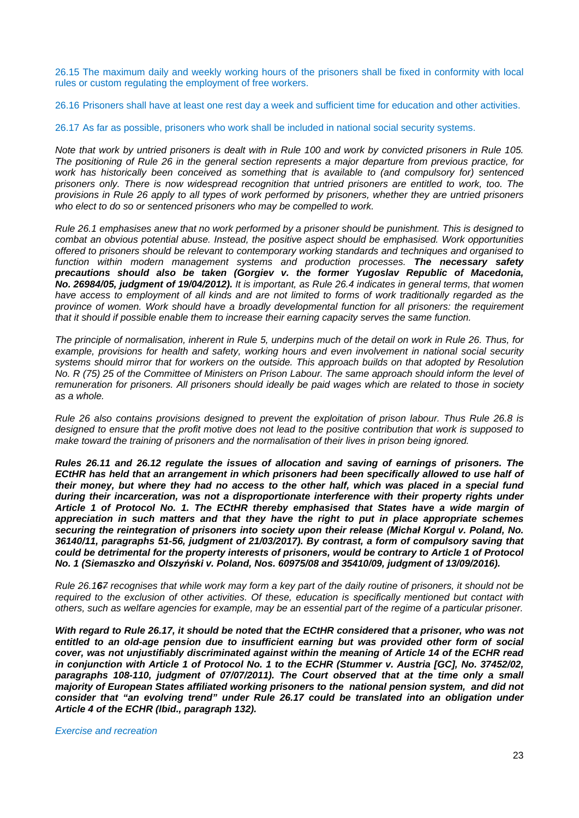26.15 The maximum daily and weekly working hours of the prisoners shall be fixed in conformity with local rules or custom regulating the employment of free workers.

26.16 Prisoners shall have at least one rest day a week and sufficient time for education and other activities.

26.17 As far as possible, prisoners who work shall be included in national social security systems.

*Note that work by untried prisoners is dealt with in Rule 100 and work by convicted prisoners in Rule 105. The positioning of Rule 26 in the general section represents a major departure from previous practice, for work has historically been conceived as something that is available to (and compulsory for) sentenced prisoners only. There is now widespread recognition that untried prisoners are entitled to work, too. The provisions in Rule 26 apply to all types of work performed by prisoners, whether they are untried prisoners who elect to do so or sentenced prisoners who may be compelled to work.*

*Rule 26.1 emphasises anew that no work performed by a prisoner should be punishment. This is designed to combat an obvious potential abuse. Instead, the positive aspect should be emphasised. Work opportunities offered to prisoners should be relevant to contemporary working standards and techniques and organised to function within modern management systems and production processes. The necessary safety precautions should also be taken (Gorgiev v. the former Yugoslav Republic of Macedonia, No. 26984/05, judgment of 19/04/2012). It is important, as Rule 26.4 indicates in general terms, that women have access to employment of all kinds and are not limited to forms of work traditionally regarded as the province of women. Work should have a broadly developmental function for all prisoners: the requirement that it should if possible enable them to increase their earning capacity serves the same function.*

*The principle of normalisation, inherent in Rule 5, underpins much of the detail on work in Rule 26. Thus, for example, provisions for health and safety, working hours and even involvement in national social security systems should mirror that for workers on the outside. This approach builds on that adopted by Resolution No. R (75) 25 of the Committee of Ministers on Prison Labour. The same approach should inform the level of remuneration for prisoners. All prisoners should ideally be paid wages which are related to those in society as a whole.*

*Rule 26 also contains provisions designed to prevent the exploitation of prison labour. Thus Rule 26.8 is designed to ensure that the profit motive does not lead to the positive contribution that work is supposed to make toward the training of prisoners and the normalisation of their lives in prison being ignored.*

*Rules 26.11 and 26.12 regulate the issues of allocation and saving of earnings of prisoners. The ECtHR has held that an arrangement in which prisoners had been specifically allowed to use half of their money, but where they had no access to the other half, which was placed in a special fund during their incarceration, was not a disproportionate interference with their property rights under Article 1 of Protocol No. 1. The ECtHR thereby emphasised that States have a wide margin of appreciation in such matters and that they have the right to put in place appropriate schemes securing the reintegration of prisoners into society upon their release (Michał Korgul v. Poland, No. 36140/11, paragraphs 51-56, judgment of 21/03/2017). By contrast, a form of compulsory saving that could be detrimental for the property interests of prisoners, would be contrary to Article 1 of Protocol No. 1 (Siemaszko and Olszyński v. Poland, Nos. 60975/08 and 35410/09, judgment of 13/09/2016).* 

*Rule 26.167 recognises that while work may form a key part of the daily routine of prisoners, it should not be required to the exclusion of other activities. Of these, education is specifically mentioned but contact with others, such as welfare agencies for example, may be an essential part of the regime of a particular prisoner.*

*With regard to Rule 26.17, it should be noted that the ECtHR considered that a prisoner, who was not entitled to an old-age pension due to insufficient earning but was provided other form of social cover, was not unjustifiably discriminated against within the meaning of Article 14 of the ECHR read in conjunction with Article 1 of Protocol No. 1 to the ECHR (Stummer v. Austria [GC], No. 37452/02, paragraphs 108-110, judgment of 07/07/2011). The Court observed that at the time only a small majority of European States affiliated working prisoners to the national pension system, and did not consider that "an evolving trend" under Rule 26.17 could be translated into an obligation under Article 4 of the ECHR (Ibid., paragraph 132).*

*Exercise and recreation*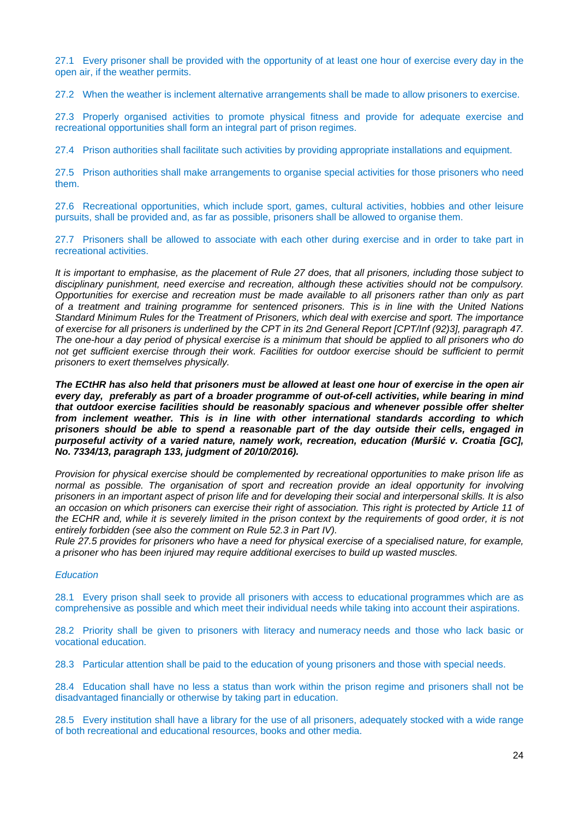27.1 Every prisoner shall be provided with the opportunity of at least one hour of exercise every day in the open air, if the weather permits.

27.2 When the weather is inclement alternative arrangements shall be made to allow prisoners to exercise.

27.3 Properly organised activities to promote physical fitness and provide for adequate exercise and recreational opportunities shall form an integral part of prison regimes.

27.4 Prison authorities shall facilitate such activities by providing appropriate installations and equipment.

27.5 Prison authorities shall make arrangements to organise special activities for those prisoners who need them.

27.6 Recreational opportunities, which include sport, games, cultural activities, hobbies and other leisure pursuits, shall be provided and, as far as possible, prisoners shall be allowed to organise them.

27.7 Prisoners shall be allowed to associate with each other during exercise and in order to take part in recreational activities.

*It is important to emphasise, as the placement of Rule 27 does, that all prisoners, including those subject to disciplinary punishment, need exercise and recreation, although these activities should not be compulsory. Opportunities for exercise and recreation must be made available to all prisoners rather than only as part of a treatment and training programme for sentenced prisoners. This is in line with the United Nations Standard Minimum Rules for the Treatment of Prisoners, which deal with exercise and sport. The importance of exercise for all prisoners is underlined by the CPT in its 2nd General Report [CPT/Inf (92)3], paragraph 47. The one-hour a day period of physical exercise is a minimum that should be applied to all prisoners who do not get sufficient exercise through their work. Facilities for outdoor exercise should be sufficient to permit prisoners to exert themselves physically.*

*The ECtHR has also held that prisoners must be allowed at least one hour of exercise in the open air every day, preferably as part of a broader programme of out-of-cell activities, while bearing in mind that outdoor exercise facilities should be reasonably spacious and whenever possible offer shelter from inclement weather. This is in line with other international standards according to which prisoners should be able to spend a reasonable part of the day outside their cells, engaged in purposeful activity of a varied nature, namely work, recreation, education (Muršić v. Croatia [GC], No. 7334/13, paragraph 133, judgment of 20/10/2016).*

*Provision for physical exercise should be complemented by recreational opportunities to make prison life as normal as possible. The organisation of sport and recreation provide an ideal opportunity for involving prisoners in an important aspect of prison life and for developing their social and interpersonal skills. It is also*  an occasion on which prisoners can exercise their right of association. This right is protected by Article 11 of *the ECHR and, while it is severely limited in the prison context by the requirements of good order, it is not entirely forbidden (see also the comment on Rule 52.3 in Part IV).*

*Rule 27.5 provides for prisoners who have a need for physical exercise of a specialised nature, for example, a prisoner who has been injured may require additional exercises to build up wasted muscles.*

#### *Education*

28.1 Every prison shall seek to provide all prisoners with access to educational programmes which are as comprehensive as possible and which meet their individual needs while taking into account their aspirations.

28.2 Priority shall be given to prisoners with literacy and numeracy needs and those who lack basic or vocational education.

28.3 Particular attention shall be paid to the education of young prisoners and those with special needs.

28.4 Education shall have no less a status than work within the prison regime and prisoners shall not be disadvantaged financially or otherwise by taking part in education.

28.5 Every institution shall have a library for the use of all prisoners, adequately stocked with a wide range of both recreational and educational resources, books and other media.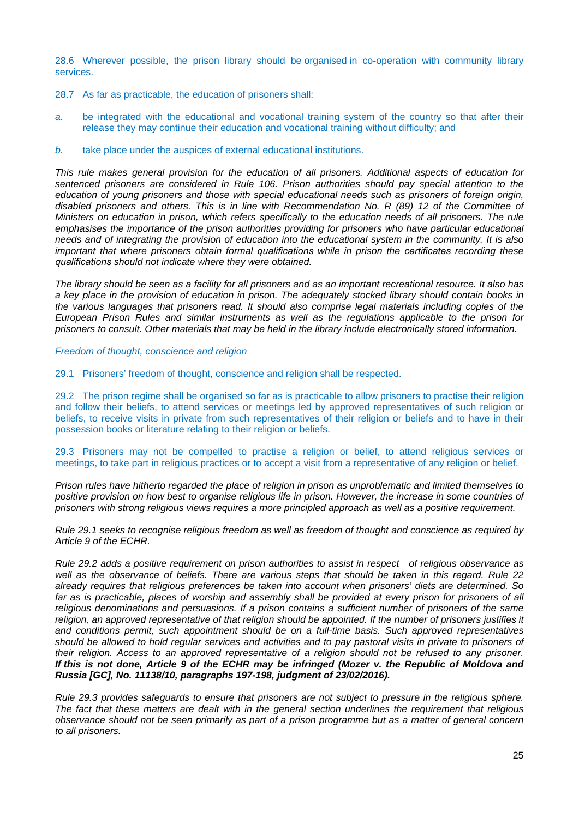28.6 Wherever possible, the prison library should be organised in co-operation with community library services.

- 28.7 As far as practicable, the education of prisoners shall:
- *a.* be integrated with the educational and vocational training system of the country so that after their release they may continue their education and vocational training without difficulty; and
- *b.* take place under the auspices of external educational institutions.

*This rule makes general provision for the education of all prisoners. Additional aspects of education for sentenced prisoners are considered in Rule 106. Prison authorities should pay special attention to the education of young prisoners and those with special educational needs such as prisoners of foreign origin, disabled prisoners and others. This is in line with Recommendation No. R (89) 12 of the Committee of Ministers on education in prison, which refers specifically to the education needs of all prisoners. The rule emphasises the importance of the prison authorities providing for prisoners who have particular educational needs and of integrating the provision of education into the educational system in the community. It is also important that where prisoners obtain formal qualifications while in prison the certificates recording these qualifications should not indicate where they were obtained.*

*The library should be seen as a facility for all prisoners and as an important recreational resource. It also has a key place in the provision of education in prison. The adequately stocked library should contain books in the various languages that prisoners read. It should also comprise legal materials including copies of the European Prison Rules and similar instruments as well as the regulations applicable to the prison for prisoners to consult. Other materials that may be held in the library include electronically stored information.*

## *Freedom of thought, conscience and religion*

29.1 Prisoners' freedom of thought, conscience and religion shall be respected.

29.2 The prison regime shall be organised so far as is practicable to allow prisoners to practise their religion and follow their beliefs, to attend services or meetings led by approved representatives of such religion or beliefs, to receive visits in private from such representatives of their religion or beliefs and to have in their possession books or literature relating to their religion or beliefs.

29.3 Prisoners may not be compelled to practise a religion or belief, to attend religious services or meetings, to take part in religious practices or to accept a visit from a representative of any religion or belief.

*Prison rules have hitherto regarded the place of religion in prison as unproblematic and limited themselves to*  positive provision on how best to organise religious life in prison. However, the increase in some countries of *prisoners with strong religious views requires a more principled approach as well as a positive requirement.*

*Rule 29.1 seeks to recognise religious freedom as well as freedom of thought and conscience as required by Article 9 of the ECHR.*

*Rule 29.2 adds a positive requirement on prison authorities to assist in respect of religious observance as well as the observance of beliefs. There are various steps that should be taken in this regard. Rule 22 already requires that religious preferences be taken into account when prisoners' diets are determined. So*  far as is practicable, places of worship and assembly shall be provided at every prison for prisoners of all *religious denominations and persuasions. If a prison contains a sufficient number of prisoners of the same religion, an approved representative of that religion should be appointed. If the number of prisoners justifies it and conditions permit, such appointment should be on a full-time basis. Such approved representatives should be allowed to hold regular services and activities and to pay pastoral visits in private to prisoners of their religion. Access to an approved representative of a religion should not be refused to any prisoner. If this is not done, Article 9 of the ECHR may be infringed (Mozer v. the Republic of Moldova and Russia [GC], No. 11138/10, paragraphs 197-198, judgment of 23/02/2016).*

*Rule 29.3 provides safeguards to ensure that prisoners are not subject to pressure in the religious sphere. The fact that these matters are dealt with in the general section underlines the requirement that religious observance should not be seen primarily as part of a prison programme but as a matter of general concern to all prisoners.*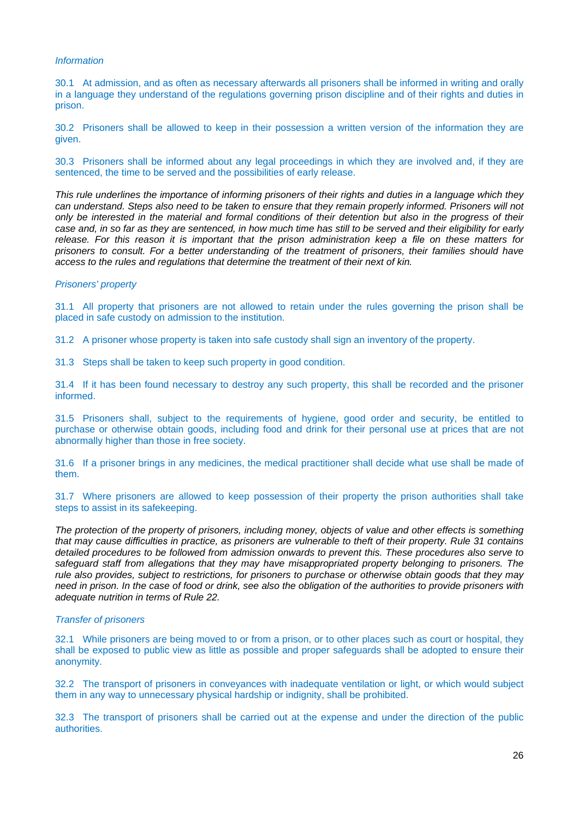## *Information*

30.1 At admission, and as often as necessary afterwards all prisoners shall be informed in writing and orally in a language they understand of the regulations governing prison discipline and of their rights and duties in prison.

30.2 Prisoners shall be allowed to keep in their possession a written version of the information they are given.

30.3 Prisoners shall be informed about any legal proceedings in which they are involved and, if they are sentenced, the time to be served and the possibilities of early release.

*This rule underlines the importance of informing prisoners of their rights and duties in a language which they can understand. Steps also need to be taken to ensure that they remain properly informed. Prisoners will not only be interested in the material and formal conditions of their detention but also in the progress of their case and, in so far as they are sentenced, in how much time has still to be served and their eligibility for early release. For this reason it is important that the prison administration keep a file on these matters for prisoners to consult. For a better understanding of the treatment of prisoners, their families should have access to the rules and regulations that determine the treatment of their next of kin.*

#### *Prisoners' property*

31.1 All property that prisoners are not allowed to retain under the rules governing the prison shall be placed in safe custody on admission to the institution.

31.2 A prisoner whose property is taken into safe custody shall sign an inventory of the property.

31.3 Steps shall be taken to keep such property in good condition.

31.4 If it has been found necessary to destroy any such property, this shall be recorded and the prisoner informed.

31.5 Prisoners shall, subject to the requirements of hygiene, good order and security, be entitled to purchase or otherwise obtain goods, including food and drink for their personal use at prices that are not abnormally higher than those in free society.

31.6 If a prisoner brings in any medicines, the medical practitioner shall decide what use shall be made of them.

31.7 Where prisoners are allowed to keep possession of their property the prison authorities shall take steps to assist in its safekeeping.

*The protection of the property of prisoners, including money, objects of value and other effects is something that may cause difficulties in practice, as prisoners are vulnerable to theft of their property. Rule 31 contains detailed procedures to be followed from admission onwards to prevent this. These procedures also serve to safeguard staff from allegations that they may have misappropriated property belonging to prisoners. The rule also provides, subject to restrictions, for prisoners to purchase or otherwise obtain goods that they may need in prison. In the case of food or drink, see also the obligation of the authorities to provide prisoners with adequate nutrition in terms of Rule 22.*

#### *Transfer of prisoners*

32.1 While prisoners are being moved to or from a prison, or to other places such as court or hospital, they shall be exposed to public view as little as possible and proper safeguards shall be adopted to ensure their anonymity.

32.2 The transport of prisoners in conveyances with inadequate ventilation or light, or which would subject them in any way to unnecessary physical hardship or indignity, shall be prohibited.

32.3 The transport of prisoners shall be carried out at the expense and under the direction of the public authorities.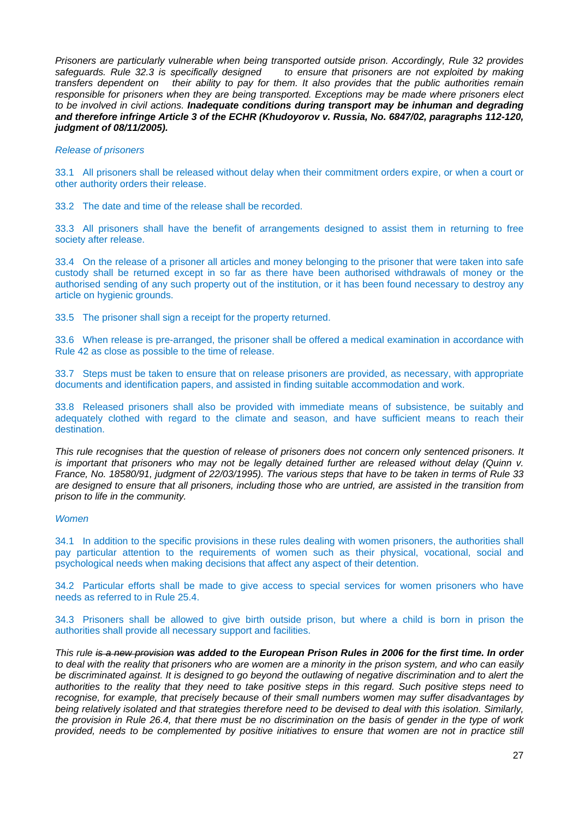*Prisoners are particularly vulnerable when being transported outside prison. Accordingly, Rule 32 provides safeguards. Rule 32.3 is specifically designed to ensure that prisoners are not exploited by making transfers dependent on their ability to pay for them. It also provides that the public authorities remain responsible for prisoners when they are being transported. Exceptions may be made where prisoners elect to be involved in civil actions. Inadequate conditions during transport may be inhuman and degrading and therefore infringe Article 3 of the ECHR (Khudoyorov v. Russia, No. 6847/02, paragraphs 112-120, judgment of 08/11/2005).* 

## *Release of prisoners*

33.1 All prisoners shall be released without delay when their commitment orders expire, or when a court or other authority orders their release.

33.2 The date and time of the release shall be recorded.

33.3 All prisoners shall have the benefit of arrangements designed to assist them in returning to free society after release.

33.4 On the release of a prisoner all articles and money belonging to the prisoner that were taken into safe custody shall be returned except in so far as there have been authorised withdrawals of money or the authorised sending of any such property out of the institution, or it has been found necessary to destroy any article on hygienic grounds.

33.5 The prisoner shall sign a receipt for the property returned.

33.6 When release is pre-arranged, the prisoner shall be offered a medical examination in accordance with Rule 42 as close as possible to the time of release.

33.7 Steps must be taken to ensure that on release prisoners are provided, as necessary, with appropriate documents and identification papers, and assisted in finding suitable accommodation and work.

33.8 Released prisoners shall also be provided with immediate means of subsistence, be suitably and adequately clothed with regard to the climate and season, and have sufficient means to reach their destination.

*This rule recognises that the question of release of prisoners does not concern only sentenced prisoners. It*  is important that prisoners who may not be legally detained further are released without delay (Quinn y. *France, No. 18580/91, judgment of 22/03/1995). The various steps that have to be taken in terms of Rule 33 are designed to ensure that all prisoners, including those who are untried, are assisted in the transition from prison to life in the community.*

#### *Women*

34.1 In addition to the specific provisions in these rules dealing with women prisoners, the authorities shall pay particular attention to the requirements of women such as their physical, vocational, social and psychological needs when making decisions that affect any aspect of their detention.

34.2 Particular efforts shall be made to give access to special services for women prisoners who have needs as referred to in Rule 25.4.

34.3 Prisoners shall be allowed to give birth outside prison, but where a child is born in prison the authorities shall provide all necessary support and facilities.

*This rule is a new provision was added to the European Prison Rules in 2006 for the first time. In order to deal with the reality that prisoners who are women are a minority in the prison system, and who can easily be discriminated against. It is designed to go beyond the outlawing of negative discrimination and to alert the authorities to the reality that they need to take positive steps in this regard. Such positive steps need to recognise, for example, that precisely because of their small numbers women may suffer disadvantages by being relatively isolated and that strategies therefore need to be devised to deal with this isolation. Similarly, the provision in Rule 26.4, that there must be no discrimination on the basis of gender in the type of work provided, needs to be complemented by positive initiatives to ensure that women are not in practice still*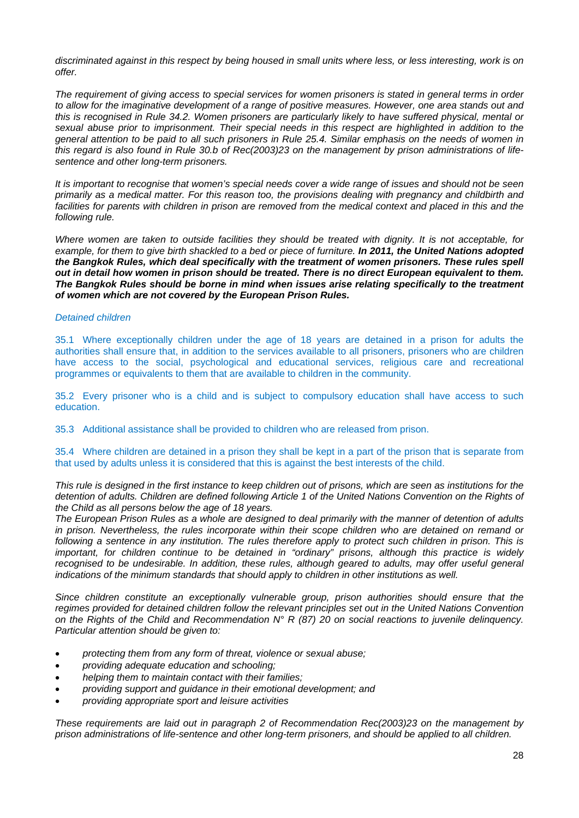*discriminated against in this respect by being housed in small units where less, or less interesting, work is on offer.*

*The requirement of giving access to special services for women prisoners is stated in general terms in order to allow for the imaginative development of a range of positive measures. However, one area stands out and this is recognised in Rule 34.2. Women prisoners are particularly likely to have suffered physical, mental or sexual abuse prior to imprisonment. Their special needs in this respect are highlighted in addition to the general attention to be paid to all such prisoners in Rule 25.4. Similar emphasis on the needs of women in this regard is also found in Rule 30.b of Rec(2003)23 on the management by prison administrations of lifesentence and other long-term prisoners.*

*It is important to recognise that women's special needs cover a wide range of issues and should not be seen primarily as a medical matter. For this reason too, the provisions dealing with pregnancy and childbirth and*  facilities for parents with children in prison are removed from the medical context and placed in this and the *following rule.* 

*Where women are taken to outside facilities they should be treated with dignity. It is not acceptable, for example, for them to give birth shackled to a bed or piece of furniture. In 2011, the United Nations adopted the Bangkok Rules, which deal specifically with the treatment of women prisoners. These rules spell out in detail how women in prison should be treated. There is no direct European equivalent to them. The Bangkok Rules should be borne in mind when issues arise relating specifically to the treatment of women which are not covered by the European Prison Rules.*

## *Detained children*

35.1 Where exceptionally children under the age of 18 years are detained in a prison for adults the authorities shall ensure that, in addition to the services available to all prisoners, prisoners who are children have access to the social, psychological and educational services, religious care and recreational programmes or equivalents to them that are available to children in the community.

35.2 Every prisoner who is a child and is subject to compulsory education shall have access to such education.

35.3 Additional assistance shall be provided to children who are released from prison.

35.4 Where children are detained in a prison they shall be kept in a part of the prison that is separate from that used by adults unless it is considered that this is against the best interests of the child.

*This rule is designed in the first instance to keep children out of prisons, which are seen as institutions for the detention of adults. Children are defined following Article 1 of the United Nations Convention on the Rights of the Child as all persons below the age of 18 years.*

*The European Prison Rules as a whole are designed to deal primarily with the manner of detention of adults in prison. Nevertheless, the rules incorporate within their scope children who are detained on remand or*  following a sentence in any institution. The rules therefore apply to protect such children in prison. This is *important, for children continue to be detained in "ordinary" prisons, although this practice is widely recognised to be undesirable. In addition, these rules, although geared to adults, may offer useful general indications of the minimum standards that should apply to children in other institutions as well.*

*Since children constitute an exceptionally vulnerable group, prison authorities should ensure that the regimes provided for detained children follow the relevant principles set out in the United Nations Convention on the Rights of the Child and Recommendation N° R (87) 20 on social reactions to juvenile delinquency. Particular attention should be given to:*

- *protecting them from any form of threat, violence or sexual abuse;*
- *providing adequate education and schooling;*
- *helping them to maintain contact with their families;*
- *providing support and guidance in their emotional development; and*
- *providing appropriate sport and leisure activities*

*These requirements are laid out in paragraph 2 of Recommendation Rec(2003)23 on the management by prison administrations of life-sentence and other long-term prisoners, and should be applied to all children.*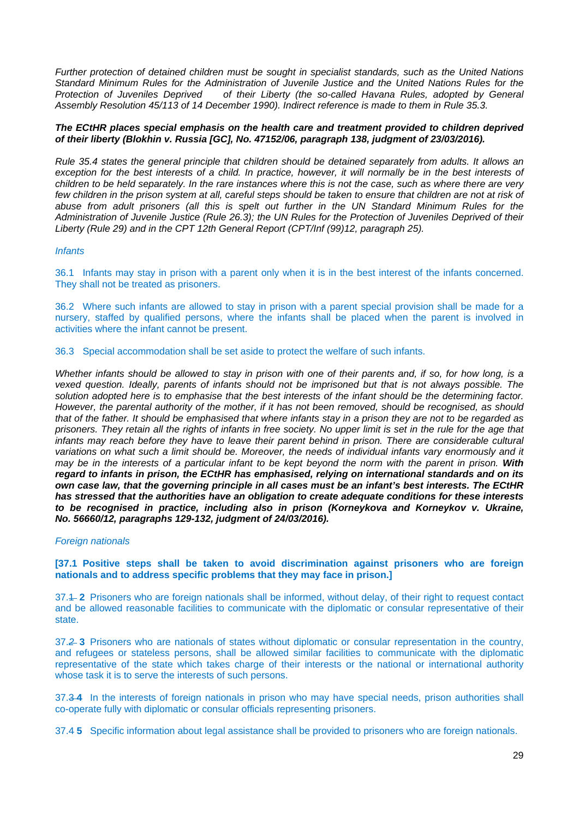*Further protection of detained children must be sought in specialist standards, such as the United Nations Standard Minimum Rules for the Administration of Juvenile Justice and the United Nations Rules for the Protection of Juveniles Deprived of their Liberty (the so-called Havana Rules, adopted by General Assembly Resolution 45/113 of 14 December 1990). Indirect reference is made to them in Rule 35.3.*

## *The ECtHR places special emphasis on the health care and treatment provided to children deprived of their liberty (Blokhin v. Russia [GC], No. 47152/06, paragraph 138, judgment of 23/03/2016).*

*Rule 35.4 states the general principle that children should be detained separately from adults. It allows an*  exception for the best interests of a child. In practice, however, it will normally be in the best interests of *children to be held separately. In the rare instances where this is not the case, such as where there are very*  few children in the prison system at all, careful steps should be taken to ensure that children are not at risk of *abuse from adult prisoners (all this is spelt out further in the UN Standard Minimum Rules for the Administration of Juvenile Justice (Rule 26.3); the UN Rules for the Protection of Juveniles Deprived of their Liberty (Rule 29) and in the CPT 12th General Report (CPT/Inf (99)12, paragraph 25).*

## *Infants*

36.1 Infants may stay in prison with a parent only when it is in the best interest of the infants concerned. They shall not be treated as prisoners.

36.2 Where such infants are allowed to stay in prison with a parent special provision shall be made for a nursery, staffed by qualified persons, where the infants shall be placed when the parent is involved in activities where the infant cannot be present.

36.3 Special accommodation shall be set aside to protect the welfare of such infants.

*Whether infants should be allowed to stay in prison with one of their parents and, if so, for how long, is a vexed question. Ideally, parents of infants should not be imprisoned but that is not always possible. The solution adopted here is to emphasise that the best interests of the infant should be the determining factor. However, the parental authority of the mother, if it has not been removed, should be recognised, as should that of the father. It should be emphasised that where infants stay in a prison they are not to be regarded as prisoners. They retain all the rights of infants in free society. No upper limit is set in the rule for the age that infants may reach before they have to leave their parent behind in prison. There are considerable cultural variations on what such a limit should be. Moreover, the needs of individual infants vary enormously and it may be in the interests of a particular infant to be kept beyond the norm with the parent in prison. With regard to infants in prison, the ECtHR has emphasised, relying on international standards and on its own case law, that the governing principle in all cases must be an infant's best interests. The ECtHR has stressed that the authorities have an obligation to create adequate conditions for these interests to be recognised in practice, including also in prison (Korneykova and Korneykov v. Ukraine, No. 56660/12, paragraphs 129-132, judgment of 24/03/2016).*

## *Foreign nationals*

**[37.1 Positive steps shall be taken to avoid discrimination against prisoners who are foreign nationals and to address specific problems that they may face in prison.]**

37.1 **2** Prisoners who are foreign nationals shall be informed, without delay, of their right to request contact and be allowed reasonable facilities to communicate with the diplomatic or consular representative of their state.

37.*2* **3** Prisoners who are nationals of states without diplomatic or consular representation in the country, and refugees or stateless persons, shall be allowed similar facilities to communicate with the diplomatic representative of the state which takes charge of their interests or the national or international authority whose task it is to serve the interests of such persons.

37.3 **4** In the interests of foreign nationals in prison who may have special needs, prison authorities shall co-operate fully with diplomatic or consular officials representing prisoners.

37.4 **5** Specific information about legal assistance shall be provided to prisoners who are foreign nationals.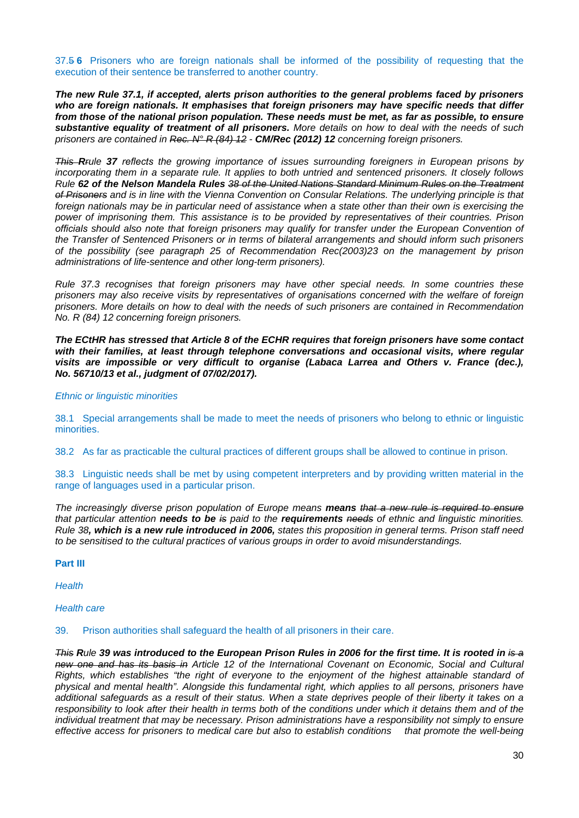37.5 **6** Prisoners who are foreign nationals shall be informed of the possibility of requesting that the execution of their sentence be transferred to another country.

*The new Rule 37.1, if accepted, alerts prison authorities to the general problems faced by prisoners who are foreign nationals. It emphasises that foreign prisoners may have specific needs that differ from those of the national prison population. These needs must be met, as far as possible, to ensure substantive equality of treatment of all prisoners. More details on how to deal with the needs of such prisoners are contained in Rec. N° R (84) 12 - CM/Rec (2012) 12 concerning foreign prisoners.*

*This Rrule 37 reflects the growing importance of issues surrounding foreigners in European prisons by incorporating them in a separate rule. It applies to both untried and sentenced prisoners. It closely follows Rule 62 of the Nelson Mandela Rules 38 of the United Nations Standard Minimum Rules on the Treatment of Prisoners and is in line with the Vienna Convention on Consular Relations. The underlying principle is that foreign nationals may be in particular need of assistance when a state other than their own is exercising the power of imprisoning them. This assistance is to be provided by representatives of their countries. Prison officials should also note that foreign prisoners may qualify for transfer under the European Convention of the Transfer of Sentenced Prisoners or in terms of bilateral arrangements and should inform such prisoners of the possibility (see paragraph 25 of Recommendation Rec(2003)23 on the management by prison administrations of life-sentence and other long-term prisoners).*

*Rule 37.3 recognises that foreign prisoners may have other special needs. In some countries these prisoners may also receive visits by representatives of organisations concerned with the welfare of foreign prisoners. More details on how to deal with the needs of such prisoners are contained in Recommendation No. R (84) 12 concerning foreign prisoners.*

*The ECtHR has stressed that Article 8 of the ECHR requires that foreign prisoners have some contact with their families, at least through telephone conversations and occasional visits, where regular visits are impossible or very difficult to organise (Labaca Larrea and Others v. France (dec.), No. 56710/13 et al., judgment of 07/02/2017).*

*Ethnic or linguistic minorities*

38.1 Special arrangements shall be made to meet the needs of prisoners who belong to ethnic or linguistic minorities.

38.2 As far as practicable the cultural practices of different groups shall be allowed to continue in prison.

38.3 Linguistic needs shall be met by using competent interpreters and by providing written material in the range of languages used in a particular prison.

*The increasingly diverse prison population of Europe means means that a new rule is required to ensure that particular attention needs to be is paid to the requirements needs of ethnic and linguistic minorities. Rule 38, which is a new rule introduced in 2006, states this proposition in general terms. Prison staff need to be sensitised to the cultural practices of various groups in order to avoid misunderstandings.*

**Part III**

*Health*

#### *Health care*

39. Prison authorities shall safeguard the health of all prisoners in their care.

*This Rule 39 was introduced to the European Prison Rules in 2006 for the first time. It is rooted in is a new one and has its basis in Article 12 of the International Covenant on Economic, Social and Cultural Rights, which establishes "the right of everyone to the enjoyment of the highest attainable standard of physical and mental health". Alongside this fundamental right, which applies to all persons, prisoners have additional safeguards as a result of their status. When a state deprives people of their liberty it takes on a responsibility to look after their health in terms both of the conditions under which it detains them and of the individual treatment that may be necessary. Prison administrations have a responsibility not simply to ensure effective access for prisoners to medical care but also to establish conditions that promote the well-being*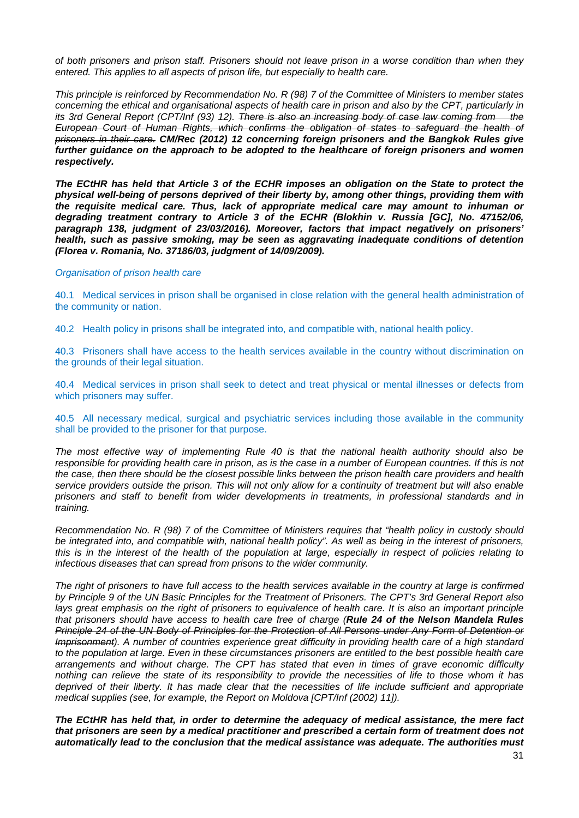*of both prisoners and prison staff. Prisoners should not leave prison in a worse condition than when they entered. This applies to all aspects of prison life, but especially to health care.*

*This principle is reinforced by Recommendation No. R (98) 7 of the Committee of Ministers to member states concerning the ethical and organisational aspects of health care in prison and also by the CPT, particularly in its 3rd General Report (CPT/Inf (93) 12). There is also an increasing body of case law coming from the European Court of Human Rights, which confirms the obligation of states to safeguard the health of prisoners in their care. CM/Rec (2012) 12 concerning foreign prisoners and the Bangkok Rules give further guidance on the approach to be adopted to the healthcare of foreign prisoners and women respectively.* 

*The ECtHR has held that Article 3 of the ECHR imposes an obligation on the State to protect the physical well-being of persons deprived of their liberty by, among other things, providing them with the requisite medical care. Thus, lack of appropriate medical care may amount to inhuman or degrading treatment contrary to Article 3 of the ECHR (Blokhin v. Russia [GC], No. 47152/06, paragraph 138, judgment of 23/03/2016). Moreover, factors that impact negatively on prisoners' health, such as passive smoking, may be seen as aggravating inadequate conditions of detention (Florea v. Romania, No. 37186/03, judgment of 14/09/2009).*

#### *Organisation of prison health care*

40.1 Medical services in prison shall be organised in close relation with the general health administration of the community or nation.

40.2 Health policy in prisons shall be integrated into, and compatible with, national health policy.

40.3 Prisoners shall have access to the health services available in the country without discrimination on the grounds of their legal situation.

40.4 Medical services in prison shall seek to detect and treat physical or mental illnesses or defects from which prisoners may suffer.

40.5 All necessary medical, surgical and psychiatric services including those available in the community shall be provided to the prisoner for that purpose.

*The most effective way of implementing Rule 40 is that the national health authority should also be*  responsible for providing health care in prison, as is the case in a number of European countries. If this is not *the case, then there should be the closest possible links between the prison health care providers and health service providers outside the prison. This will not only allow for a continuity of treatment but will also enable prisoners and staff to benefit from wider developments in treatments, in professional standards and in training.*

*Recommendation No. R (98) 7 of the Committee of Ministers requires that "health policy in custody should be integrated into, and compatible with, national health policy". As well as being in the interest of prisoners, this is in the interest of the health of the population at large, especially in respect of policies relating to infectious diseases that can spread from prisons to the wider community.*

*The right of prisoners to have full access to the health services available in the country at large is confirmed by Principle 9 of the UN Basic Principles for the Treatment of Prisoners. The CPT's 3rd General Report also lays great emphasis on the right of prisoners to equivalence of health care. It is also an important principle that prisoners should have access to health care free of charge (Rule 24 of the Nelson Mandela Rules Principle 24 of the UN Body of Principles for the Protection of All Persons under Any Form of Detention or Imprisonment*). A number of countries experience great difficulty in providing health care of a high standard *to the population at large. Even in these circumstances prisoners are entitled to the best possible health care*  arrangements and without charge. The CPT has stated that even in times of grave economic difficulty *nothing can relieve the state of its responsibility to provide the necessities of life to those whom it has deprived of their liberty. It has made clear that the necessities of life include sufficient and appropriate medical supplies (see, for example, the Report on Moldova [CPT/Inf (2002) 11]).*

*The ECtHR has held that, in order to determine the adequacy of medical assistance, the mere fact that prisoners are seen by a medical practitioner and prescribed a certain form of treatment does not automatically lead to the conclusion that the medical assistance was adequate. The authorities must*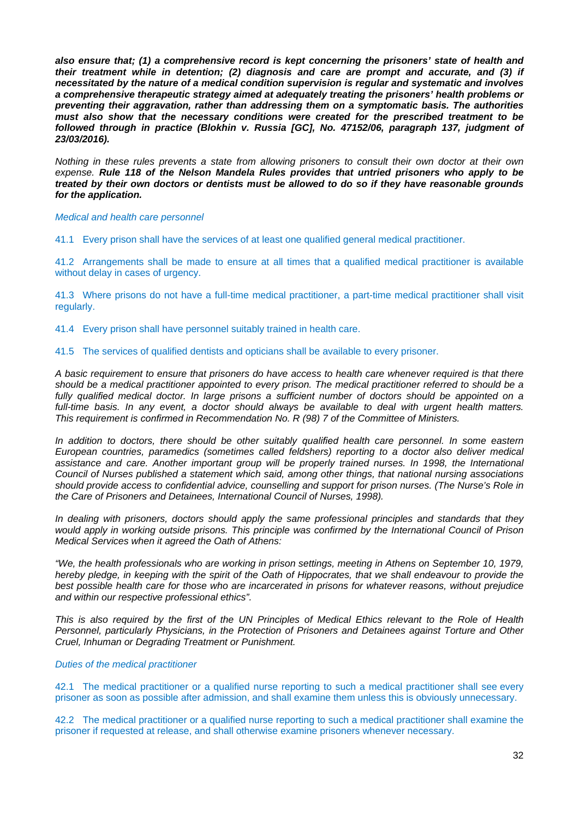*also ensure that; (1) a comprehensive record is kept concerning the prisoners' state of health and their treatment while in detention; (2) diagnosis and care are prompt and accurate, and (3) if necessitated by the nature of a medical condition supervision is regular and systematic and involves a comprehensive therapeutic strategy aimed at adequately treating the prisoners' health problems or preventing their aggravation, rather than addressing them on a symptomatic basis. The authorities must also show that the necessary conditions were created for the prescribed treatment to be followed through in practice (Blokhin v. Russia [GC], No. 47152/06, paragraph 137, judgment of 23/03/2016).*

*Nothing in these rules prevents a state from allowing prisoners to consult their own doctor at their own expense. Rule 118 of the Nelson Mandela Rules provides that untried prisoners who apply to be treated by their own doctors or dentists must be allowed to do so if they have reasonable grounds for the application.*

## *Medical and health care personnel*

41.1 Every prison shall have the services of at least one qualified general medical practitioner.

41.2 Arrangements shall be made to ensure at all times that a qualified medical practitioner is available without delay in cases of urgency.

41.3 Where prisons do not have a full-time medical practitioner, a part-time medical practitioner shall visit regularly.

41.4 Every prison shall have personnel suitably trained in health care.

41.5 The services of qualified dentists and opticians shall be available to every prisoner.

*A basic requirement to ensure that prisoners do have access to health care whenever required is that there should be a medical practitioner appointed to every prison. The medical practitioner referred to should be a fully qualified medical doctor. In large prisons a sufficient number of doctors should be appointed on a*  full-time basis. In any event, a doctor should always be available to deal with urgent health matters. *This requirement is confirmed in Recommendation No. R (98) 7 of the Committee of Ministers.*

*In addition to doctors, there should be other suitably qualified health care personnel. In some eastern European countries, paramedics (sometimes called feldshers) reporting to a doctor also deliver medical assistance and care. Another important group will be properly trained nurses. In 1998, the International Council of Nurses published a statement which said, among other things, that national nursing associations should provide access to confidential advice, counselling and support for prison nurses. (The Nurse's Role in the Care of Prisoners and Detainees, International Council of Nurses, 1998).*

*In dealing with prisoners, doctors should apply the same professional principles and standards that they would apply in working outside prisons. This principle was confirmed by the International Council of Prison Medical Services when it agreed the Oath of Athens:*

*"We, the health professionals who are working in prison settings, meeting in Athens on September 10, 1979, hereby pledge, in keeping with the spirit of the Oath of Hippocrates, that we shall endeavour to provide the best possible health care for those who are incarcerated in prisons for whatever reasons, without prejudice and within our respective professional ethics".*

*This is also required by the first of the UN Principles of Medical Ethics relevant to the Role of Health Personnel, particularly Physicians, in the Protection of Prisoners and Detainees against Torture and Other Cruel, Inhuman or Degrading Treatment or Punishment.*

# *Duties of the medical practitioner*

42.1 The medical practitioner or a qualified nurse reporting to such a medical practitioner shall see every prisoner as soon as possible after admission, and shall examine them unless this is obviously unnecessary.

42.2 The medical practitioner or a qualified nurse reporting to such a medical practitioner shall examine the prisoner if requested at release, and shall otherwise examine prisoners whenever necessary.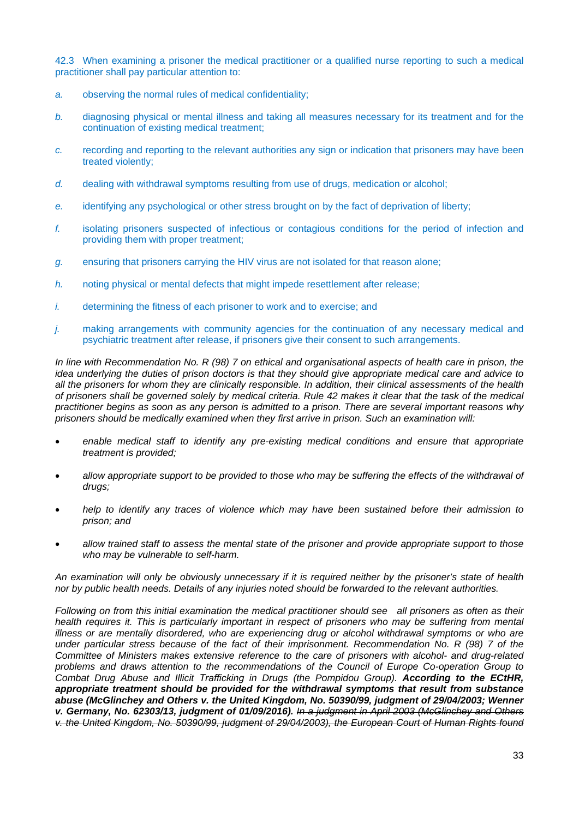42.3 When examining a prisoner the medical practitioner or a qualified nurse reporting to such a medical practitioner shall pay particular attention to:

- *a.* observing the normal rules of medical confidentiality;
- *b.* diagnosing physical or mental illness and taking all measures necessary for its treatment and for the continuation of existing medical treatment;
- *c.* recording and reporting to the relevant authorities any sign or indication that prisoners may have been treated violently;
- *d.* dealing with withdrawal symptoms resulting from use of drugs, medication or alcohol;
- *e.* identifying any psychological or other stress brought on by the fact of deprivation of liberty;
- *f.* isolating prisoners suspected of infectious or contagious conditions for the period of infection and providing them with proper treatment;
- *g.* ensuring that prisoners carrying the HIV virus are not isolated for that reason alone;
- *h.* noting physical or mental defects that might impede resettlement after release;
- *i.* determining the fitness of each prisoner to work and to exercise; and
- *j.* making arrangements with community agencies for the continuation of any necessary medical and psychiatric treatment after release, if prisoners give their consent to such arrangements.

*In line with Recommendation No. R (98) 7 on ethical and organisational aspects of health care in prison, the idea underlying the duties of prison doctors is that they should give appropriate medical care and advice to all the prisoners for whom they are clinically responsible. In addition, their clinical assessments of the health of prisoners shall be governed solely by medical criteria. Rule 42 makes it clear that the task of the medical practitioner begins as soon as any person is admitted to a prison. There are several important reasons why prisoners should be medically examined when they first arrive in prison. Such an examination will:*

- *enable medical staff to identify any pre-existing medical conditions and ensure that appropriate treatment is provided;*
- *allow appropriate support to be provided to those who may be suffering the effects of the withdrawal of drugs;*
- help to identify any traces of violence which may have been sustained before their admission to *prison; and*
- *allow trained staff to assess the mental state of the prisoner and provide appropriate support to those who may be vulnerable to self-harm.*

*An examination will only be obviously unnecessary if it is required neither by the prisoner's state of health nor by public health needs. Details of any injuries noted should be forwarded to the relevant authorities.*

*Following on from this initial examination the medical practitioner should see all prisoners as often as their health requires it. This is particularly important in respect of prisoners who may be suffering from mental illness or are mentally disordered, who are experiencing drug or alcohol withdrawal symptoms or who are under particular stress because of the fact of their imprisonment. Recommendation No. R (98) 7 of the Committee of Ministers makes extensive reference to the care of prisoners with alcohol- and drug-related problems and draws attention to the recommendations of the Council of Europe Co-operation Group to Combat Drug Abuse and Illicit Trafficking in Drugs (the Pompidou Group). According to the ECtHR, appropriate treatment should be provided for the withdrawal symptoms that result from substance abuse (McGlinchey and Others v. the United Kingdom, No. 50390/99, judgment of 29/04/2003; Wenner v. Germany, No. 62303/13, judgment of 01/09/2016). In a judgment in April 2003 (McGlinchey and Others v. the United Kingdom, No. 50390/99, judgment of 29/04/2003), the European Court of Human Rights found*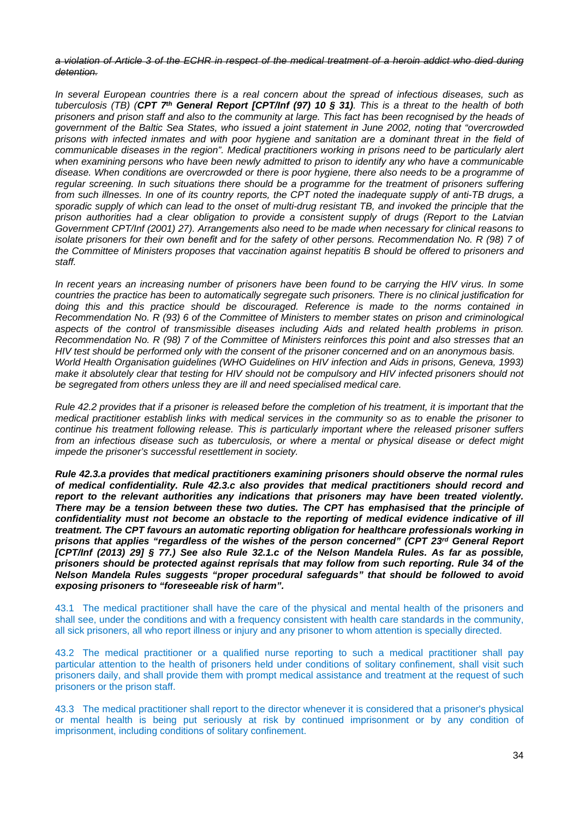### *a violation of Article 3 of the ECHR in respect of the medical treatment of a heroin addict who died during detention.*

*In several European countries there is a real concern about the spread of infectious diseases, such as tuberculosis (TB) (CPT 7th General Report [CPT/Inf (97) 10 § 31). This is a threat to the health of both prisoners and prison staff and also to the community at large. This fact has been recognised by the heads of government of the Baltic Sea States, who issued a joint statement in June 2002, noting that "overcrowded prisons with infected inmates and with poor hygiene and sanitation are a dominant threat in the field of communicable diseases in the region". Medical practitioners working in prisons need to be particularly alert when examining persons who have been newly admitted to prison to identify any who have a communicable disease. When conditions are overcrowded or there is poor hygiene, there also needs to be a programme of regular screening. In such situations there should be a programme for the treatment of prisoners suffering from such illnesses. In one of its country reports, the CPT noted the inadequate supply of anti-TB drugs, a sporadic supply of which can lead to the onset of multi-drug resistant TB, and invoked the principle that the prison authorities had a clear obligation to provide a consistent supply of drugs (Report to the Latvian Government CPT/Inf (2001) 27). Arrangements also need to be made when necessary for clinical reasons to isolate prisoners for their own benefit and for the safety of other persons. Recommendation No. R (98) 7 of the Committee of Ministers proposes that vaccination against hepatitis B should be offered to prisoners and staff.*

*In recent years an increasing number of prisoners have been found to be carrying the HIV virus. In some countries the practice has been to automatically segregate such prisoners. There is no clinical justification for doing this and this practice should be discouraged. Reference is made to the norms contained in Recommendation No. R (93) 6 of the Committee of Ministers to member states on prison and criminological aspects of the control of transmissible diseases including Aids and related health problems in prison. Recommendation No. R (98) 7 of the Committee of Ministers reinforces this point and also stresses that an HIV test should be performed only with the consent of the prisoner concerned and on an anonymous basis. World Health Organisation guidelines (WHO Guidelines on HIV infection and Aids in prisons, Geneva, 1993) make it absolutely clear that testing for HIV should not be compulsory and HIV infected prisoners should not be segregated from others unless they are ill and need specialised medical care.*

*Rule 42.2 provides that if a prisoner is released before the completion of his treatment, it is important that the medical practitioner establish links with medical services in the community so as to enable the prisoner to continue his treatment following release. This is particularly important where the released prisoner suffers from an infectious disease such as tuberculosis, or where a mental or physical disease or defect might impede the prisoner's successful resettlement in society.*

*Rule 42.3.a provides that medical practitioners examining prisoners should observe the normal rules of medical confidentiality. Rule 42.3.c also provides that medical practitioners should record and report to the relevant authorities any indications that prisoners may have been treated violently. There may be a tension between these two duties. The CPT has emphasised that the principle of confidentiality must not become an obstacle to the reporting of medical evidence indicative of ill treatment. The CPT favours an automatic reporting obligation for healthcare professionals working in prisons that applies "regardless of the wishes of the person concerned" (CPT 23rd General Report [CPT/Inf (2013) 29] § 77.) See also Rule 32.1.c of the Nelson Mandela Rules. As far as possible, prisoners should be protected against reprisals that may follow from such reporting. Rule 34 of the Nelson Mandela Rules suggests "proper procedural safeguards" that should be followed to avoid exposing prisoners to "foreseeable risk of harm".* 

43.1 The medical practitioner shall have the care of the physical and mental health of the prisoners and shall see, under the conditions and with a frequency consistent with health care standards in the community, all sick prisoners, all who report illness or injury and any prisoner to whom attention is specially directed.

43.2 The medical practitioner or a qualified nurse reporting to such a medical practitioner shall pay particular attention to the health of prisoners held under conditions of solitary confinement, shall visit such prisoners daily, and shall provide them with prompt medical assistance and treatment at the request of such prisoners or the prison staff.

43.3 The medical practitioner shall report to the director whenever it is considered that a prisoner's physical or mental health is being put seriously at risk by continued imprisonment or by any condition of imprisonment, including conditions of solitary confinement.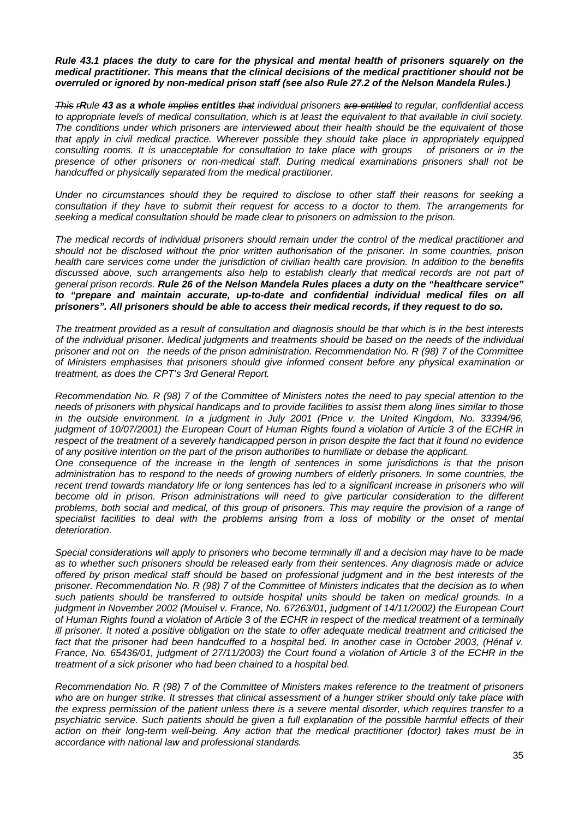*Rule 43.1 places the duty to care for the physical and mental health of prisoners squarely on the medical practitioner. This means that the clinical decisions of the medical practitioner should not be overruled or ignored by non-medical prison staff (see also Rule 27.2 of the Nelson Mandela Rules.)*

*This rRule 43 as a whole implies entitles that individual prisoners are entitled to regular, confidential access to appropriate levels of medical consultation, which is at least the equivalent to that available in civil society. The conditions under which prisoners are interviewed about their health should be the equivalent of those that apply in civil medical practice. Wherever possible they should take place in appropriately equipped consulting rooms. It is unacceptable for consultation to take place with groups of prisoners or in the presence of other prisoners or non-medical staff. During medical examinations prisoners shall not be handcuffed or physically separated from the medical practitioner.*

*Under no circumstances should they be required to disclose to other staff their reasons for seeking a consultation if they have to submit their request for access to a doctor to them. The arrangements for seeking a medical consultation should be made clear to prisoners on admission to the prison.*

*The medical records of individual prisoners should remain under the control of the medical practitioner and should not be disclosed without the prior written authorisation of the prisoner. In some countries, prison health care services come under the jurisdiction of civilian health care provision. In addition to the benefits discussed above, such arrangements also help to establish clearly that medical records are not part of general prison records. Rule 26 of the Nelson Mandela Rules places a duty on the "healthcare service" to "prepare and maintain accurate, up-to-date and confidential individual medical files on all prisoners". All prisoners should be able to access their medical records, if they request to do so.*

*The treatment provided as a result of consultation and diagnosis should be that which is in the best interests of the individual prisoner. Medical judgments and treatments should be based on the needs of the individual prisoner and not on the needs of the prison administration. Recommendation No. R (98) 7 of the Committee of Ministers emphasises that prisoners should give informed consent before any physical examination or treatment, as does the CPT's 3rd General Report.*

*Recommendation No. R (98) 7 of the Committee of Ministers notes the need to pay special attention to the needs of prisoners with physical handicaps and to provide facilities to assist them along lines similar to those in the outside environment. In a judgment in July 2001 (Price v. the United Kingdom, No. 33394/96, judgment of 10/07/2001) the European Court of Human Rights found a violation of Article 3 of the ECHR in respect of the treatment of a severely handicapped person in prison despite the fact that it found no evidence of any positive intention on the part of the prison authorities to humiliate or debase the applicant.*

*One consequence of the increase in the length of sentences in some jurisdictions is that the prison administration has to respond to the needs of growing numbers of elderly prisoners. In some countries, the recent trend towards mandatory life or long sentences has led to a significant increase in prisoners who will become old in prison. Prison administrations will need to give particular consideration to the different problems, both social and medical, of this group of prisoners. This may require the provision of a range of specialist facilities to deal with the problems arising from a loss of mobility or the onset of mental deterioration.*

*Special considerations will apply to prisoners who become terminally ill and a decision may have to be made as to whether such prisoners should be released early from their sentences. Any diagnosis made or advice offered by prison medical staff should be based on professional judgment and in the best interests of the prisoner. Recommendation No. R (98) 7 of the Committee of Ministers indicates that the decision as to when such patients should be transferred to outside hospital units should be taken on medical grounds. In a judgment in November 2002 (Mouisel v. France, No. 67263/01, judgment of 14/11/2002) the European Court of Human Rights found a violation of Article 3 of the ECHR in respect of the medical treatment of a terminally ill prisoner. It noted a positive obligation on the state to offer adequate medical treatment and criticised the*  fact that the prisoner had been handcuffed to a hospital bed. In another case in October 2003, (Hénaf v. *France, No. 65436/01, judgment of 27/11/2003) the Court found a violation of Article 3 of the ECHR in the treatment of a sick prisoner who had been chained to a hospital bed.*

*Recommendation No. R (98) 7 of the Committee of Ministers makes reference to the treatment of prisoners who are on hunger strike. It stresses that clinical assessment of a hunger striker should only take place with the express permission of the patient unless there is a severe mental disorder, which requires transfer to a psychiatric service. Such patients should be given a full explanation of the possible harmful effects of their action on their long-term well-being. Any action that the medical practitioner (doctor) takes must be in accordance with national law and professional standards.*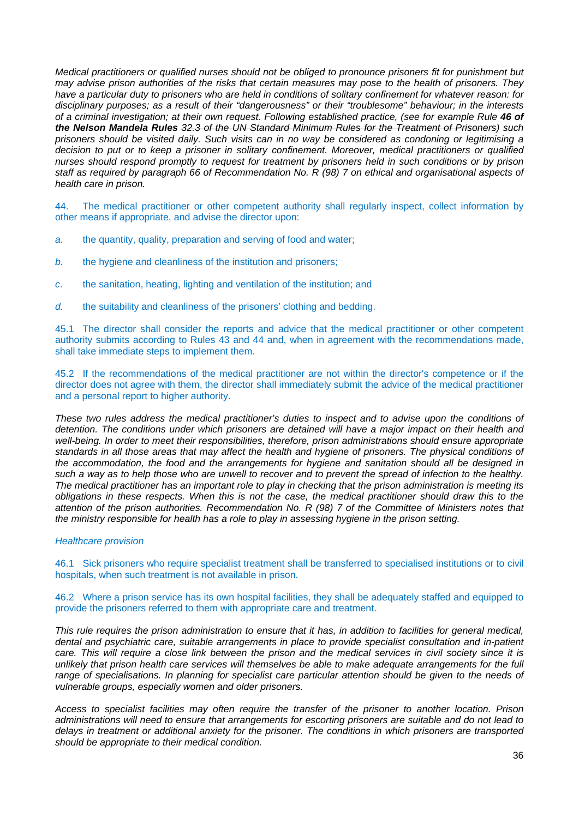*Medical practitioners or qualified nurses should not be obliged to pronounce prisoners fit for punishment but may advise prison authorities of the risks that certain measures may pose to the health of prisoners. They have a particular duty to prisoners who are held in conditions of solitary confinement for whatever reason: for disciplinary purposes; as a result of their "dangerousness" or their "troublesome" behaviour; in the interests of a criminal investigation; at their own request. Following established practice, (see for example Rule 46 of the Nelson Mandela Rules 32.3 of the UN Standard Minimum Rules for the Treatment of Prisoners) such prisoners should be visited daily. Such visits can in no way be considered as condoning or legitimising a decision to put or to keep a prisoner in solitary confinement. Moreover, medical practitioners or qualified nurses should respond promptly to request for treatment by prisoners held in such conditions or by prison staff as required by paragraph 66 of Recommendation No. R (98) 7 on ethical and organisational aspects of health care in prison.*

44. The medical practitioner or other competent authority shall regularly inspect, collect information by other means if appropriate, and advise the director upon:

- *a.* the quantity, quality, preparation and serving of food and water;
- *b.* the hygiene and cleanliness of the institution and prisoners;
- *c*. the sanitation, heating, lighting and ventilation of the institution; and
- *d.* the suitability and cleanliness of the prisoners' clothing and bedding.

45.1 The director shall consider the reports and advice that the medical practitioner or other competent authority submits according to Rules 43 and 44 and, when in agreement with the recommendations made, shall take immediate steps to implement them.

45.2 If the recommendations of the medical practitioner are not within the director's competence or if the director does not agree with them, the director shall immediately submit the advice of the medical practitioner and a personal report to higher authority.

*These two rules address the medical practitioner's duties to inspect and to advise upon the conditions of detention. The conditions under which prisoners are detained will have a major impact on their health and*  well-being. In order to meet their responsibilities, therefore, prison administrations should ensure appropriate *standards in all those areas that may affect the health and hygiene of prisoners. The physical conditions of the accommodation, the food and the arrangements for hygiene and sanitation should all be designed in such a way as to help those who are unwell to recover and to prevent the spread of infection to the healthy. The medical practitioner has an important role to play in checking that the prison administration is meeting its obligations in these respects. When this is not the case, the medical practitioner should draw this to the attention of the prison authorities. Recommendation No. R (98) 7 of the Committee of Ministers notes that the ministry responsible for health has a role to play in assessing hygiene in the prison setting.*

#### *Healthcare provision*

46.1 Sick prisoners who require specialist treatment shall be transferred to specialised institutions or to civil hospitals, when such treatment is not available in prison.

46.2 Where a prison service has its own hospital facilities, they shall be adequately staffed and equipped to provide the prisoners referred to them with appropriate care and treatment.

*This rule requires the prison administration to ensure that it has, in addition to facilities for general medical, dental and psychiatric care, suitable arrangements in place to provide specialist consultation and in-patient care. This will require a close link between the prison and the medical services in civil society since it is unlikely that prison health care services will themselves be able to make adequate arrangements for the full*  range of specialisations. In planning for specialist care particular attention should be given to the needs of *vulnerable groups, especially women and older prisoners.*

*Access to specialist facilities may often require the transfer of the prisoner to another location. Prison administrations will need to ensure that arrangements for escorting prisoners are suitable and do not lead to delays in treatment or additional anxiety for the prisoner. The conditions in which prisoners are transported should be appropriate to their medical condition.*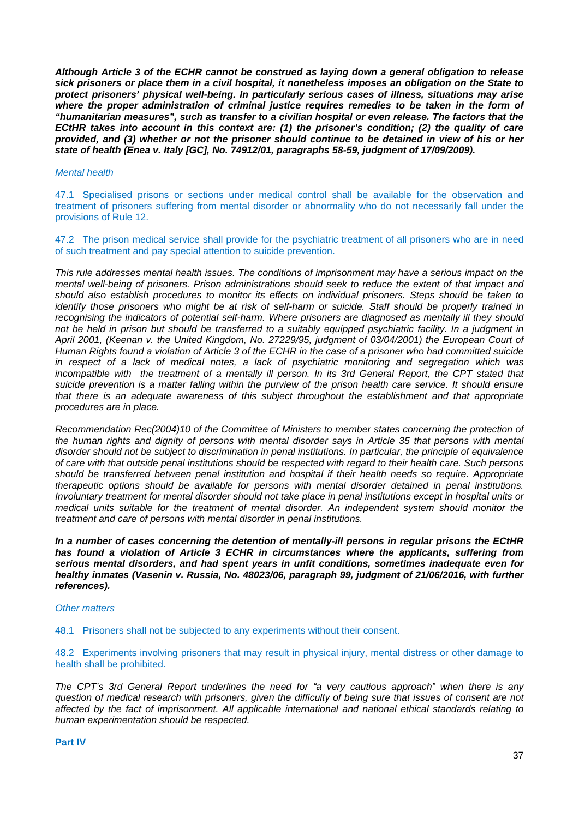*Although Article 3 of the ECHR cannot be construed as laying down a general obligation to release sick prisoners or place them in a civil hospital, it nonetheless imposes an obligation on the State to protect prisoners' physical well-being. In particularly serious cases of illness, situations may arise*  where the proper administration of criminal justice requires remedies to be taken in the form of *"humanitarian measures", such as transfer to a civilian hospital or even release. The factors that the ECtHR takes into account in this context are: (1) the prisoner's condition; (2) the quality of care provided, and (3) whether or not the prisoner should continue to be detained in view of his or her state of health (Enea v. Italy [GC], No. 74912/01, paragraphs 58-59, judgment of 17/09/2009).*

## *Mental health*

47.1 Specialised prisons or sections under medical control shall be available for the observation and treatment of prisoners suffering from mental disorder or abnormality who do not necessarily fall under the provisions of Rule 12.

47.2 The prison medical service shall provide for the psychiatric treatment of all prisoners who are in need of such treatment and pay special attention to suicide prevention.

*This rule addresses mental health issues. The conditions of imprisonment may have a serious impact on the mental well-being of prisoners. Prison administrations should seek to reduce the extent of that impact and should also establish procedures to monitor its effects on individual prisoners. Steps should be taken to identify those prisoners who might be at risk of self-harm or suicide. Staff should be properly trained in recognising the indicators of potential self-harm. Where prisoners are diagnosed as mentally ill they should not be held in prison but should be transferred to a suitably equipped psychiatric facility. In a judgment in April 2001, (Keenan v. the United Kingdom, No. 27229/95, judgment of 03/04/2001) the European Court of Human Rights found a violation of Article 3 of the ECHR in the case of a prisoner who had committed suicide in respect of a lack of medical notes, a lack of psychiatric monitoring and segregation which was*  incompatible with the treatment of a mentally ill person. In its 3rd General Report, the CPT stated that *suicide prevention is a matter falling within the purview of the prison health care service. It should ensure that there is an adequate awareness of this subject throughout the establishment and that appropriate procedures are in place.*

*Recommendation Rec(2004)10 of the Committee of Ministers to member states concerning the protection of the human rights and dignity of persons with mental disorder says in Article 35 that persons with mental disorder should not be subject to discrimination in penal institutions. In particular, the principle of equivalence of care with that outside penal institutions should be respected with regard to their health care. Such persons should be transferred between penal institution and hospital if their health needs so require. Appropriate therapeutic options should be available for persons with mental disorder detained in penal institutions. Involuntary treatment for mental disorder should not take place in penal institutions except in hospital units or medical units suitable for the treatment of mental disorder. An independent system should monitor the treatment and care of persons with mental disorder in penal institutions.*

*In a number of cases concerning the detention of mentally-ill persons in regular prisons the ECtHR has found a violation of Article 3 ECHR in circumstances where the applicants, suffering from serious mental disorders, and had spent years in unfit conditions, sometimes inadequate even for healthy inmates (Vasenin v. Russia, No. 48023/06, paragraph 99, judgment of 21/06/2016, with further references).*

## *Other matters*

48.1 Prisoners shall not be subjected to any experiments without their consent.

48.2 Experiments involving prisoners that may result in physical injury, mental distress or other damage to health shall be prohibited.

*The CPT's 3rd General Report underlines the need for "a very cautious approach" when there is any question of medical research with prisoners, given the difficulty of being sure that issues of consent are not affected by the fact of imprisonment. All applicable international and national ethical standards relating to human experimentation should be respected.*

#### **Part IV**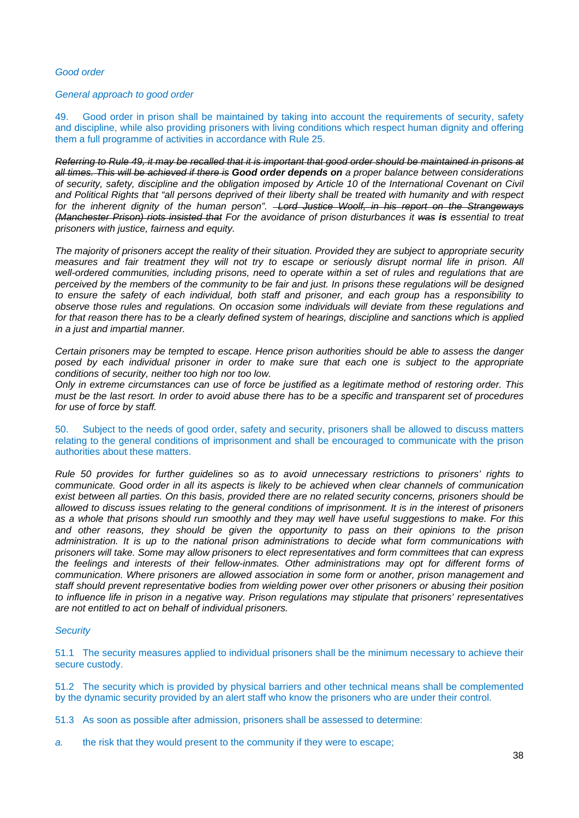# *Good order*

## *General approach to good order*

49. Good order in prison shall be maintained by taking into account the requirements of security, safety and discipline, while also providing prisoners with living conditions which respect human dignity and offering them a full programme of activities in accordance with Rule 25.

*Referring to Rule 49, it may be recalled that it is important that good order should be maintained in prisons at all times. This will be achieved if there is Good order depends on a proper balance between considerations of security, safety, discipline and the obligation imposed by Article 10 of the International Covenant on Civil and Political Rights that "all persons deprived of their liberty shall be treated with humanity and with respect for the inherent dignity of the human person". Lord Justice Woolf, in his report on the Strangeways (Manchester Prison) riots insisted that For the avoidance of prison disturbances it was is essential to treat prisoners with justice, fairness and equity.*

*The majority of prisoners accept the reality of their situation. Provided they are subject to appropriate security*  measures and fair treatment they will not try to escape or seriously disrupt normal life in prison. All well-ordered communities, including prisons, need to operate within a set of rules and regulations that are *perceived by the members of the community to be fair and just. In prisons these regulations will be designed to ensure the safety of each individual, both staff and prisoner, and each group has a responsibility to observe those rules and regulations. On occasion some individuals will deviate from these regulations and for that reason there has to be a clearly defined system of hearings, discipline and sanctions which is applied in a just and impartial manner.*

*Certain prisoners may be tempted to escape. Hence prison authorities should be able to assess the danger posed by each individual prisoner in order to make sure that each one is subject to the appropriate conditions of security, neither too high nor too low.*

*Only in extreme circumstances can use of force be justified as a legitimate method of restoring order. This must be the last resort. In order to avoid abuse there has to be a specific and transparent set of procedures for use of force by staff.*

50. Subject to the needs of good order, safety and security, prisoners shall be allowed to discuss matters relating to the general conditions of imprisonment and shall be encouraged to communicate with the prison authorities about these matters.

*Rule 50 provides for further guidelines so as to avoid unnecessary restrictions to prisoners' rights to communicate. Good order in all its aspects is likely to be achieved when clear channels of communication exist between all parties. On this basis, provided there are no related security concerns, prisoners should be allowed to discuss issues relating to the general conditions of imprisonment. It is in the interest of prisoners as a whole that prisons should run smoothly and they may well have useful suggestions to make. For this and other reasons, they should be given the opportunity to pass on their opinions to the prison administration. It is up to the national prison administrations to decide what form communications with prisoners will take. Some may allow prisoners to elect representatives and form committees that can express the feelings and interests of their fellow-inmates. Other administrations may opt for different forms of communication. Where prisoners are allowed association in some form or another, prison management and staff should prevent representative bodies from wielding power over other prisoners or abusing their position to influence life in prison in a negative way. Prison regulations may stipulate that prisoners' representatives are not entitled to act on behalf of individual prisoners.*

## *Security*

51.1 The security measures applied to individual prisoners shall be the minimum necessary to achieve their secure custody.

51.2 The security which is provided by physical barriers and other technical means shall be complemented by the dynamic security provided by an alert staff who know the prisoners who are under their control.

51.3 As soon as possible after admission, prisoners shall be assessed to determine:

*a.* the risk that they would present to the community if they were to escape;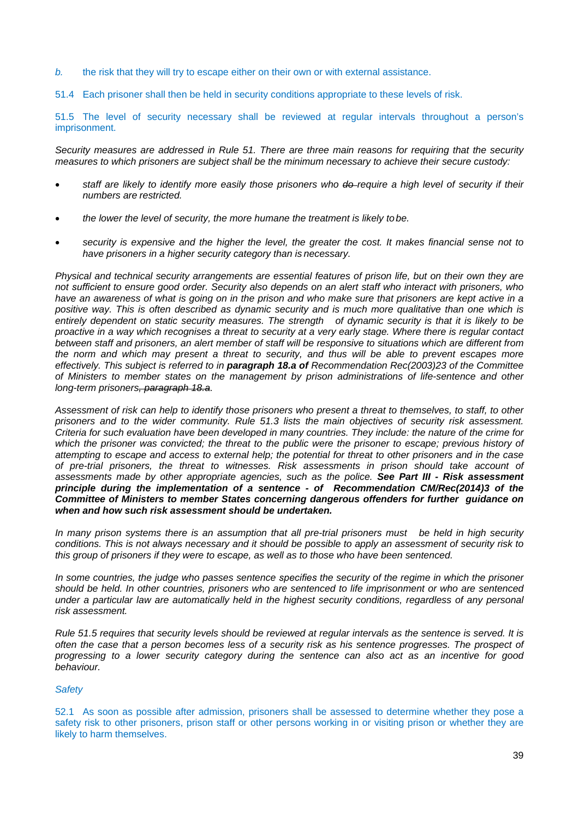- *b.* the risk that they will try to escape either on their own or with external assistance.
- 51.4 Each prisoner shall then be held in security conditions appropriate to these levels of risk.

51.5 The level of security necessary shall be reviewed at regular intervals throughout a person's imprisonment.

*Security measures are addressed in Rule 51. There are three main reasons for requiring that the security measures to which prisoners are subject shall be the minimum necessary to achieve their secure custody:*

- *staff are likely to identify more easily those prisoners who do require a high level of security if their numbers are restricted.*
- *the lower the level of security, the more humane the treatment is likely to be.*
- *security is expensive and the higher the level, the greater the cost. It makes financial sense not to have prisoners in a higher security category than is necessary.*

*Physical and technical security arrangements are essential features of prison life, but on their own they are not sufficient to ensure good order. Security also depends on an alert staff who interact with prisoners, who have an awareness of what is going on in the prison and who make sure that prisoners are kept active in a positive way. This is often described as dynamic security and is much more qualitative than one which is entirely dependent on static security measures. The strength of dynamic security is that it is likely to be proactive in a way which recognises a threat to security at a very early stage. Where there is regular contact between staff and prisoners, an alert member of staff will be responsive to situations which are different from the norm and which may present a threat to security, and thus will be able to prevent escapes more effectively. This subject is referred to in paragraph 18.a of Recommendation Rec(2003)23 of the Committee of Ministers to member states on the management by prison administrations of life-sentence and other long-term prisoners, paragraph 18.a.*

*Assessment of risk can help to identify those prisoners who present a threat to themselves, to staff, to other prisoners and to the wider community. Rule 51.3 lists the main objectives of security risk assessment. Criteria for such evaluation have been developed in many countries. They include: the nature of the crime for*  which the prisoner was convicted; the threat to the public were the prisoner to escape; previous history of *attempting to escape and access to external help; the potential for threat to other prisoners and in the case of pre-trial prisoners, the threat to witnesses. Risk assessments in prison should take account of assessments made by other appropriate agencies, such as the police. See Part III - Risk assessment principle during the implementation of a sentence - of Recommendation CM/Rec(2014)3 of the Committee of Ministers to member States concerning dangerous offenders for further guidance on when and how such risk assessment should be undertaken.* 

*In many prison systems there is an assumption that all pre-trial prisoners must be held in high security conditions. This is not always necessary and it should be possible to apply an assessment of security risk to this group of prisoners if they were to escape, as well as to those who have been sentenced.*

*In some countries, the judge who passes sentence specifies the security of the regime in which the prisoner should be held. In other countries, prisoners who are sentenced to life imprisonment or who are sentenced under a particular law are automatically held in the highest security conditions, regardless of any personal risk assessment.*

*Rule 51.5 requires that security levels should be reviewed at regular intervals as the sentence is served. It is often the case that a person becomes less of a security risk as his sentence progresses. The prospect of progressing to a lower security category during the sentence can also act as an incentive for good behaviour.*

# *Safety*

52.1 As soon as possible after admission, prisoners shall be assessed to determine whether they pose a safety risk to other prisoners, prison staff or other persons working in or visiting prison or whether they are likely to harm themselves.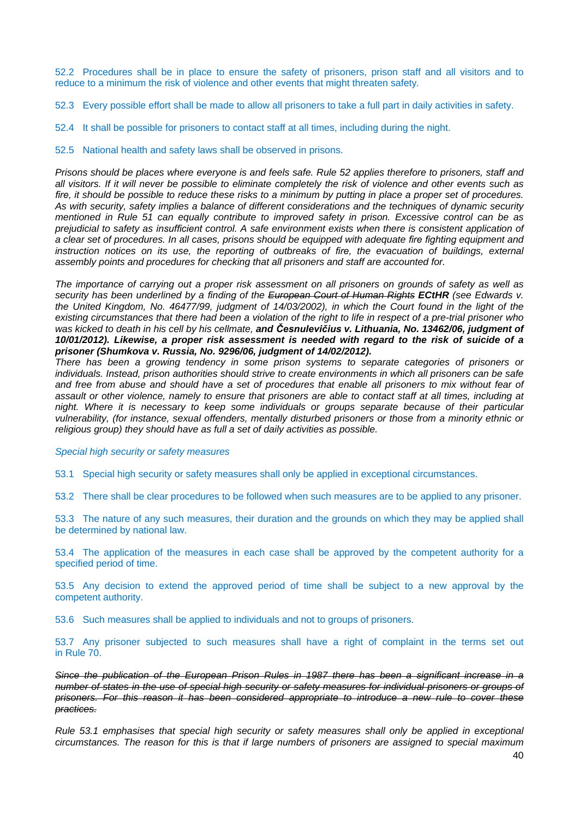52.2 Procedures shall be in place to ensure the safety of prisoners, prison staff and all visitors and to reduce to a minimum the risk of violence and other events that might threaten safety*.*

- 52.3 Every possible effort shall be made to allow all prisoners to take a full part in daily activities in safety.
- 52.4 It shall be possible for prisoners to contact staff at all times, including during the night.
- 52.5 National health and safety laws shall be observed in prisons.

*Prisons should be places where everyone is and feels safe. Rule 52 applies therefore to prisoners, staff and all visitors. If it will never be possible to eliminate completely the risk of violence and other events such as fire, it should be possible to reduce these risks to a minimum by putting in place a proper set of procedures. As with security, safety implies a balance of different considerations and the techniques of dynamic security mentioned in Rule 51 can equally contribute to improved safety in prison. Excessive control can be as prejudicial to safety as insufficient control. A safe environment exists when there is consistent application of a clear set of procedures. In all cases, prisons should be equipped with adequate fire fighting equipment and instruction notices on its use, the reporting of outbreaks of fire, the evacuation of buildings, external assembly points and procedures for checking that all prisoners and staff are accounted for.*

*The importance of carrying out a proper risk assessment on all prisoners on grounds of safety as well as security has been underlined by a finding of the European Court of Human Rights ECtHR (see Edwards v. the United Kingdom, No. 46477/99, judgment of 14/03/2002), in which the Court found in the light of the existing circumstances that there had been a violation of the right to life in respect of a pre-trial prisoner who was kicked to death in his cell by his cellmate, and Česnulevičius v. Lithuania, No. 13462/06, judgment of 10/01/2012). Likewise, a proper risk assessment is needed with regard to the risk of suicide of a prisoner (Shumkova v. Russia, No. 9296/06, judgment of 14/02/2012).*

*There has been a growing tendency in some prison systems to separate categories of prisoners or individuals. Instead, prison authorities should strive to create environments in which all prisoners can be safe and free from abuse and should have a set of procedures that enable all prisoners to mix without fear of assault or other violence, namely to ensure that prisoners are able to contact staff at all times, including at night. Where it is necessary to keep some individuals or groups separate because of their particular vulnerability, (for instance, sexual offenders, mentally disturbed prisoners or those from a minority ethnic or religious group) they should have as full a set of daily activities as possible.*

#### *Special high security or safety measures*

53.1 Special high security or safety measures shall only be applied in exceptional circumstances.

53.2 There shall be clear procedures to be followed when such measures are to be applied to any prisoner.

53.3 The nature of any such measures, their duration and the grounds on which they may be applied shall be determined by national law.

53.4 The application of the measures in each case shall be approved by the competent authority for a specified period of time.

53.5 Any decision to extend the approved period of time shall be subject to a new approval by the competent authority.

53.6 Such measures shall be applied to individuals and not to groups of prisoners.

53.7 Any prisoner subjected to such measures shall have a right of complaint in the terms set out in Rule 70.

*Since the publication of the European Prison Rules in 1987 there has been a significant increase in a number of states in the use of special high security or safety measures for individual prisoners or groups of prisoners. For this reason it has been considered appropriate to introduce a new rule to cover these practices.*

*Rule 53.1 emphasises that special high security or safety measures shall only be applied in exceptional circumstances. The reason for this is that if large numbers of prisoners are assigned to special maximum*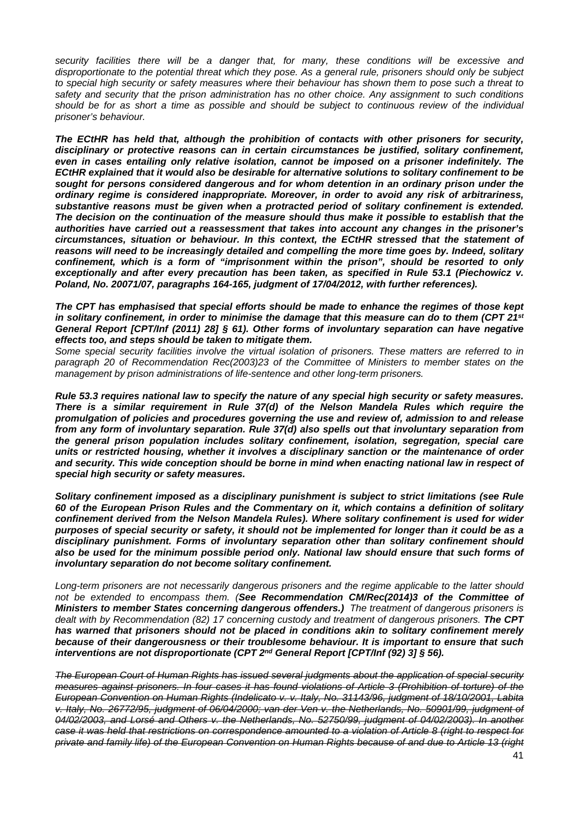*security facilities there will be a danger that, for many, these conditions will be excessive and disproportionate to the potential threat which they pose. As a general rule, prisoners should only be subject to special high security or safety measures where their behaviour has shown them to pose such a threat to safety and security that the prison administration has no other choice. Any assignment to such conditions should be for as short a time as possible and should be subject to continuous review of the individual prisoner's behaviour.*

*The ECtHR has held that, although the prohibition of contacts with other prisoners for security, disciplinary or protective reasons can in certain circumstances be justified, solitary confinement, even in cases entailing only relative isolation, cannot be imposed on a prisoner indefinitely. The ECtHR explained that it would also be desirable for alternative solutions to solitary confinement to be sought for persons considered dangerous and for whom detention in an ordinary prison under the ordinary regime is considered inappropriate. Moreover, in order to avoid any risk of arbitrariness, substantive reasons must be given when a protracted period of solitary confinement is extended. The decision on the continuation of the measure should thus make it possible to establish that the authorities have carried out a reassessment that takes into account any changes in the prisoner's circumstances, situation or behaviour. In this context, the ECtHR stressed that the statement of reasons will need to be increasingly detailed and compelling the more time goes by. Indeed, solitary confinement, which is a form of "imprisonment within the prison", should be resorted to only exceptionally and after every precaution has been taken, as specified in Rule 53.1 (Piechowicz v. Poland, No. 20071/07, paragraphs 164-165, judgment of 17/04/2012, with further references).*

*The CPT has emphasised that special efforts should be made to enhance the regimes of those kept in solitary confinement, in order to minimise the damage that this measure can do to them (CPT 21st General Report [CPT/Inf (2011) 28] § 61). Other forms of involuntary separation can have negative effects too, and steps should be taken to mitigate them.*

*Some special security facilities involve the virtual isolation of prisoners. These matters are referred to in paragraph 20 of Recommendation Rec(2003)23 of the Committee of Ministers to member states on the management by prison administrations of life-sentence and other long-term prisoners.*

*Rule 53.3 requires national law to specify the nature of any special high security or safety measures. There is a similar requirement in Rule 37(d) of the Nelson Mandela Rules which require the promulgation of policies and procedures governing the use and review of, admission to and release from any form of involuntary separation. Rule 37(d) also spells out that involuntary separation from the general prison population includes solitary confinement, isolation, segregation, special care units or restricted housing, whether it involves a disciplinary sanction or the maintenance of order and security. This wide conception should be borne in mind when enacting national law in respect of special high security or safety measures.*

*Solitary confinement imposed as a disciplinary punishment is subject to strict limitations (see Rule 60 of the European Prison Rules and the Commentary on it, which contains a definition of solitary confinement derived from the Nelson Mandela Rules). Where solitary confinement is used for wider purposes of special security or safety, it should not be implemented for longer than it could be as a disciplinary punishment. Forms of involuntary separation other than solitary confinement should also be used for the minimum possible period only. National law should ensure that such forms of involuntary separation do not become solitary confinement.*

*Long-term prisoners are not necessarily dangerous prisoners and the regime applicable to the latter should not be extended to encompass them. (See Recommendation CM/Rec(2014)3 of the Committee of Ministers to member States concerning dangerous offenders.) The treatment of dangerous prisoners is dealt with by Recommendation (82) 17 concerning custody and treatment of dangerous prisoners. The CPT has warned that prisoners should not be placed in conditions akin to solitary confinement merely because of their dangerousness or their troublesome behaviour. It is important to ensure that such interventions are not disproportionate (CPT 2nd General Report [CPT/Inf (92) 3] § 56).*

*The European Court of Human Rights has issued several judgments about the application of special security measures against prisoners. In four cases it has found violations of Article 3 (Prohibition of torture) of the European Convention on Human Rights (Indelicato v. v. Italy, No. 31143/96, judgment of 18/10/2001, Labita v. Italy, No. 26772/95, judgment of 06/04/2000; van der Ven v. the Netherlands, No. 50901/99, judgment of 04/02/2003, and Lorsé and Others v. the Netherlands, No. 52750/99, judgment of 04/02/2003). In another case it was held that restrictions on correspondence amounted to a violation of Article 8 (right to respect for private and family life) of the European Convention on Human Rights because of and due to Article 13 (right*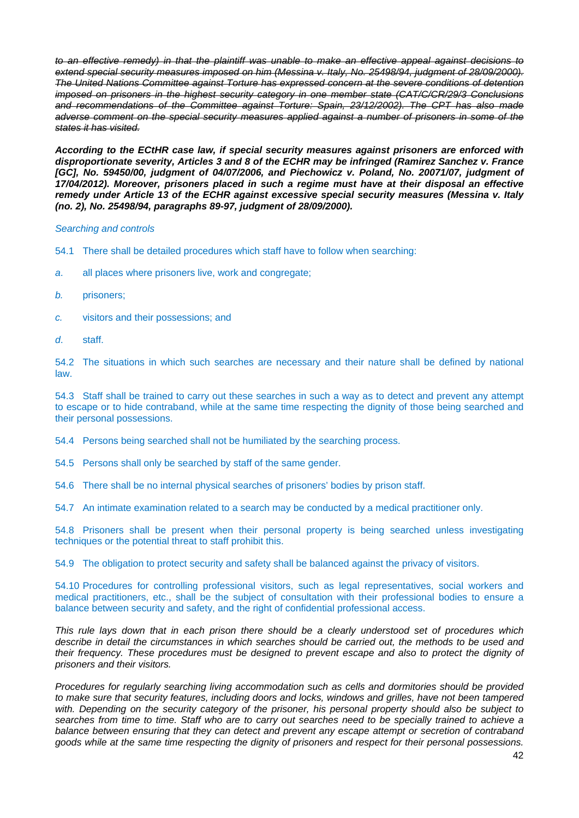*to an effective remedy) in that the plaintiff was unable to make an effective appeal against decisions to extend special security measures imposed on him (Messina v. Italy, No. 25498/94, judgment of 28/09/2000). The United Nations Committee against Torture has expressed concern at the severe conditions of detention imposed on prisoners in the highest security category in one member state (CAT/C/CR/29/3 Conclusions and recommendations of the Committee against Torture: Spain, 23/12/2002). The CPT has also made adverse comment on the special security measures applied against a number of prisoners in some of the states it has visited.*

*According to the ECtHR case law, if special security measures against prisoners are enforced with disproportionate severity, Articles 3 and 8 of the ECHR may be infringed (Ramirez Sanchez v. France [GC], No. 59450/00, judgment of 04/07/2006, and Piechowicz v. Poland, No. 20071/07, judgment of 17/04/2012). Moreover, prisoners placed in such a regime must have at their disposal an effective remedy under Article 13 of the ECHR against excessive special security measures (Messina v. Italy (no. 2), No. 25498/94, paragraphs 89-97, judgment of 28/09/2000).*

# *Searching and controls*

- 54.1 There shall be detailed procedures which staff have to follow when searching:
- *a*. all places where prisoners live, work and congregate;
- *b.* prisoners;
- *c.* visitors and their possessions; and
- *d*. staff.

54.2 The situations in which such searches are necessary and their nature shall be defined by national law.

54.3 Staff shall be trained to carry out these searches in such a way as to detect and prevent any attempt to escape or to hide contraband, while at the same time respecting the dignity of those being searched and their personal possessions.

54.4 Persons being searched shall not be humiliated by the searching process.

54.5 Persons shall only be searched by staff of the same gender.

54.6 There shall be no internal physical searches of prisoners' bodies by prison staff.

54.7 An intimate examination related to a search may be conducted by a medical practitioner only.

54.8 Prisoners shall be present when their personal property is being searched unless investigating techniques or the potential threat to staff prohibit this.

54.9 The obligation to protect security and safety shall be balanced against the privacy of visitors.

54.10 Procedures for controlling professional visitors, such as legal representatives, social workers and medical practitioners, etc., shall be the subject of consultation with their professional bodies to ensure a balance between security and safety, and the right of confidential professional access.

*This rule lays down that in each prison there should be a clearly understood set of procedures which describe in detail the circumstances in which searches should be carried out, the methods to be used and their frequency. These procedures must be designed to prevent escape and also to protect the dignity of prisoners and their visitors.*

*Procedures for regularly searching living accommodation such as cells and dormitories should be provided to make sure that security features, including doors and locks, windows and grilles, have not been tampered with. Depending on the security category of the prisoner, his personal property should also be subject to searches from time to time. Staff who are to carry out searches need to be specially trained to achieve a balance between ensuring that they can detect and prevent any escape attempt or secretion of contraband goods while at the same time respecting the dignity of prisoners and respect for their personal possessions.*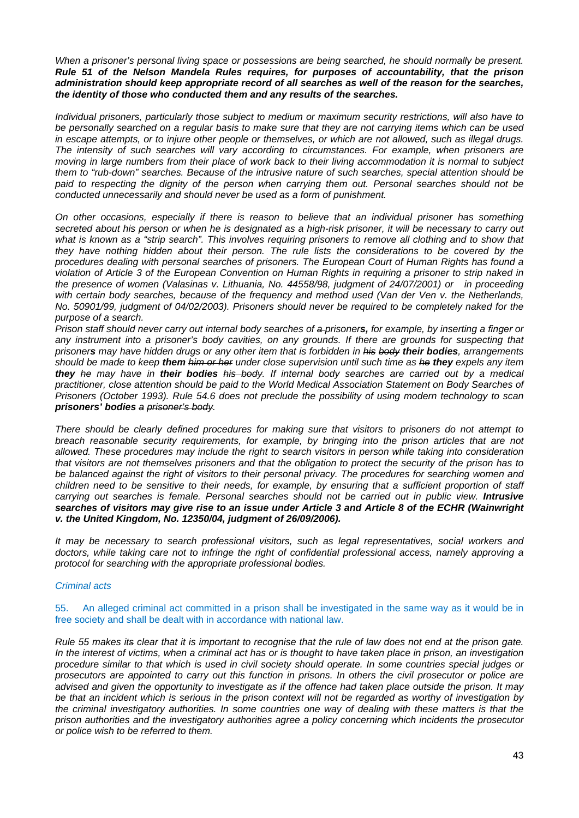*When a prisoner's personal living space or possessions are being searched, he should normally be present. Rule 51 of the Nelson Mandela Rules requires, for purposes of accountability, that the prison administration should keep appropriate record of all searches as well of the reason for the searches, the identity of those who conducted them and any results of the searches.*

*Individual prisoners, particularly those subject to medium or maximum security restrictions, will also have to be personally searched on a regular basis to make sure that they are not carrying items which can be used in escape attempts, or to injure other people or themselves, or which are not allowed, such as illegal drugs. The intensity of such searches will vary according to circumstances. For example, when prisoners are moving in large numbers from their place of work back to their living accommodation it is normal to subject them to "rub-down" searches. Because of the intrusive nature of such searches, special attention should be paid to respecting the dignity of the person when carrying them out. Personal searches should not be conducted unnecessarily and should never be used as a form of punishment.*

*On other occasions, especially if there is reason to believe that an individual prisoner has something secreted about his person or when he is designated as a high-risk prisoner, it will be necessary to carry out*  what is known as a "strip search". This involves requiring prisoners to remove all clothing and to show that *they have nothing hidden about their person. The rule lists the considerations to be covered by the procedures dealing with personal searches of prisoners. The European Court of Human Rights has found a violation of Article 3 of the European Convention on Human Rights in requiring a prisoner to strip naked in the presence of women (Valasinas v. Lithuania, No. 44558/98, judgment of 24/07/2001) or in proceeding with certain body searches, because of the frequency and method used (Van der Ven v. the Netherlands, No. 50901/99, judgment of 04/02/2003). Prisoners should never be required to be completely naked for the purpose of a search.*

*Prison staff should never carry out internal body searches of a prisoners, for example, by inserting a finger or any instrument into a prisoner's body cavities, on any grounds. If there are grounds for suspecting that prisoners may have hidden drugs or any other item that is forbidden in his body their bodies, arrangements should be made to keep them him or her under close supervision until such time as he they expels any item they he may have in their bodies his body. If internal body searches are carried out by a medical practitioner, close attention should be paid to the World Medical Association Statement on Body Searches of Prisoners (October 1993). Rule 54.6 does not preclude the possibility of using modern technology to scan prisoners' bodies a prisoner's body.*

*There should be clearly defined procedures for making sure that visitors to prisoners do not attempt to breach reasonable security requirements, for example, by bringing into the prison articles that are not allowed. These procedures may include the right to search visitors in person while taking into consideration that visitors are not themselves prisoners and that the obligation to protect the security of the prison has to be balanced against the right of visitors to their personal privacy. The procedures for searching women and children need to be sensitive to their needs, for example, by ensuring that a sufficient proportion of staff carrying out searches is female. Personal searches should not be carried out in public view. Intrusive searches of visitors may give rise to an issue under Article 3 and Article 8 of the ECHR (Wainwright v. the United Kingdom, No. 12350/04, judgment of 26/09/2006).*

*It may be necessary to search professional visitors, such as legal representatives, social workers and doctors, while taking care not to infringe the right of confidential professional access, namely approving a protocol for searching with the appropriate professional bodies.*

# *Criminal acts*

55. An alleged criminal act committed in a prison shall be investigated in the same way as it would be in free society and shall be dealt with in accordance with national law.

*Rule 55 makes its clear that it is important to recognise that the rule of law does not end at the prison gate. In the interest of victims, when a criminal act has or is thought to have taken place in prison, an investigation procedure similar to that which is used in civil society should operate. In some countries special judges or prosecutors are appointed to carry out this function in prisons. In others the civil prosecutor or police are advised and given the opportunity to investigate as if the offence had taken place outside the prison. It may be that an incident which is serious in the prison context will not be regarded as worthy of investigation by the criminal investigatory authorities. In some countries one way of dealing with these matters is that the prison authorities and the investigatory authorities agree a policy concerning which incidents the prosecutor or police wish to be referred to them.*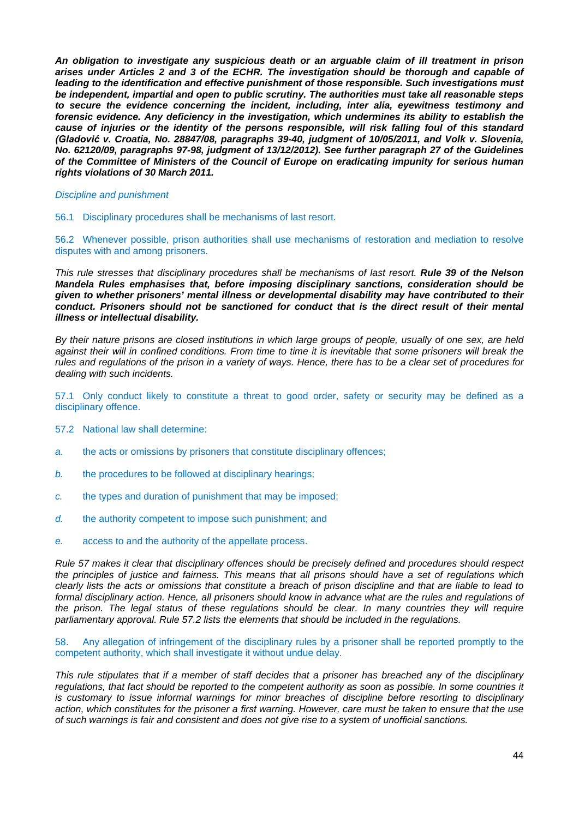*An obligation to investigate any suspicious death or an arguable claim of ill treatment in prison arises under Articles 2 and 3 of the ECHR. The investigation should be thorough and capable of leading to the identification and effective punishment of those responsible. Such investigations must be independent, impartial and open to public scrutiny. The authorities must take all reasonable steps to secure the evidence concerning the incident, including, inter alia, eyewitness testimony and forensic evidence. Any deficiency in the investigation, which undermines its ability to establish the cause of injuries or the identity of the persons responsible, will risk falling foul of this standard (Gladović v. Croatia, No. 28847/08, paragraphs 39-40, judgment of 10/05/2011, and Volk v. Slovenia, No. 62120/09, paragraphs 97-98, judgment of 13/12/2012). See further paragraph 27 of the Guidelines of the Committee of Ministers of the Council of Europe on eradicating impunity for serious human rights violations of 30 March 2011.*

## *Discipline and punishment*

56.1 Disciplinary procedures shall be mechanisms of last resort.

56.2 Whenever possible, prison authorities shall use mechanisms of restoration and mediation to resolve disputes with and among prisoners.

*This rule stresses that disciplinary procedures shall be mechanisms of last resort. Rule 39 of the Nelson Mandela Rules emphasises that, before imposing disciplinary sanctions, consideration should be given to whether prisoners' mental illness or developmental disability may have contributed to their conduct. Prisoners should not be sanctioned for conduct that is the direct result of their mental illness or intellectual disability.* 

*By their nature prisons are closed institutions in which large groups of people, usually of one sex, are held against their will in confined conditions. From time to time it is inevitable that some prisoners will break the rules and regulations of the prison in a variety of ways. Hence, there has to be a clear set of procedures for dealing with such incidents.*

57.1 Only conduct likely to constitute a threat to good order, safety or security may be defined as a disciplinary offence.

- 57.2 National law shall determine:
- *a.* the acts or omissions by prisoners that constitute disciplinary offences;
- *b.* the procedures to be followed at disciplinary hearings;
- *c.* the types and duration of punishment that may be imposed;
- *d.* the authority competent to impose such punishment; and
- *e.* access to and the authority of the appellate process.

*Rule 57 makes it clear that disciplinary offences should be precisely defined and procedures should respect the principles of justice and fairness. This means that all prisons should have a set of regulations which clearly lists the acts or omissions that constitute a breach of prison discipline and that are liable to lead to*  formal disciplinary action. Hence, all prisoners should know in advance what are the rules and regulations of *the prison. The legal status of these regulations should be clear. In many countries they will require parliamentary approval. Rule 57.2 lists the elements that should be included in the regulations.*

58. Any allegation of infringement of the disciplinary rules by a prisoner shall be reported promptly to the competent authority, which shall investigate it without undue delay.

*This rule stipulates that if a member of staff decides that a prisoner has breached any of the disciplinary*  regulations, that fact should be reported to the competent authority as soon as possible. In some countries it *is customary to issue informal warnings for minor breaches of discipline before resorting to disciplinary action, which constitutes for the prisoner a first warning. However, care must be taken to ensure that the use of such warnings is fair and consistent and does not give rise to a system of unofficial sanctions.*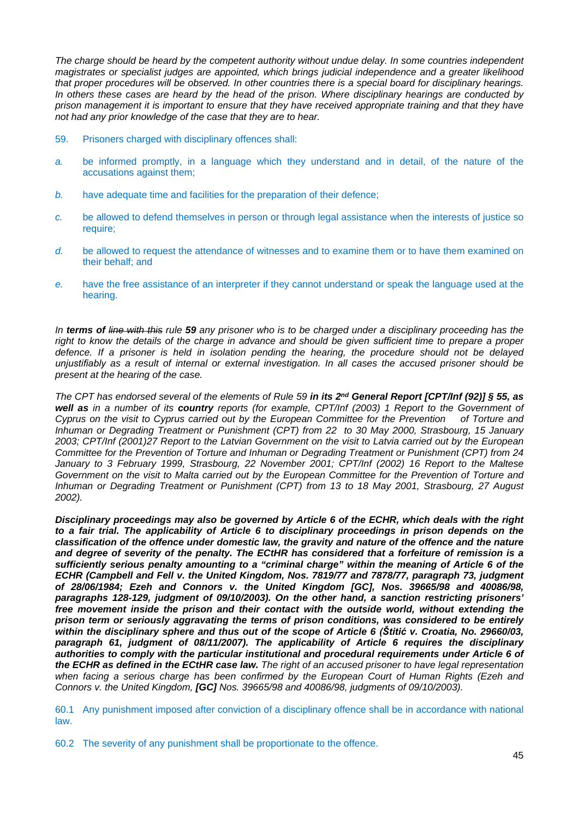*The charge should be heard by the competent authority without undue delay. In some countries independent magistrates or specialist judges are appointed, which brings judicial independence and a greater likelihood that proper procedures will be observed. In other countries there is a special board for disciplinary hearings. In others these cases are heard by the head of the prison. Where disciplinary hearings are conducted by prison management it is important to ensure that they have received appropriate training and that they have not had any prior knowledge of the case that they are to hear.*

- 59. Prisoners charged with disciplinary offences shall:
- *a.* be informed promptly, in a language which they understand and in detail, of the nature of the accusations against them;
- *b.* have adequate time and facilities for the preparation of their defence;
- *c.* be allowed to defend themselves in person or through legal assistance when the interests of justice so require;
- *d.* be allowed to request the attendance of witnesses and to examine them or to have them examined on their behalf; and
- *e.* have the free assistance of an interpreter if they cannot understand or speak the language used at the hearing.

*In terms of line with this rule 59 any prisoner who is to be charged under a disciplinary proceeding has the right to know the details of the charge in advance and should be given sufficient time to prepare a proper defence. If a prisoner is held in isolation pending the hearing, the procedure should not be delayed unjustifiably as a result of internal or external investigation. In all cases the accused prisoner should be present at the hearing of the case.*

*The CPT has endorsed several of the elements of Rule 59 in its 2nd General Report [CPT/Inf (92)] § 55, as well as in a number of its country reports (for example, CPT/Inf (2003) 1 Report to the Government of Cyprus on the visit to Cyprus carried out by the European Committee for the Prevention of Torture and Inhuman or Degrading Treatment or Punishment (CPT) from 22 to 30 May 2000, Strasbourg, 15 January 2003; CPT/Inf (2001)27 Report to the Latvian Government on the visit to Latvia carried out by the European Committee for the Prevention of Torture and Inhuman or Degrading Treatment or Punishment (CPT) from 24 January to 3 February 1999, Strasbourg, 22 November 2001; CPT/Inf (2002) 16 Report to the Maltese Government on the visit to Malta carried out by the European Committee for the Prevention of Torture and Inhuman or Degrading Treatment or Punishment (CPT) from 13 to 18 May 2001, Strasbourg, 27 August 2002).*

*Disciplinary proceedings may also be governed by Article 6 of the ECHR, which deals with the right to a fair trial. The applicability of Article 6 to disciplinary proceedings in prison depends on the classification of the offence under domestic law, the gravity and nature of the offence and the nature and degree of severity of the penalty. The ECtHR has considered that a forfeiture of remission is a sufficiently serious penalty amounting to a "criminal charge" within the meaning of Article 6 of the ECHR (Campbell and Fell v. the United Kingdom, Nos. 7819/77 and 7878/77, paragraph 73, judgment of 28/06/1984; Ezeh and Connors v. the United Kingdom [GC], Nos. 39665/98 and 40086/98, paragraphs 128-129, judgment of 09/10/2003). On the other hand, a sanction restricting prisoners' free movement inside the prison and their contact with the outside world, without extending the prison term or seriously aggravating the terms of prison conditions, was considered to be entirely within the disciplinary sphere and thus out of the scope of Article 6 (Štitić v. Croatia, No. 29660/03, paragraph 61, judgment of 08/11/2007). The applicability of Article 6 requires the disciplinary authorities to comply with the particular institutional and procedural requirements under Article 6 of the ECHR as defined in the ECtHR case law. The right of an accused prisoner to have legal representation when facing a serious charge has been confirmed by the European Court of Human Rights (Ezeh and Connors v. the United Kingdom, [GC] Nos. 39665/98 and 40086/98, judgments of 09/10/2003).*

60.1 Any punishment imposed after conviction of a disciplinary offence shall be in accordance with national law.

<sup>60.2</sup> The severity of any punishment shall be proportionate to the offence.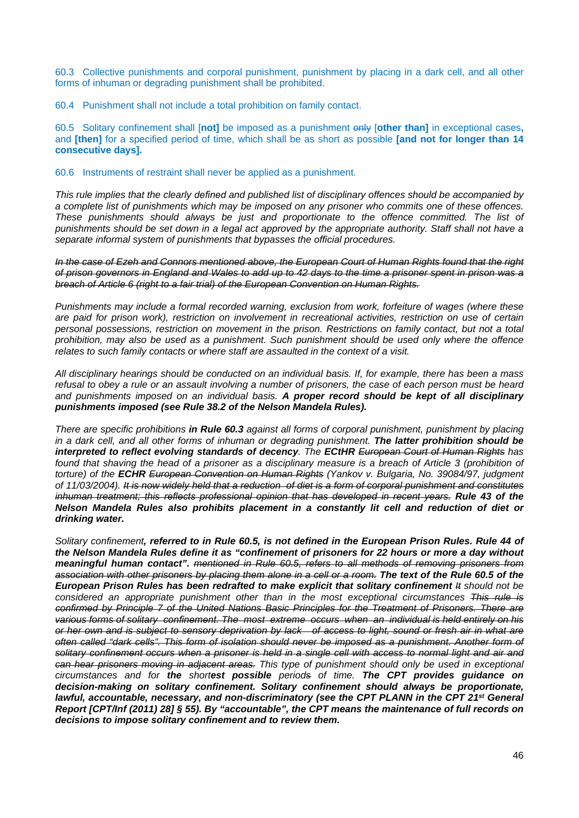60.3 Collective punishments and corporal punishment, punishment by placing in a dark cell, and all other forms of inhuman or degrading punishment shall be prohibited.

60.4 Punishment shall not include a total prohibition on family contact.

60.5 Solitary confinement shall [**not]** be imposed as a punishment only [**other than]** in exceptional cases**,** and **[then]** for a specified period of time, which shall be as short as possible **[and not for longer than 14 consecutive days].**

## 60.6 Instruments of restraint shall never be applied as a punishment.

*This rule implies that the clearly defined and published list of disciplinary offences should be accompanied by a complete list of punishments which may be imposed on any prisoner who commits one of these offences. These punishments should always be just and proportionate to the offence committed. The list of punishments should be set down in a legal act approved by the appropriate authority. Staff shall not have a separate informal system of punishments that bypasses the official procedures.*

*In the case of Ezeh and Connors mentioned above, the European Court of Human Rights found that the right of prison governors in England and Wales to add up to 42 days to the time a prisoner spent in prison was a breach of Article 6 (right to a fair trial) of the European Convention on Human Rights.*

*Punishments may include a formal recorded warning, exclusion from work, forfeiture of wages (where these are paid for prison work), restriction on involvement in recreational activities, restriction on use of certain personal possessions, restriction on movement in the prison. Restrictions on family contact, but not a total prohibition, may also be used as a punishment. Such punishment should be used only where the offence relates to such family contacts or where staff are assaulted in the context of a visit.*

*All disciplinary hearings should be conducted on an individual basis. If, for example, there has been a mass refusal to obey a rule or an assault involving a number of prisoners, the case of each person must be heard and punishments imposed on an individual basis. A proper record should be kept of all disciplinary punishments imposed (see Rule 38.2 of the Nelson Mandela Rules).* 

*There are specific prohibitions in Rule 60.3 against all forms of corporal punishment, punishment by placing in a dark cell, and all other forms of inhuman or degrading punishment. The latter prohibition should be interpreted to reflect evolving standards of decency. The ECtHR European Court of Human Rights has*  found that shaving the head of a prisoner as a disciplinary measure is a breach of Article 3 (prohibition of *torture) of the ECHR European Convention on Human Rights (Yankov v. Bulgaria, No. 39084/97, judgment of 11/03/2004). It is now widely held that a reduction of diet is a form of corporal punishment and constitutes inhuman treatment; this reflects professional opinion that has developed in recent years. Rule 43 of the Nelson Mandela Rules also prohibits placement in a constantly lit cell and reduction of diet or drinking water.* 

*Solitary confinement, referred to in Rule 60.5, is not defined in the European Prison Rules. Rule 44 of the Nelson Mandela Rules define it as "confinement of prisoners for 22 hours or more a day without meaningful human contact". mentioned in Rule 60.5, refers to all methods of removing prisoners from association with other prisoners by placing them alone in a cell or a room. The text of the Rule 60.5 of the European Prison Rules has been redrafted to make explicit that solitary confinement # should not be considered an appropriate punishment other than in the most exceptional circumstances This rule is confirmed by Principle 7 of the United Nations Basic Principles for the Treatment of Prisoners. There are various forms of solitary confinement. The most extreme occurs when an individual is held entirely on his or her own and is subject to sensory deprivation by lack of access to light, sound or fresh air in what are often called "dark cells". This form of isolation should never be imposed as a punishment. Another form of solitary confinement occurs when a prisoner is held in a single cell with access to normal light and air and can hear prisoners moving in adjacent areas. This type of punishment should only be used in exceptional circumstances and for the shortest possible periods of time. The CPT provides guidance on decision-making on solitary confinement. Solitary confinement should always be proportionate, lawful, accountable, necessary, and non-discriminatory (see the CPT PLANN in the CPT 21st General Report [CPT/Inf (2011) 28] § 55). By "accountable", the CPT means the maintenance of full records on decisions to impose solitary confinement and to review them.*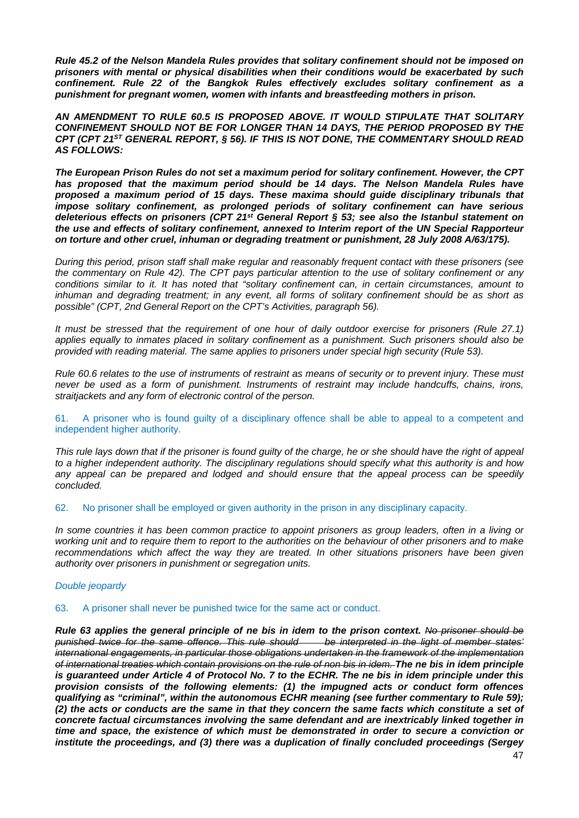*Rule 45.2 of the Nelson Mandela Rules provides that solitary confinement should not be imposed on prisoners with mental or physical disabilities when their conditions would be exacerbated by such confinement. Rule 22 of the Bangkok Rules effectively excludes solitary confinement as a punishment for pregnant women, women with infants and breastfeeding mothers in prison.* 

*AN AMENDMENT TO RULE 60.5 IS PROPOSED ABOVE. IT WOULD STIPULATE THAT SOLITARY CONFINEMENT SHOULD NOT BE FOR LONGER THAN 14 DAYS, THE PERIOD PROPOSED BY THE CPT (CPT 21ST GENERAL REPORT, § 56). IF THIS IS NOT DONE, THE COMMENTARY SHOULD READ AS FOLLOWS:*

*The European Prison Rules do not set a maximum period for solitary confinement. However, the CPT has proposed that the maximum period should be 14 days. The Nelson Mandela Rules have proposed a maximum period of 15 days. These maxima should guide disciplinary tribunals that impose solitary confinement, as prolonged periods of solitary confinement can have serious deleterious effects on prisoners (CPT 21st General Report § 53; see also the Istanbul statement on the use and effects of solitary confinement, annexed to Interim report of the UN Special Rapporteur on torture and other cruel, inhuman or degrading treatment or punishment, 28 July 2008 A/63/175).*

*During this period, prison staff shall make regular and reasonably frequent contact with these prisoners (see the commentary on Rule 42). The CPT pays particular attention to the use of solitary confinement or any conditions similar to it. It has noted that "solitary confinement can, in certain circumstances, amount to inhuman and degrading treatment; in any event, all forms of solitary confinement should be as short as possible" (CPT, 2nd General Report on the CPT's Activities, paragraph 56).*

*It must be stressed that the requirement of one hour of daily outdoor exercise for prisoners (Rule 27.1) applies equally to inmates placed in solitary confinement as a punishment. Such prisoners should also be provided with reading material. The same applies to prisoners under special high security (Rule 53).*

*Rule 60.6 relates to the use of instruments of restraint as means of security or to prevent injury. These must never be used as a form of punishment. Instruments of restraint may include handcuffs, chains, irons, straitjackets and any form of electronic control of the person.*

## 61. A prisoner who is found guilty of a disciplinary offence shall be able to appeal to a competent and independent higher authority.

*This rule lays down that if the prisoner is found guilty of the charge, he or she should have the right of appeal to a higher independent authority. The disciplinary regulations should specify what this authority is and how any appeal can be prepared and lodged and should ensure that the appeal process can be speedily concluded.*

62. No prisoner shall be employed or given authority in the prison in any disciplinary capacity.

*In some countries it has been common practice to appoint prisoners as group leaders, often in a living or working unit and to require them to report to the authorities on the behaviour of other prisoners and to make recommendations which affect the way they are treated. In other situations prisoners have been given authority over prisoners in punishment or segregation units.*

## *Double jeopardy*

## 63. A prisoner shall never be punished twice for the same act or conduct.

*Rule 63 applies the general principle of ne bis in idem to the prison context. No prisoner should be punished twice for the same offence. This rule should be interpreted in the light of member states' international engagements, in particular those obligations undertaken in the framework of the implementation of international treaties which contain provisions on the rule of non bis in idem. The ne bis in idem principle is guaranteed under Article 4 of Protocol No. 7 to the ECHR. The ne bis in idem principle under this provision consists of the following elements: (1) the impugned acts or conduct form offences qualifying as "criminal", within the autonomous ECHR meaning (see further commentary to Rule 59); (2) the acts or conducts are the same in that they concern the same facts which constitute a set of concrete factual circumstances involving the same defendant and are inextricably linked together in time and space, the existence of which must be demonstrated in order to secure a conviction or institute the proceedings, and (3) there was a duplication of finally concluded proceedings (Sergey*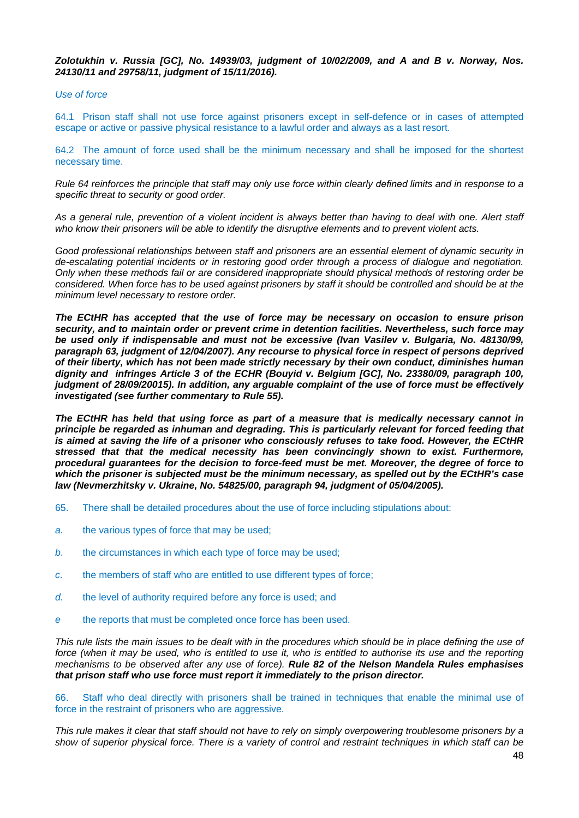*Zolotukhin v. Russia [GC], No. 14939/03, judgment of 10/02/2009, and A and B v. Norway, Nos. 24130/11 and 29758/11, judgment of 15/11/2016).*

#### *Use of force*

64.1 Prison staff shall not use force against prisoners except in self-defence or in cases of attempted escape or active or passive physical resistance to a lawful order and always as a last resort.

64.2 The amount of force used shall be the minimum necessary and shall be imposed for the shortest necessary time.

*Rule 64 reinforces the principle that staff may only use force within clearly defined limits and in response to a specific threat to security or good order.*

*As a general rule, prevention of a violent incident is always better than having to deal with one. Alert staff who know their prisoners will be able to identify the disruptive elements and to prevent violent acts.*

*Good professional relationships between staff and prisoners are an essential element of dynamic security in de-escalating potential incidents or in restoring good order through a process of dialogue and negotiation. Only when these methods fail or are considered inappropriate should physical methods of restoring order be considered. When force has to be used against prisoners by staff it should be controlled and should be at the minimum level necessary to restore order.*

*The ECtHR has accepted that the use of force may be necessary on occasion to ensure prison security, and to maintain order or prevent crime in detention facilities. Nevertheless, such force may be used only if indispensable and must not be excessive (Ivan Vasilev v. Bulgaria, No. 48130/99, paragraph 63, judgment of 12/04/2007). Any recourse to physical force in respect of persons deprived of their liberty, which has not been made strictly necessary by their own conduct, diminishes human dignity and infringes Article 3 of the ECHR (Bouyid v. Belgium [GC], No. 23380/09, paragraph 100, judgment of 28/09/20015). In addition, any arguable complaint of the use of force must be effectively investigated (see further commentary to Rule 55).* 

*The ECtHR has held that using force as part of a measure that is medically necessary cannot in principle be regarded as inhuman and degrading. This is particularly relevant for forced feeding that is aimed at saving the life of a prisoner who consciously refuses to take food. However, the ECtHR stressed that that the medical necessity has been convincingly shown to exist. Furthermore, procedural guarantees for the decision to force-feed must be met. Moreover, the degree of force to which the prisoner is subjected must be the minimum necessary, as spelled out by the ECtHR's case law (Nevmerzhitsky v. Ukraine, No. 54825/00, paragraph 94, judgment of 05/04/2005).*

- 65. There shall be detailed procedures about the use of force including stipulations about:
- *a.* the various types of force that may be used;
- *b*. the circumstances in which each type of force may be used;
- *c*. the members of staff who are entitled to use different types of force;
- *d.* the level of authority required before any force is used; and
- *e* the reports that must be completed once force has been used.

*This rule lists the main issues to be dealt with in the procedures which should be in place defining the use of*  force (when it may be used, who is entitled to use it, who is entitled to authorise its use and the reporting *mechanisms to be observed after any use of force). Rule 82 of the Nelson Mandela Rules emphasises that prison staff who use force must report it immediately to the prison director.*

66. Staff who deal directly with prisoners shall be trained in techniques that enable the minimal use of force in the restraint of prisoners who are aggressive.

*This rule makes it clear that staff should not have to rely on simply overpowering troublesome prisoners by a show of superior physical force. There is a variety of control and restraint techniques in which staff can be*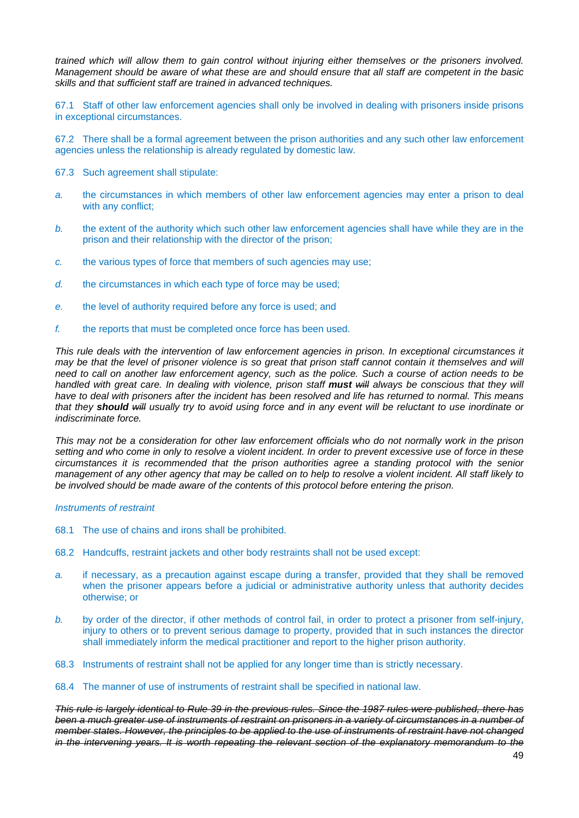*trained which will allow them to gain control without injuring either themselves or the prisoners involved. Management should be aware of what these are and should ensure that all staff are competent in the basic skills and that sufficient staff are trained in advanced techniques.*

67.1 Staff of other law enforcement agencies shall only be involved in dealing with prisoners inside prisons in exceptional circumstances.

67.2 There shall be a formal agreement between the prison authorities and any such other law enforcement agencies unless the relationship is already regulated by domestic law.

- 67.3 Such agreement shall stipulate:
- *a.* the circumstances in which members of other law enforcement agencies may enter a prison to deal with any conflict;
- *b.* the extent of the authority which such other law enforcement agencies shall have while they are in the prison and their relationship with the director of the prison;
- *c.* the various types of force that members of such agencies may use;
- *d.* the circumstances in which each type of force may be used;
- *e.* the level of authority required before any force is used; and
- *f.* the reports that must be completed once force has been used.

*This rule deals with the intervention of law enforcement agencies in prison. In exceptional circumstances it may be that the level of prisoner violence is so great that prison staff cannot contain it themselves and will need to call on another law enforcement agency, such as the police. Such a course of action needs to be handled with great care. In dealing with violence, prison staff must will always be conscious that they will have to deal with prisoners after the incident has been resolved and life has returned to normal. This means that they should will usually try to avoid using force and in any event will be reluctant to use inordinate or indiscriminate force.*

*This may not be a consideration for other law enforcement officials who do not normally work in the prison setting and who come in only to resolve a violent incident. In order to prevent excessive use of force in these circumstances it is recommended that the prison authorities agree a standing protocol with the senior management of any other agency that may be called on to help to resolve a violent incident. All staff likely to be involved should be made aware of the contents of this protocol before entering the prison.*

## *Instruments of restraint*

- 68.1 The use of chains and irons shall be prohibited.
- 68.2 Handcuffs, restraint jackets and other body restraints shall not be used except:
- *a.* if necessary, as a precaution against escape during a transfer, provided that they shall be removed when the prisoner appears before a judicial or administrative authority unless that authority decides otherwise; or
- *b.* by order of the director, if other methods of control fail, in order to protect a prisoner from self-injury, injury to others or to prevent serious damage to property, provided that in such instances the director shall immediately inform the medical practitioner and report to the higher prison authority.
- 68.3 Instruments of restraint shall not be applied for any longer time than is strictly necessary.
- 68.4 The manner of use of instruments of restraint shall be specified in national law.

*This rule is largely identical to Rule 39 in the previous rules. Since the 1987 rules were published, there has been a much greater use of instruments of restraint on prisoners in a variety of circumstances in a number of member states. However, the principles to be applied to the use of instruments of restraint have not changed in the intervening years. It is worth repeating the relevant section of the explanatory memorandum to the*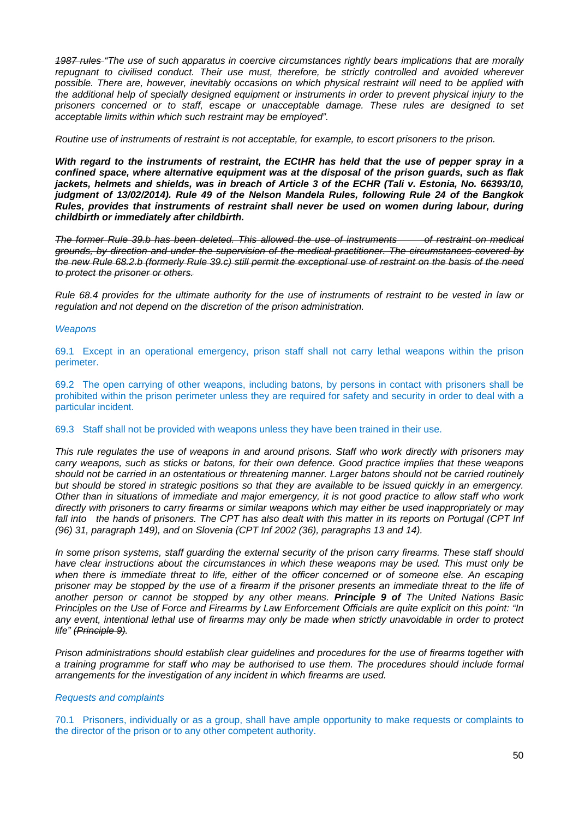*1987 rules "The use of such apparatus in coercive circumstances rightly bears implications that are morally repugnant to civilised conduct. Their use must, therefore, be strictly controlled and avoided wherever possible. There are, however, inevitably occasions on which physical restraint will need to be applied with the additional help of specially designed equipment or instruments in order to prevent physical injury to the prisoners concerned or to staff, escape or unacceptable damage. These rules are designed to set acceptable limits within which such restraint may be employed".*

*Routine use of instruments of restraint is not acceptable, for example, to escort prisoners to the prison.*

With regard to the instruments of restraint, the ECtHR has held that the use of pepper spray in a *confined space, where alternative equipment was at the disposal of the prison guards, such as flak jackets, helmets and shields, was in breach of Article 3 of the ECHR (Tali v. Estonia, No. 66393/10, judgment of 13/02/2014). Rule 49 of the Nelson Mandela Rules, following Rule 24 of the Bangkok Rules, provides that instruments of restraint shall never be used on women during labour, during childbirth or immediately after childbirth.*

*The former Rule 39.b has been deleted. This allowed the use of instruments of restraint on medical grounds, by direction and under the supervision of the medical practitioner. The circumstances covered by the new Rule 68.2.b (formerly Rule 39.c) still permit the exceptional use of restraint on the basis of the need to protect the prisoner or others.*

*Rule 68.4 provides for the ultimate authority for the use of instruments of restraint to be vested in law or regulation and not depend on the discretion of the prison administration.*

#### *Weapons*

69.1 Except in an operational emergency, prison staff shall not carry lethal weapons within the prison perimeter.

69.2 The open carrying of other weapons, including batons, by persons in contact with prisoners shall be prohibited within the prison perimeter unless they are required for safety and security in order to deal with a particular incident.

#### 69.3 Staff shall not be provided with weapons unless they have been trained in their use.

*This rule regulates the use of weapons in and around prisons. Staff who work directly with prisoners may carry weapons, such as sticks or batons, for their own defence. Good practice implies that these weapons should not be carried in an ostentatious or threatening manner. Larger batons should not be carried routinely but should be stored in strategic positions so that they are available to be issued quickly in an emergency. Other than in situations of immediate and major emergency, it is not good practice to allow staff who work directly with prisoners to carry firearms or similar weapons which may either be used inappropriately or may*  fall into the hands of prisoners. The CPT has also dealt with this matter in its reports on Portugal (CPT Inf *(96) 31, paragraph 149), and on Slovenia (CPT Inf 2002 (36), paragraphs 13 and 14).*

*In some prison systems, staff guarding the external security of the prison carry firearms. These staff should have clear instructions about the circumstances in which these weapons may be used. This must only be when there is immediate threat to life, either of the officer concerned or of someone else. An escaping prisoner may be stopped by the use of a firearm if the prisoner presents an immediate threat to the life of another person or cannot be stopped by any other means. Principle 9 of The United Nations Basic Principles on the Use of Force and Firearms by Law Enforcement Officials are quite explicit on this point: "In any event, intentional lethal use of firearms may only be made when strictly unavoidable in order to protect life" (Principle 9).*

*Prison administrations should establish clear guidelines and procedures for the use of firearms together with a training programme for staff who may be authorised to use them. The procedures should include formal arrangements for the investigation of any incident in which firearms are used.*

## *Requests and complaints*

70.1 Prisoners, individually or as a group, shall have ample opportunity to make requests or complaints to the director of the prison or to any other competent authority.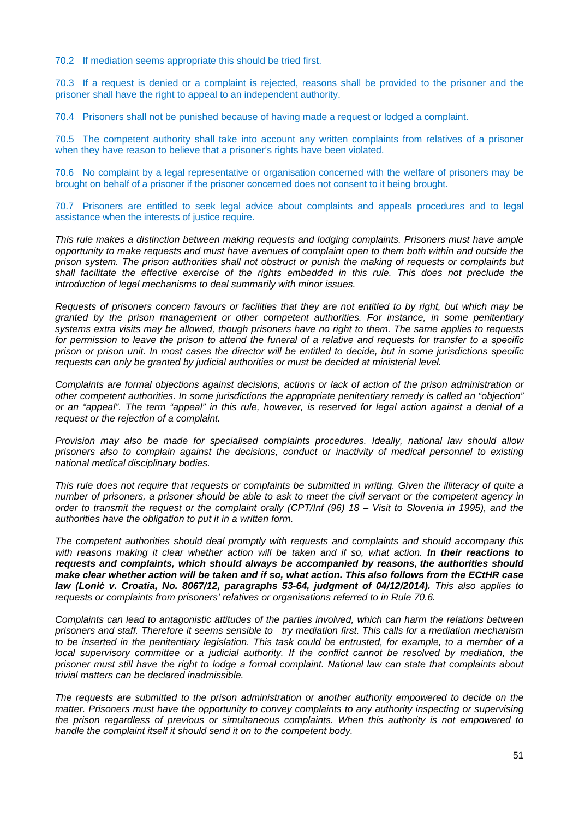70.2 If mediation seems appropriate this should be tried first.

70.3 If a request is denied or a complaint is rejected, reasons shall be provided to the prisoner and the prisoner shall have the right to appeal to an independent authority.

70.4 Prisoners shall not be punished because of having made a request or lodged a complaint.

70.5 The competent authority shall take into account any written complaints from relatives of a prisoner when they have reason to believe that a prisoner's rights have been violated.

70.6 No complaint by a legal representative or organisation concerned with the welfare of prisoners may be brought on behalf of a prisoner if the prisoner concerned does not consent to it being brought.

70.7 Prisoners are entitled to seek legal advice about complaints and appeals procedures and to legal assistance when the interests of justice require.

*This rule makes a distinction between making requests and lodging complaints. Prisoners must have ample opportunity to make requests and must have avenues of complaint open to them both within and outside the prison system. The prison authorities shall not obstruct or punish the making of requests or complaints but*  shall facilitate the effective exercise of the rights embedded in this rule. This does not preclude the *introduction of legal mechanisms to deal summarily with minor issues.*

*Requests of prisoners concern favours or facilities that they are not entitled to by right, but which may be granted by the prison management or other competent authorities. For instance, in some penitentiary systems extra visits may be allowed, though prisoners have no right to them. The same applies to requests for permission to leave the prison to attend the funeral of a relative and requests for transfer to a specific prison or prison unit. In most cases the director will be entitled to decide, but in some jurisdictions specific requests can only be granted by judicial authorities or must be decided at ministerial level.*

*Complaints are formal objections against decisions, actions or lack of action of the prison administration or other competent authorities. In some jurisdictions the appropriate penitentiary remedy is called an "objection" or an "appeal". The term "appeal" in this rule, however, is reserved for legal action against a denial of a request or the rejection of a complaint.*

*Provision may also be made for specialised complaints procedures. Ideally, national law should allow prisoners also to complain against the decisions, conduct or inactivity of medical personnel to existing national medical disciplinary bodies.*

*This rule does not require that requests or complaints be submitted in writing. Given the illiteracy of quite a number of prisoners, a prisoner should be able to ask to meet the civil servant or the competent agency in order to transmit the request or the complaint orally (CPT/Inf (96) 18 – Visit to Slovenia in 1995), and the authorities have the obligation to put it in a written form.*

*The competent authorities should deal promptly with requests and complaints and should accompany this*  with reasons making it clear whether action will be taken and if so, what action. **In their reactions to** *requests and complaints, which should always be accompanied by reasons, the authorities should make clear whether action will be taken and if so, what action. This also follows from the ECtHR case law (Lonić v. Croatia, No. 8067/12, paragraphs 53-64, judgment of 04/12/2014). This also applies to requests or complaints from prisoners' relatives or organisations referred to in Rule 70.6.*

*Complaints can lead to antagonistic attitudes of the parties involved, which can harm the relations between prisoners and staff. Therefore it seems sensible to try mediation first. This calls for a mediation mechanism to be inserted in the penitentiary legislation. This task could be entrusted, for example, to a member of a local supervisory committee or a judicial authority. If the conflict cannot be resolved by mediation, the prisoner must still have the right to lodge a formal complaint. National law can state that complaints about trivial matters can be declared inadmissible.*

*The requests are submitted to the prison administration or another authority empowered to decide on the matter. Prisoners must have the opportunity to convey complaints to any authority inspecting or supervising the prison regardless of previous or simultaneous complaints. When this authority is not empowered to handle the complaint itself it should send it on to the competent body.*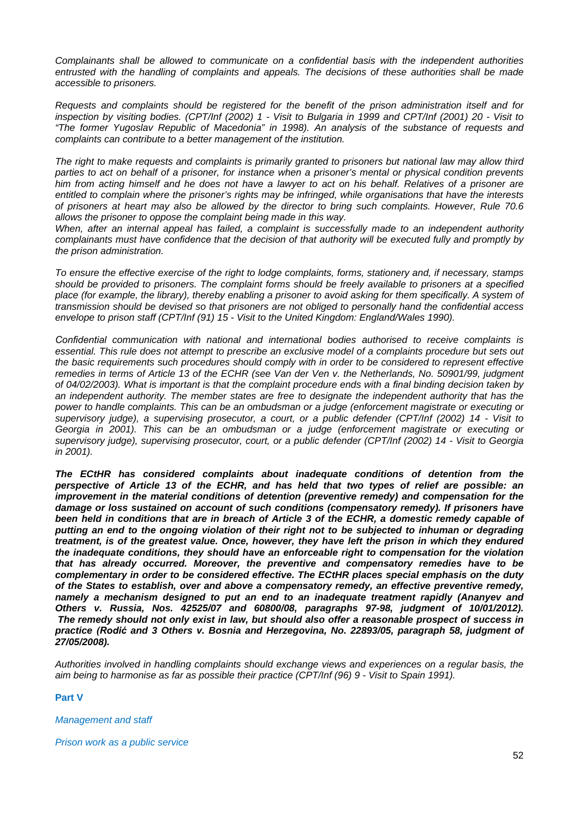*Complainants shall be allowed to communicate on a confidential basis with the independent authorities entrusted with the handling of complaints and appeals. The decisions of these authorities shall be made accessible to prisoners.*

*Requests and complaints should be registered for the benefit of the prison administration itself and for inspection by visiting bodies. (CPT/Inf (2002) 1 - Visit to Bulgaria in 1999 and CPT/Inf (2001) 20 - Visit to "The former Yugoslav Republic of Macedonia" in 1998). An analysis of the substance of requests and complaints can contribute to a better management of the institution.*

*The right to make requests and complaints is primarily granted to prisoners but national law may allow third parties to act on behalf of a prisoner, for instance when a prisoner's mental or physical condition prevents him from acting himself and he does not have a lawyer to act on his behalf. Relatives of a prisoner are entitled to complain where the prisoner's rights may be infringed, while organisations that have the interests of prisoners at heart may also be allowed by the director to bring such complaints. However, Rule 70.6 allows the prisoner to oppose the complaint being made in this way.*

*When, after an internal appeal has failed, a complaint is successfully made to an independent authority complainants must have confidence that the decision of that authority will be executed fully and promptly by the prison administration.*

*To ensure the effective exercise of the right to lodge complaints, forms, stationery and, if necessary, stamps should be provided to prisoners. The complaint forms should be freely available to prisoners at a specified place (for example, the library), thereby enabling a prisoner to avoid asking for them specifically. A system of transmission should be devised so that prisoners are not obliged to personally hand the confidential access envelope to prison staff (CPT/Inf (91) 15 - Visit to the United Kingdom: England/Wales 1990).*

*Confidential communication with national and international bodies authorised to receive complaints is essential. This rule does not attempt to prescribe an exclusive model of a complaints procedure but sets out the basic requirements such procedures should comply with in order to be considered to represent effective remedies in terms of Article 13 of the ECHR (see Van der Ven v. the Netherlands, No. 50901/99, judgment of 04/02/2003). What is important is that the complaint procedure ends with a final binding decision taken by an independent authority. The member states are free to designate the independent authority that has the power to handle complaints. This can be an ombudsman or a judge (enforcement magistrate or executing or supervisory judge), a supervising prosecutor, a court, or a public defender (CPT/Inf (2002) 14 - Visit to Georgia in 2001). This can be an ombudsman or a judge (enforcement magistrate or executing or supervisory judge), supervising prosecutor, court, or a public defender (CPT/Inf (2002) 14 - Visit to Georgia in 2001).*

*The ECtHR has considered complaints about inadequate conditions of detention from the perspective of Article 13 of the ECHR, and has held that two types of relief are possible: an improvement in the material conditions of detention (preventive remedy) and compensation for the damage or loss sustained on account of such conditions (compensatory remedy). If prisoners have been held in conditions that are in breach of Article 3 of the ECHR, a domestic remedy capable of putting an end to the ongoing violation of their right not to be subjected to inhuman or degrading treatment, is of the greatest value. Once, however, they have left the prison in which they endured the inadequate conditions, they should have an enforceable right to compensation for the violation that has already occurred. Moreover, the preventive and compensatory remedies have to be complementary in order to be considered effective. The ECtHR places special emphasis on the duty of the States to establish, over and above a compensatory remedy, an effective preventive remedy, namely a mechanism designed to put an end to an inadequate treatment rapidly (Ananyev and Others v. Russia, Nos. 42525/07 and 60800/08, paragraphs 97-98, judgment of 10/01/2012). The remedy should not only exist in law, but should also offer a reasonable prospect of success in practice (Rodić and 3 Others v. Bosnia and Herzegovina, No. 22893/05, paragraph 58, judgment of 27/05/2008).*

*Authorities involved in handling complaints should exchange views and experiences on a regular basis, the aim being to harmonise as far as possible their practice (CPT/Inf (96) 9 - Visit to Spain 1991).*

# **Part V**

*Management and staff*

*Prison work as a public service*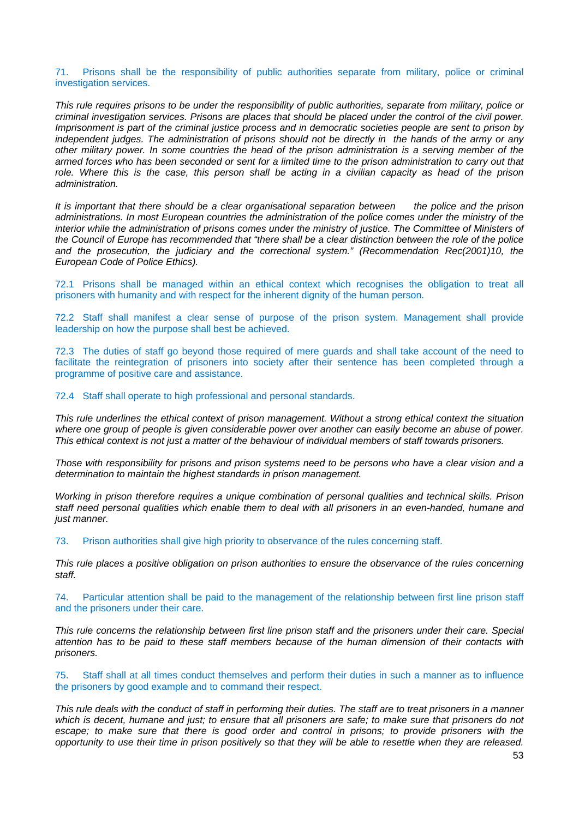## 71. Prisons shall be the responsibility of public authorities separate from military, police or criminal investigation services.

*This rule requires prisons to be under the responsibility of public authorities, separate from military, police or criminal investigation services. Prisons are places that should be placed under the control of the civil power. Imprisonment is part of the criminal justice process and in democratic societies people are sent to prison by independent judges. The administration of prisons should not be directly in the hands of the army or any other military power. In some countries the head of the prison administration is a serving member of the armed forces who has been seconded or sent for a limited time to the prison administration to carry out that role. Where this is the case, this person shall be acting in a civilian capacity as head of the prison administration.*

*It is important that there should be a clear organisational separation between the police and the prison administrations. In most European countries the administration of the police comes under the ministry of the interior while the administration of prisons comes under the ministry of justice. The Committee of Ministers of the Council of Europe has recommended that "there shall be a clear distinction between the role of the police and the prosecution, the judiciary and the correctional system." (Recommendation Rec(2001)10, the European Code of Police Ethics).*

72.1 Prisons shall be managed within an ethical context which recognises the obligation to treat all prisoners with humanity and with respect for the inherent dignity of the human person.

72.2 Staff shall manifest a clear sense of purpose of the prison system. Management shall provide leadership on how the purpose shall best be achieved.

72.3 The duties of staff go beyond those required of mere guards and shall take account of the need to facilitate the reintegration of prisoners into society after their sentence has been completed through a programme of positive care and assistance.

72.4 Staff shall operate to high professional and personal standards.

*This rule underlines the ethical context of prison management. Without a strong ethical context the situation where one group of people is given considerable power over another can easily become an abuse of power. This ethical context is not just a matter of the behaviour of individual members of staff towards prisoners.*

*Those with responsibility for prisons and prison systems need to be persons who have a clear vision and a determination to maintain the highest standards in prison management.*

*Working in prison therefore requires a unique combination of personal qualities and technical skills. Prison staff need personal qualities which enable them to deal with all prisoners in an even-handed, humane and just manner.*

73. Prison authorities shall give high priority to observance of the rules concerning staff.

*This rule places a positive obligation on prison authorities to ensure the observance of the rules concerning staff.*

74. Particular attention shall be paid to the management of the relationship between first line prison staff and the prisoners under their care.

*This rule concerns the relationship between first line prison staff and the prisoners under their care. Special attention has to be paid to these staff members because of the human dimension of their contacts with prisoners.*

75. Staff shall at all times conduct themselves and perform their duties in such a manner as to influence the prisoners by good example and to command their respect.

*This rule deals with the conduct of staff in performing their duties. The staff are to treat prisoners in a manner which is decent, humane and just; to ensure that all prisoners are safe; to make sure that prisoners do not escape; to make sure that there is good order and control in prisons; to provide prisoners with the opportunity to use their time in prison positively so that they will be able to resettle when they are released.*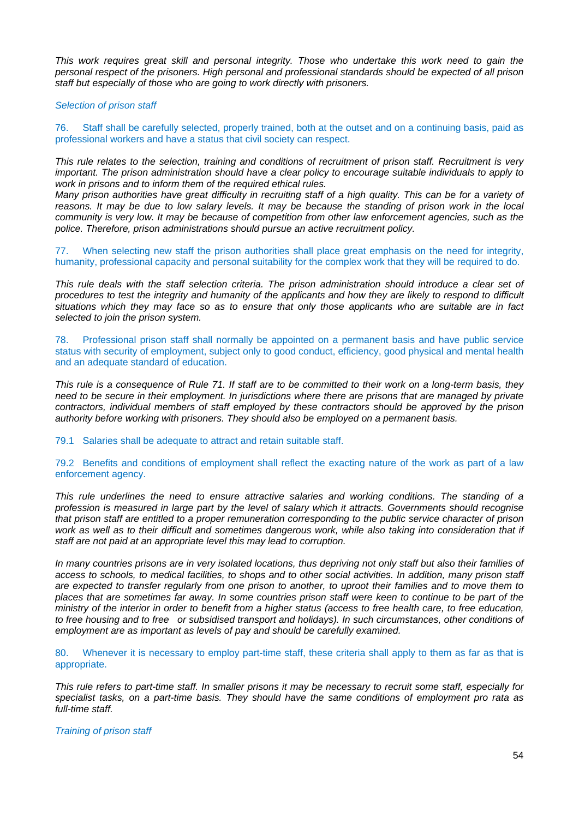*This work requires great skill and personal integrity. Those who undertake this work need to gain the personal respect of the prisoners. High personal and professional standards should be expected of all prison staff but especially of those who are going to work directly with prisoners.*

## *Selection of prison staff*

76. Staff shall be carefully selected, properly trained, both at the outset and on a continuing basis, paid as professional workers and have a status that civil society can respect.

*This rule relates to the selection, training and conditions of recruitment of prison staff. Recruitment is very important. The prison administration should have a clear policy to encourage suitable individuals to apply to work in prisons and to inform them of the required ethical rules.*

*Many prison authorities have great difficulty in recruiting staff of a high quality. This can be for a variety of reasons. It may be due to low salary levels. It may be because the standing of prison work in the local community is very low. It may be because of competition from other law enforcement agencies, such as the police. Therefore, prison administrations should pursue an active recruitment policy.*

77. When selecting new staff the prison authorities shall place great emphasis on the need for integrity, humanity, professional capacity and personal suitability for the complex work that they will be required to do.

*This rule deals with the staff selection criteria. The prison administration should introduce a clear set of procedures to test the integrity and humanity of the applicants and how they are likely to respond to difficult situations which they may face so as to ensure that only those applicants who are suitable are in fact selected to join the prison system.*

78. Professional prison staff shall normally be appointed on a permanent basis and have public service status with security of employment, subject only to good conduct, efficiency, good physical and mental health and an adequate standard of education.

*This rule is a consequence of Rule 71. If staff are to be committed to their work on a long-term basis, they need to be secure in their employment. In jurisdictions where there are prisons that are managed by private contractors, individual members of staff employed by these contractors should be approved by the prison authority before working with prisoners. They should also be employed on a permanent basis.*

79.1 Salaries shall be adequate to attract and retain suitable staff.

79.2 Benefits and conditions of employment shall reflect the exacting nature of the work as part of a law enforcement agency.

*This rule underlines the need to ensure attractive salaries and working conditions. The standing of a profession is measured in large part by the level of salary which it attracts. Governments should recognise that prison staff are entitled to a proper remuneration corresponding to the public service character of prison work as well as to their difficult and sometimes dangerous work, while also taking into consideration that if staff are not paid at an appropriate level this may lead to corruption.*

*In many countries prisons are in very isolated locations, thus depriving not only staff but also their families of access to schools, to medical facilities, to shops and to other social activities. In addition, many prison staff are expected to transfer regularly from one prison to another, to uproot their families and to move them to places that are sometimes far away. In some countries prison staff were keen to continue to be part of the ministry of the interior in order to benefit from a higher status (access to free health care, to free education, to free housing and to free or subsidised transport and holidays). In such circumstances, other conditions of employment are as important as levels of pay and should be carefully examined.*

80. Whenever it is necessary to employ part-time staff, these criteria shall apply to them as far as that is appropriate.

*This rule refers to part-time staff. In smaller prisons it may be necessary to recruit some staff, especially for specialist tasks, on a part-time basis. They should have the same conditions of employment pro rata as full-time staff.*

*Training of prison staff*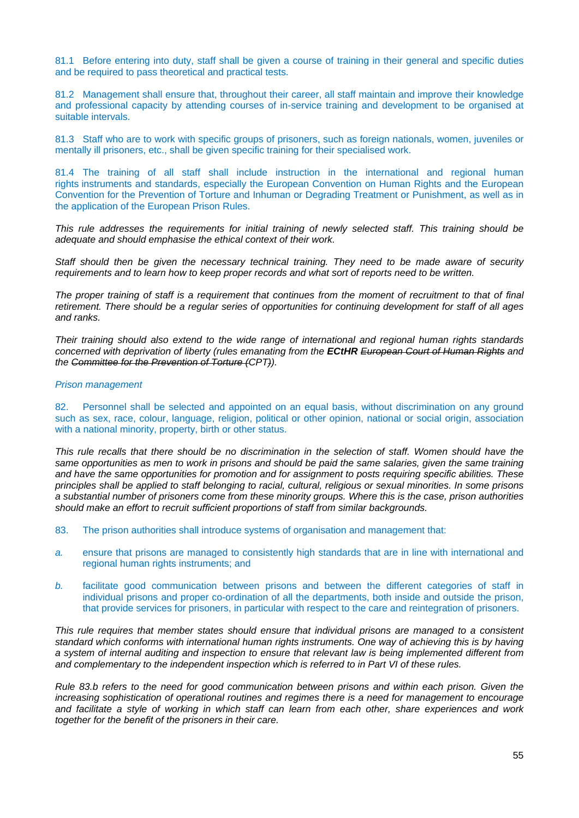81.1 Before entering into duty, staff shall be given a course of training in their general and specific duties and be required to pass theoretical and practical tests.

81.2 Management shall ensure that, throughout their career, all staff maintain and improve their knowledge and professional capacity by attending courses of in-service training and development to be organised at suitable intervals.

81.3 Staff who are to work with specific groups of prisoners, such as foreign nationals, women, juveniles or mentally ill prisoners, etc., shall be given specific training for their specialised work.

81.4 The training of all staff shall include instruction in the international and regional human rights instruments and standards, especially the European Convention on Human Rights and the European Convention for the Prevention of Torture and Inhuman or Degrading Treatment or Punishment, as well as in the application of the European Prison Rules.

*This rule addresses the requirements for initial training of newly selected staff. This training should be adequate and should emphasise the ethical context of their work.*

*Staff should then be given the necessary technical training. They need to be made aware of security requirements and to learn how to keep proper records and what sort of reports need to be written.*

The proper training of staff is a requirement that continues from the moment of recruitment to that of final *retirement. There should be a regular series of opportunities for continuing development for staff of all ages and ranks.*

*Their training should also extend to the wide range of international and regional human rights standards concerned with deprivation of liberty (rules emanating from the ECtHR European Court of Human Rights and the Committee for the Prevention of Torture (CPT)).*

#### *Prison management*

82. Personnel shall be selected and appointed on an equal basis, without discrimination on any ground such as sex, race, colour, language, religion, political or other opinion, national or social origin, association with a national minority, property, birth or other status.

*This rule recalls that there should be no discrimination in the selection of staff. Women should have the same opportunities as men to work in prisons and should be paid the same salaries, given the same training and have the same opportunities for promotion and for assignment to posts requiring specific abilities. These principles shall be applied to staff belonging to racial, cultural, religious or sexual minorities. In some prisons a substantial number of prisoners come from these minority groups. Where this is the case, prison authorities should make an effort to recruit sufficient proportions of staff from similar backgrounds.*

- 83. The prison authorities shall introduce systems of organisation and management that:
- *a.* ensure that prisons are managed to consistently high standards that are in line with international and regional human rights instruments; and
- *b.* facilitate good communication between prisons and between the different categories of staff in individual prisons and proper co-ordination of all the departments, both inside and outside the prison, that provide services for prisoners, in particular with respect to the care and reintegration of prisoners.

*This rule requires that member states should ensure that individual prisons are managed to a consistent standard which conforms with international human rights instruments. One way of achieving this is by having a system of internal auditing and inspection to ensure that relevant law is being implemented different from and complementary to the independent inspection which is referred to in Part VI of these rules.*

*Rule 83.b refers to the need for good communication between prisons and within each prison. Given the increasing sophistication of operational routines and regimes there is a need for management to encourage and facilitate a style of working in which staff can learn from each other, share experiences and work together for the benefit of the prisoners in their care.*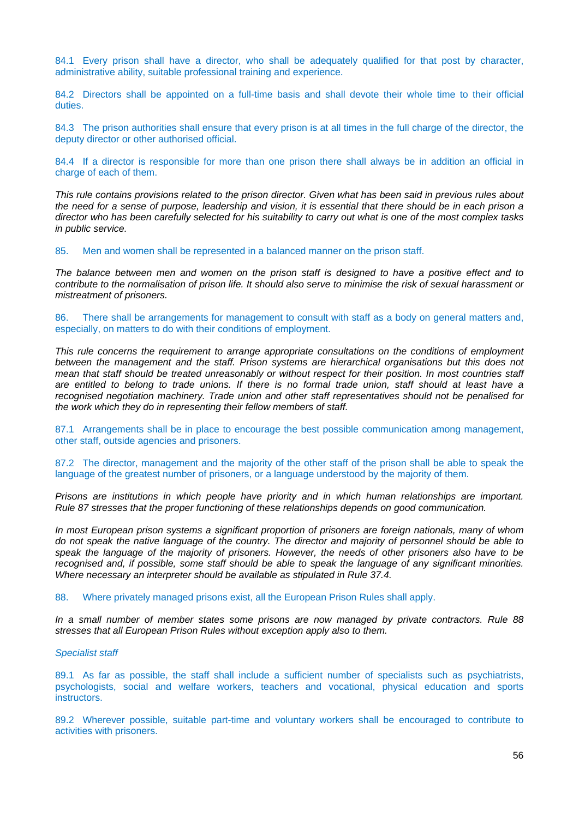84.1 Every prison shall have a director, who shall be adequately qualified for that post by character, administrative ability, suitable professional training and experience.

84.2 Directors shall be appointed on a full-time basis and shall devote their whole time to their official duties.

84.3 The prison authorities shall ensure that every prison is at all times in the full charge of the director, the deputy director or other authorised official.

84.4 If a director is responsible for more than one prison there shall always be in addition an official in charge of each of them.

*This rule contains provisions related to the prison director. Given what has been said in previous rules about the need for a sense of purpose, leadership and vision, it is essential that there should be in each prison a director who has been carefully selected for his suitability to carry out what is one of the most complex tasks in public service.*

85. Men and women shall be represented in a balanced manner on the prison staff.

*The balance between men and women on the prison staff is designed to have a positive effect and to contribute to the normalisation of prison life. It should also serve to minimise the risk of sexual harassment or mistreatment of prisoners.*

86. There shall be arrangements for management to consult with staff as a body on general matters and, especially, on matters to do with their conditions of employment.

*This rule concerns the requirement to arrange appropriate consultations on the conditions of employment between the management and the staff. Prison systems are hierarchical organisations but this does not mean that staff should be treated unreasonably or without respect for their position. In most countries staff are entitled to belong to trade unions. If there is no formal trade union, staff should at least have a recognised negotiation machinery. Trade union and other staff representatives should not be penalised for the work which they do in representing their fellow members of staff.*

87.1 Arrangements shall be in place to encourage the best possible communication among management, other staff, outside agencies and prisoners.

87.2 The director, management and the majority of the other staff of the prison shall be able to speak the language of the greatest number of prisoners, or a language understood by the majority of them.

*Prisons are institutions in which people have priority and in which human relationships are important. Rule 87 stresses that the proper functioning of these relationships depends on good communication.*

*In most European prison systems a significant proportion of prisoners are foreign nationals, many of whom do not speak the native language of the country. The director and majority of personnel should be able to speak the language of the majority of prisoners. However, the needs of other prisoners also have to be recognised and, if possible, some staff should be able to speak the language of any significant minorities. Where necessary an interpreter should be available as stipulated in Rule 37.4.*

#### 88. Where privately managed prisons exist, all the European Prison Rules shall apply.

*In a small number of member states some prisons are now managed by private contractors. Rule 88 stresses that all European Prison Rules without exception apply also to them.*

#### *Specialist staff*

89.1 As far as possible, the staff shall include a sufficient number of specialists such as psychiatrists, psychologists, social and welfare workers, teachers and vocational, physical education and sports instructors.

89.2 Wherever possible, suitable part-time and voluntary workers shall be encouraged to contribute to activities with prisoners.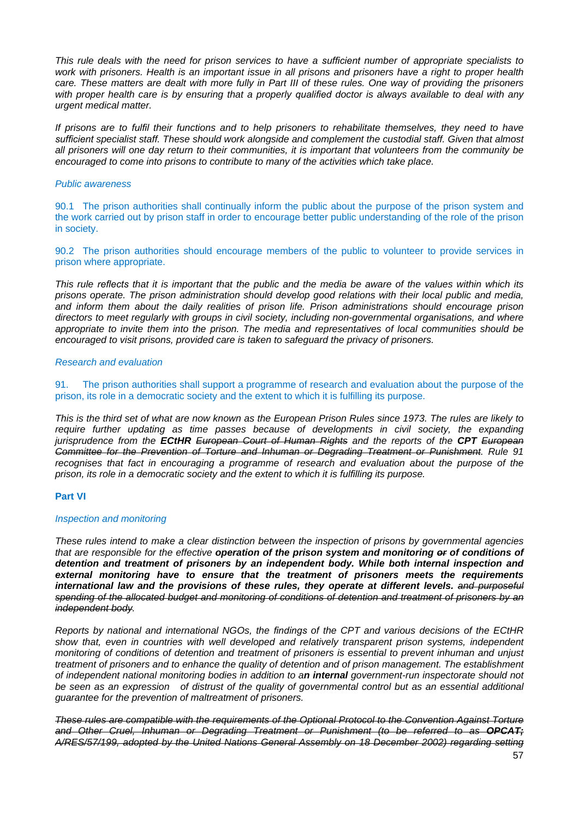*This rule deals with the need for prison services to have a sufficient number of appropriate specialists to work with prisoners. Health is an important issue in all prisons and prisoners have a right to proper health care. These matters are dealt with more fully in Part III of these rules. One way of providing the prisoners with proper health care is by ensuring that a properly qualified doctor is always available to deal with any urgent medical matter.*

*If prisons are to fulfil their functions and to help prisoners to rehabilitate themselves, they need to have sufficient specialist staff. These should work alongside and complement the custodial staff. Given that almost all prisoners will one day return to their communities, it is important that volunteers from the community be encouraged to come into prisons to contribute to many of the activities which take place.*

#### *Public awareness*

90.1 The prison authorities shall continually inform the public about the purpose of the prison system and the work carried out by prison staff in order to encourage better public understanding of the role of the prison in society.

90.2 The prison authorities should encourage members of the public to volunteer to provide services in prison where appropriate.

*This rule reflects that it is important that the public and the media be aware of the values within which its prisons operate. The prison administration should develop good relations with their local public and media, and inform them about the daily realities of prison life. Prison administrations should encourage prison directors to meet regularly with groups in civil society, including non-governmental organisations, and where appropriate to invite them into the prison. The media and representatives of local communities should be encouraged to visit prisons, provided care is taken to safeguard the privacy of prisoners.*

#### *Research and evaluation*

The prison authorities shall support a programme of research and evaluation about the purpose of the prison, its role in a democratic society and the extent to which it is fulfilling its purpose.

*This is the third set of what are now known as the European Prison Rules since 1973. The rules are likely to*  require further updating as time passes because of developments in civil society, the expanding *jurisprudence from the ECtHR European Court of Human Rights and the reports of the CPT European Committee for the Prevention of Torture and Inhuman or Degrading Treatment or Punishment. Rule 91 recognises that fact in encouraging a programme of research and evaluation about the purpose of the prison, its role in a democratic society and the extent to which it is fulfilling its purpose.*

## **Part VI**

#### *Inspection and monitoring*

*These rules intend to make a clear distinction between the inspection of prisons by governmental agencies that are responsible for the effective operation of the prison system and monitoring or of conditions of detention and treatment of prisoners by an independent body. While both internal inspection and external monitoring have to ensure that the treatment of prisoners meets the requirements international law and the provisions of these rules, they operate at different levels. and purposeful spending of the allocated budget and monitoring of conditions of detention and treatment of prisoners by an independent body.*

*Reports by national and international NGOs, the findings of the CPT and various decisions of the ECtHR show that, even in countries with well developed and relatively transparent prison systems, independent monitoring of conditions of detention and treatment of prisoners is essential to prevent inhuman and unjust treatment of prisoners and to enhance the quality of detention and of prison management. The establishment of independent national monitoring bodies in addition to an internal government-run inspectorate should not be seen as an expression of distrust of the quality of governmental control but as an essential additional guarantee for the prevention of maltreatment of prisoners.*

*These rules are compatible with the requirements of the Optional Protocol to the Convention Against Torture and Other Cruel, Inhuman or Degrading Treatment or Punishment (to be referred to as OPCAT; A/RES/57/199, adopted by the United Nations General Assembly on 18 December 2002) regarding setting*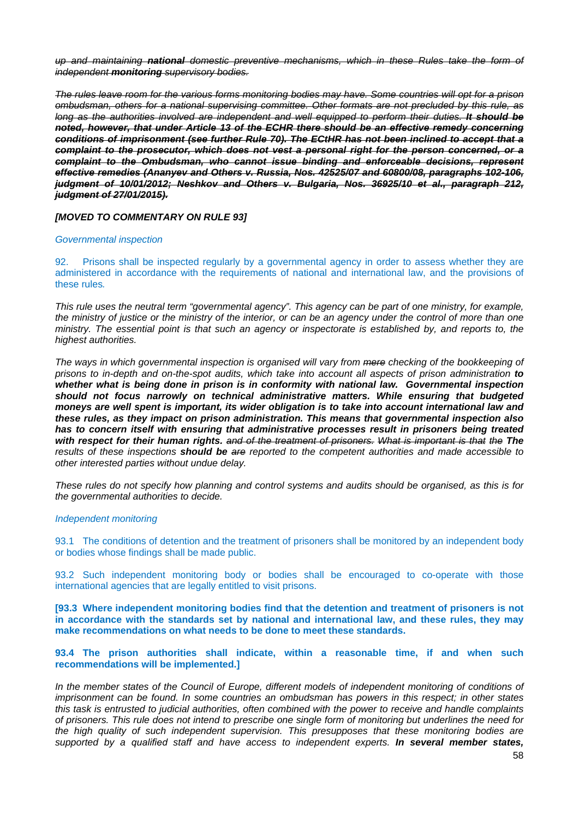*up and maintaining national domestic preventive mechanisms, which in these Rules take the form of independent monitoring supervisory bodies.*

*The rules leave room for the various forms monitoring bodies may have. Some countries will opt for a prison ombudsman, others for a national supervising committee. Other formats are not precluded by this rule, as long as the authorities involved are independent and well equipped to perform their duties. It should be noted, however, that under Article 13 of the ECHR there should be an effective remedy concerning conditions of imprisonment (see further Rule 70). The ECtHR has not been inclined to accept that a complaint to the prosecutor, which does not vest a personal right for the person concerned, or a complaint to the Ombudsman, who cannot issue binding and enforceable decisions, represent effective remedies (Ananyev and Others v. Russia, Nos. 42525/07 and 60800/08, paragraphs 102-106, judgment of 10/01/2012; Neshkov and Others v. Bulgaria, Nos. 36925/10 et al., paragraph 212, judgment of 27/01/2015).* 

## *[MOVED TO COMMENTARY ON RULE 93]*

#### *Governmental inspection*

92. Prisons shall be inspected regularly by a governmental agency in order to assess whether they are administered in accordance with the requirements of national and international law, and the provisions of these rules*.*

*This rule uses the neutral term "governmental agency". This agency can be part of one ministry, for example, the ministry of justice or the ministry of the interior, or can be an agency under the control of more than one ministry. The essential point is that such an agency or inspectorate is established by, and reports to, the highest authorities.*

*The ways in which governmental inspection is organised will vary from mere checking of the bookkeeping of prisons to in-depth and on-the-spot audits, which take into account all aspects of prison administration to whether what is being done in prison is in conformity with national law. Governmental inspection should not focus narrowly on technical administrative matters. While ensuring that budgeted moneys are well spent is important, its wider obligation is to take into account international law and these rules, as they impact on prison administration. This means that governmental inspection also has to concern itself with ensuring that administrative processes result in prisoners being treated with respect for their human rights. and of the treatment of prisoners. What is important is that the The results of these inspections should be are reported to the competent authorities and made accessible to other interested parties without undue delay.*

*These rules do not specify how planning and control systems and audits should be organised, as this is for the governmental authorities to decide.*

### *Independent monitoring*

93.1 The conditions of detention and the treatment of prisoners shall be monitored by an independent body or bodies whose findings shall be made public.

93.2 Such independent monitoring body or bodies shall be encouraged to co-operate with those international agencies that are legally entitled to visit prisons.

**[93.3 Where independent monitoring bodies find that the detention and treatment of prisoners is not in accordance with the standards set by national and international law, and these rules, they may make recommendations on what needs to be done to meet these standards.**

**93.4 The prison authorities shall indicate, within a reasonable time, if and when such recommendations will be implemented.]**

*In the member states of the Council of Europe, different models of independent monitoring of conditions of imprisonment can be found. In some countries an ombudsman has powers in this respect; in other states this task is entrusted to judicial authorities, often combined with the power to receive and handle complaints of prisoners. This rule does not intend to prescribe one single form of monitoring but underlines the need for the high quality of such independent supervision. This presupposes that these monitoring bodies are supported by a qualified staff and have access to independent experts. In several member states,*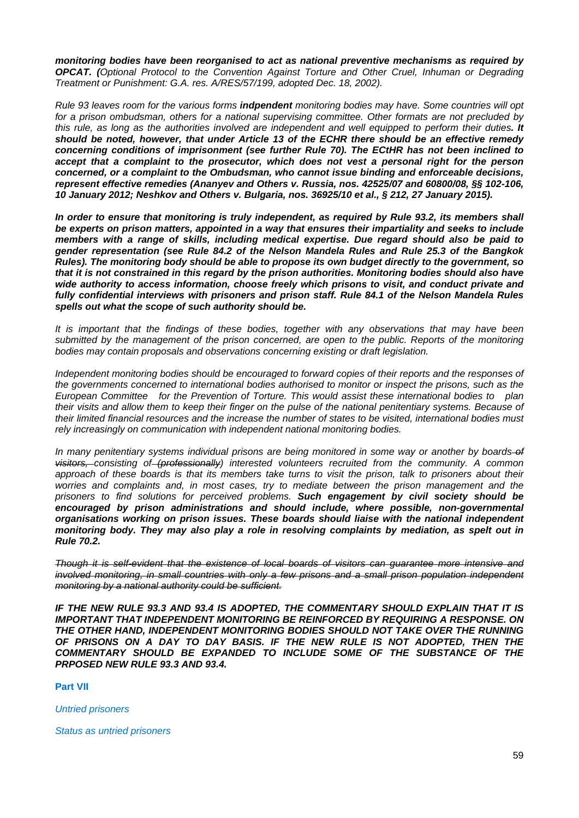*monitoring bodies have been reorganised to act as national preventive mechanisms as required by OPCAT. (Optional Protocol to the Convention Against Torture and Other Cruel, Inhuman or Degrading Treatment or Punishment: G.A. res. A/RES/57/199, adopted Dec. 18, 2002).*

*Rule 93 leaves room for the various forms indpendent monitoring bodies may have. Some countries will opt for a prison ombudsman, others for a national supervising committee. Other formats are not precluded by this rule, as long as the authorities involved are independent and well equipped to perform their duties. It should be noted, however, that under Article 13 of the ECHR there should be an effective remedy concerning conditions of imprisonment (see further Rule 70). The ECtHR has not been inclined to accept that a complaint to the prosecutor, which does not vest a personal right for the person concerned, or a complaint to the Ombudsman, who cannot issue binding and enforceable decisions, represent effective remedies (Ananyev and Others v. Russia, nos. 42525/07 and 60800/08, §§ 102-106, 10 January 2012; Neshkov and Others v. Bulgaria, nos. 36925/10 et al., § 212, 27 January 2015).* 

*In order to ensure that monitoring is truly independent, as required by Rule 93.2, its members shall be experts on prison matters, appointed in a way that ensures their impartiality and seeks to include members with a range of skills, including medical expertise. Due regard should also be paid to gender representation (see Rule 84.2 of the Nelson Mandela Rules and Rule 25.3 of the Bangkok Rules). The monitoring body should be able to propose its own budget directly to the government, so that it is not constrained in this regard by the prison authorities. Monitoring bodies should also have wide authority to access information, choose freely which prisons to visit, and conduct private and fully confidential interviews with prisoners and prison staff. Rule 84.1 of the Nelson Mandela Rules spells out what the scope of such authority should be.*

*It is important that the findings of these bodies, together with any observations that may have been submitted by the management of the prison concerned, are open to the public. Reports of the monitoring bodies may contain proposals and observations concerning existing or draft legislation.*

*Independent monitoring bodies should be encouraged to forward copies of their reports and the responses of the governments concerned to international bodies authorised to monitor or inspect the prisons, such as the European Committee for the Prevention of Torture. This would assist these international bodies to plan their visits and allow them to keep their finger on the pulse of the national penitentiary systems. Because of their limited financial resources and the increase the number of states to be visited, international bodies must rely increasingly on communication with independent national monitoring bodies.*

In many penitentiary systems individual prisons are being monitored in some way or another by boards-of *visitors, consisting of (professionally) interested volunteers recruited from the community. A common approach of these boards is that its members take turns to visit the prison, talk to prisoners about their worries and complaints and, in most cases, try to mediate between the prison management and the prisoners to find solutions for perceived problems. Such engagement by civil society should be encouraged by prison administrations and should include, where possible, non-governmental organisations working on prison issues. These boards should liaise with the national independent monitoring body. They may also play a role in resolving complaints by mediation, as spelt out in Rule 70.2.*

*Though it is self-evident that the existence of local boards of visitors can guarantee more intensive and involved monitoring, in small countries with only a few prisons and a small prison population independent monitoring by a national authority could be sufficient.*

*IF THE NEW RULE 93.3 AND 93.4 IS ADOPTED, THE COMMENTARY SHOULD EXPLAIN THAT IT IS IMPORTANT THAT INDEPENDENT MONITORING BE REINFORCED BY REQUIRING A RESPONSE. ON THE OTHER HAND, INDEPENDENT MONITORING BODIES SHOULD NOT TAKE OVER THE RUNNING OF PRISONS ON A DAY TO DAY BASIS. IF THE NEW RULE IS NOT ADOPTED, THEN THE COMMENTARY SHOULD BE EXPANDED TO INCLUDE SOME OF THE SUBSTANCE OF THE PRPOSED NEW RULE 93.3 AND 93.4.*

**Part VII**

*Untried prisoners*

*Status as untried prisoners*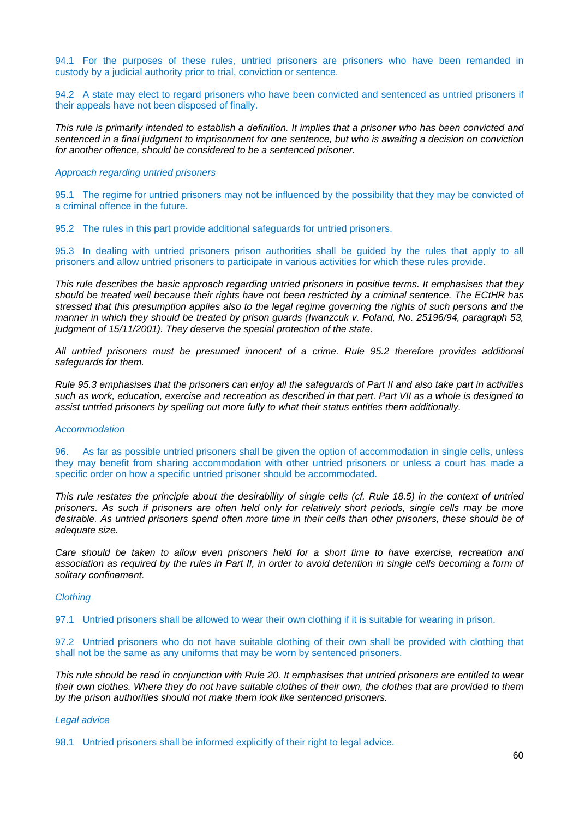94.1 For the purposes of these rules, untried prisoners are prisoners who have been remanded in custody by a judicial authority prior to trial, conviction or sentence.

94.2 A state may elect to regard prisoners who have been convicted and sentenced as untried prisoners if their appeals have not been disposed of finally.

*This rule is primarily intended to establish a definition. It implies that a prisoner who has been convicted and sentenced in a final judgment to imprisonment for one sentence, but who is awaiting a decision on conviction for another offence, should be considered to be a sentenced prisoner.*

# *Approach regarding untried prisoners*

95.1 The regime for untried prisoners may not be influenced by the possibility that they may be convicted of a criminal offence in the future.

95.2 The rules in this part provide additional safeguards for untried prisoners.

95.3 In dealing with untried prisoners prison authorities shall be guided by the rules that apply to all prisoners and allow untried prisoners to participate in various activities for which these rules provide.

*This rule describes the basic approach regarding untried prisoners in positive terms. It emphasises that they should be treated well because their rights have not been restricted by a criminal sentence. The ECtHR has stressed that this presumption applies also to the legal regime governing the rights of such persons and the manner in which they should be treated by prison guards (Iwanzcuk v. Poland, No. 25196/94, paragraph 53, judgment of 15/11/2001). They deserve the special protection of the state.*

*All untried prisoners must be presumed innocent of a crime. Rule 95.2 therefore provides additional safeguards for them.*

*Rule 95.3 emphasises that the prisoners can enjoy all the safeguards of Part II and also take part in activities such as work, education, exercise and recreation as described in that part. Part VII as a whole is designed to assist untried prisoners by spelling out more fully to what their status entitles them additionally.*

#### *Accommodation*

96. As far as possible untried prisoners shall be given the option of accommodation in single cells, unless they may benefit from sharing accommodation with other untried prisoners or unless a court has made a specific order on how a specific untried prisoner should be accommodated.

*This rule restates the principle about the desirability of single cells (cf. Rule 18.5) in the context of untried prisoners. As such if prisoners are often held only for relatively short periods, single cells may be more desirable. As untried prisoners spend often more time in their cells than other prisoners, these should be of adequate size.*

*Care should be taken to allow even prisoners held for a short time to have exercise, recreation and*  association as required by the rules in Part II, in order to avoid detention in single cells becoming a form of *solitary confinement.*

#### *Clothing*

97.1 Untried prisoners shall be allowed to wear their own clothing if it is suitable for wearing in prison.

97.2 Untried prisoners who do not have suitable clothing of their own shall be provided with clothing that shall not be the same as any uniforms that may be worn by sentenced prisoners.

*This rule should be read in conjunction with Rule 20. It emphasises that untried prisoners are entitled to wear their own clothes. Where they do not have suitable clothes of their own, the clothes that are provided to them by the prison authorities should not make them look like sentenced prisoners.*

#### *Legal advice*

98.1 Untried prisoners shall be informed explicitly of their right to legal advice.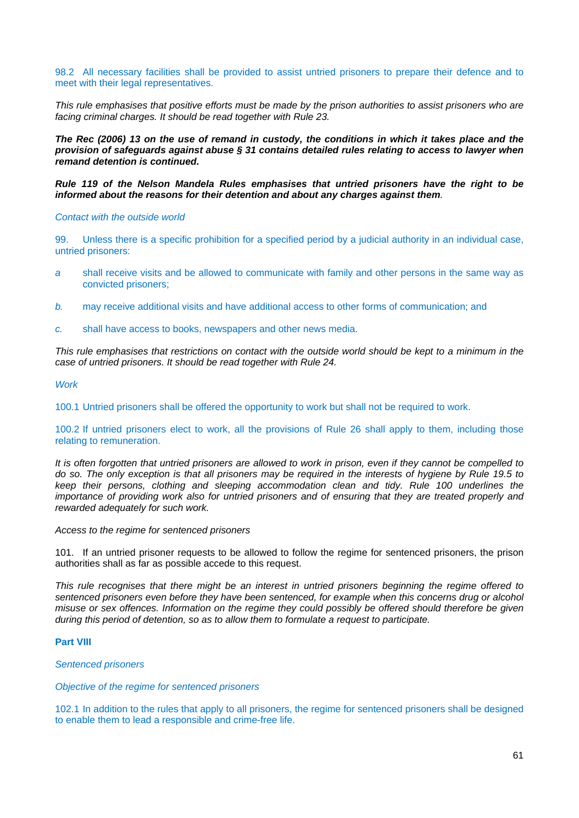98.2 All necessary facilities shall be provided to assist untried prisoners to prepare their defence and to meet with their legal representatives.

*This rule emphasises that positive efforts must be made by the prison authorities to assist prisoners who are facing criminal charges. It should be read together with Rule 23.*

*The Rec (2006) 13 on the use of remand in custody, the conditions in which it takes place and the provision of safeguards against abuse § 31 contains detailed rules relating to access to lawyer when remand detention is continued.* 

*Rule 119 of the Nelson Mandela Rules emphasises that untried prisoners have the right to be informed about the reasons for their detention and about any charges against them.*

#### *Contact with the outside world*

99. Unless there is a specific prohibition for a specified period by a judicial authority in an individual case, untried prisoners:

- *a* shall receive visits and be allowed to communicate with family and other persons in the same way as convicted prisoners;
- *b.* may receive additional visits and have additional access to other forms of communication; and
- *c.* shall have access to books, newspapers and other news media.

*This rule emphasises that restrictions on contact with the outside world should be kept to a minimum in the case of untried prisoners. It should be read together with Rule 24.*

*Work*

100.1 Untried prisoners shall be offered the opportunity to work but shall not be required to work.

100.2 If untried prisoners elect to work, all the provisions of Rule 26 shall apply to them, including those relating to remuneration.

*It is often forgotten that untried prisoners are allowed to work in prison, even if they cannot be compelled to do so. The only exception is that all prisoners may be required in the interests of hygiene by Rule 19.5 to keep their persons, clothing and sleeping accommodation clean and tidy. Rule 100 underlines the importance of providing work also for untried prisoners and of ensuring that they are treated properly and rewarded adequately for such work.*

*Access to the regime for sentenced prisoners*

101. If an untried prisoner requests to be allowed to follow the regime for sentenced prisoners, the prison authorities shall as far as possible accede to this request.

*This rule recognises that there might be an interest in untried prisoners beginning the regime offered to sentenced prisoners even before they have been sentenced, for example when this concerns drug or alcohol misuse or sex offences. Information on the regime they could possibly be offered should therefore be given during this period of detention, so as to allow them to formulate a request to participate.*

## **Part VIII**

*Sentenced prisoners*

*Objective of the regime for sentenced prisoners*

102.1 In addition to the rules that apply to all prisoners, the regime for sentenced prisoners shall be designed to enable them to lead a responsible and crime-free life.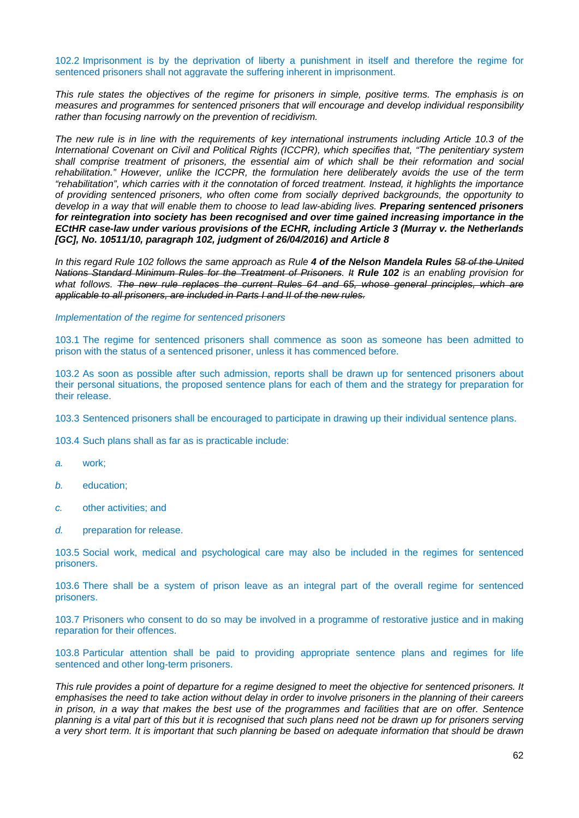102.2 Imprisonment is by the deprivation of liberty a punishment in itself and therefore the regime for sentenced prisoners shall not aggravate the suffering inherent in imprisonment.

*This rule states the objectives of the regime for prisoners in simple, positive terms. The emphasis is on measures and programmes for sentenced prisoners that will encourage and develop individual responsibility rather than focusing narrowly on the prevention of recidivism.*

*The new rule is in line with the requirements of key international instruments including Article 10.3 of the International Covenant on Civil and Political Rights (ICCPR), which specifies that, "The penitentiary system shall comprise treatment of prisoners, the essential aim of which shall be their reformation and social rehabilitation." However, unlike the ICCPR, the formulation here deliberately avoids the use of the term "rehabilitation", which carries with it the connotation of forced treatment. Instead, it highlights the importance of providing sentenced prisoners, who often come from socially deprived backgrounds, the opportunity to develop in a way that will enable them to choose to lead law-abiding lives. Preparing sentenced prisoners for reintegration into society has been recognised and over time gained increasing importance in the ECtHR case-law under various provisions of the ECHR, including Article 3 (Murray v. the Netherlands [GC], No. 10511/10, paragraph 102, judgment of 26/04/2016) and Article 8*

*In this regard Rule 102 follows the same approach as Rule 4 of the Nelson Mandela Rules 58 of the United Nations Standard Minimum Rules for the Treatment of Prisoners. It Rule 102 is an enabling provision for* what follows. The new rule replaces the current Rules 64 and 65, whose general principles, which are *applicable to all prisoners, are included in Parts I and II of the new rules.*

*Implementation of the regime for sentenced prisoners*

103.1 The regime for sentenced prisoners shall commence as soon as someone has been admitted to prison with the status of a sentenced prisoner, unless it has commenced before.

103.2 As soon as possible after such admission, reports shall be drawn up for sentenced prisoners about their personal situations, the proposed sentence plans for each of them and the strategy for preparation for their release.

103.3 Sentenced prisoners shall be encouraged to participate in drawing up their individual sentence plans.

103.4 Such plans shall as far as is practicable include:

- *a.* work;
- *b.* education;
- *c.* other activities; and
- *d.* preparation for release.

103.5 Social work, medical and psychological care may also be included in the regimes for sentenced prisoners.

103.6 There shall be a system of prison leave as an integral part of the overall regime for sentenced prisoners.

103.7 Prisoners who consent to do so may be involved in a programme of restorative justice and in making reparation for their offences.

103.8 Particular attention shall be paid to providing appropriate sentence plans and regimes for life sentenced and other long-term prisoners.

*This rule provides a point of departure for a regime designed to meet the objective for sentenced prisoners. It emphasises the need to take action without delay in order to involve prisoners in the planning of their careers in prison, in a way that makes the best use of the programmes and facilities that are on offer. Sentence planning is a vital part of this but it is recognised that such plans need not be drawn up for prisoners serving a very short term. It is important that such planning be based on adequate information that should be drawn*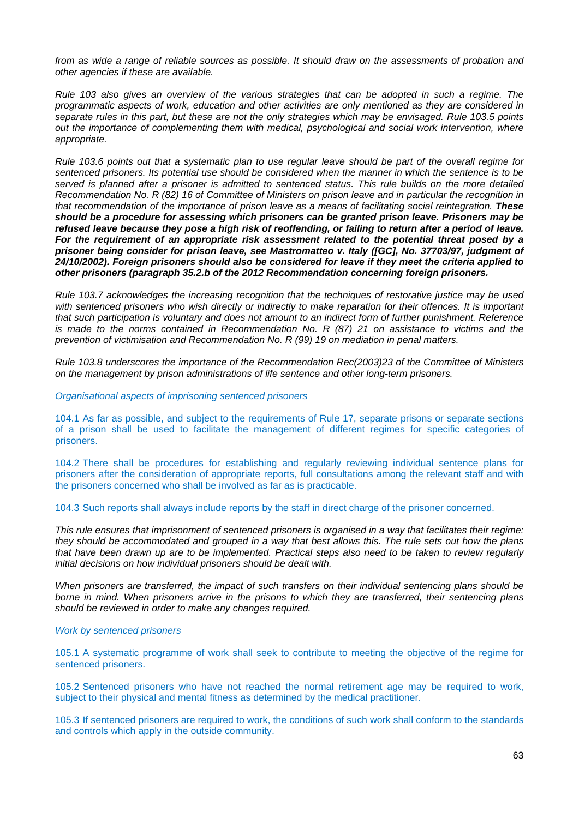*from as wide a range of reliable sources as possible. It should draw on the assessments of probation and other agencies if these are available.*

*Rule 103 also gives an overview of the various strategies that can be adopted in such a regime. The programmatic aspects of work, education and other activities are only mentioned as they are considered in separate rules in this part, but these are not the only strategies which may be envisaged. Rule 103.5 points out the importance of complementing them with medical, psychological and social work intervention, where appropriate.*

*Rule 103.6 points out that a systematic plan to use regular leave should be part of the overall regime for sentenced prisoners. Its potential use should be considered when the manner in which the sentence is to be served is planned after a prisoner is admitted to sentenced status. This rule builds on the more detailed Recommendation No. R (82) 16 of Committee of Ministers on prison leave and in particular the recognition in that recommendation of the importance of prison leave as a means of facilitating social reintegration. These should be a procedure for assessing which prisoners can be granted prison leave. Prisoners may be refused leave because they pose a high risk of reoffending, or failing to return after a period of leave. For the requirement of an appropriate risk assessment related to the potential threat posed by a prisoner being consider for prison leave, see Mastromatteo v. Italy ([GC], No. 37703/97, judgment of 24/10/2002). Foreign prisoners should also be considered for leave if they meet the criteria applied to other prisoners (paragraph 35.2.b of the 2012 Recommendation concerning foreign prisoners.*

*Rule 103.7 acknowledges the increasing recognition that the techniques of restorative justice may be used*  with sentenced prisoners who wish directly or indirectly to make reparation for their offences. It is important *that such participation is voluntary and does not amount to an indirect form of further punishment. Reference is made to the norms contained in Recommendation No. R (87) 21 on assistance to victims and the prevention of victimisation and Recommendation No. R (99) 19 on mediation in penal matters.*

*Rule 103.8 underscores the importance of the Recommendation Rec(2003)23 of the Committee of Ministers on the management by prison administrations of life sentence and other long-term prisoners.*

*Organisational aspects of imprisoning sentenced prisoners*

104.1 As far as possible, and subject to the requirements of Rule 17, separate prisons or separate sections of a prison shall be used to facilitate the management of different regimes for specific categories of prisoners.

104.2 There shall be procedures for establishing and regularly reviewing individual sentence plans for prisoners after the consideration of appropriate reports, full consultations among the relevant staff and with the prisoners concerned who shall be involved as far as is practicable.

104.3 Such reports shall always include reports by the staff in direct charge of the prisoner concerned.

*This rule ensures that imprisonment of sentenced prisoners is organised in a way that facilitates their regime: they should be accommodated and grouped in a way that best allows this. The rule sets out how the plans that have been drawn up are to be implemented. Practical steps also need to be taken to review regularly initial decisions on how individual prisoners should be dealt with.*

*When prisoners are transferred, the impact of such transfers on their individual sentencing plans should be borne in mind. When prisoners arrive in the prisons to which they are transferred, their sentencing plans should be reviewed in order to make any changes required.*

#### *Work by sentenced prisoners*

105.1 A systematic programme of work shall seek to contribute to meeting the objective of the regime for sentenced prisoners.

105.2 Sentenced prisoners who have not reached the normal retirement age may be required to work, subject to their physical and mental fitness as determined by the medical practitioner.

105.3 If sentenced prisoners are required to work, the conditions of such work shall conform to the standards and controls which apply in the outside community.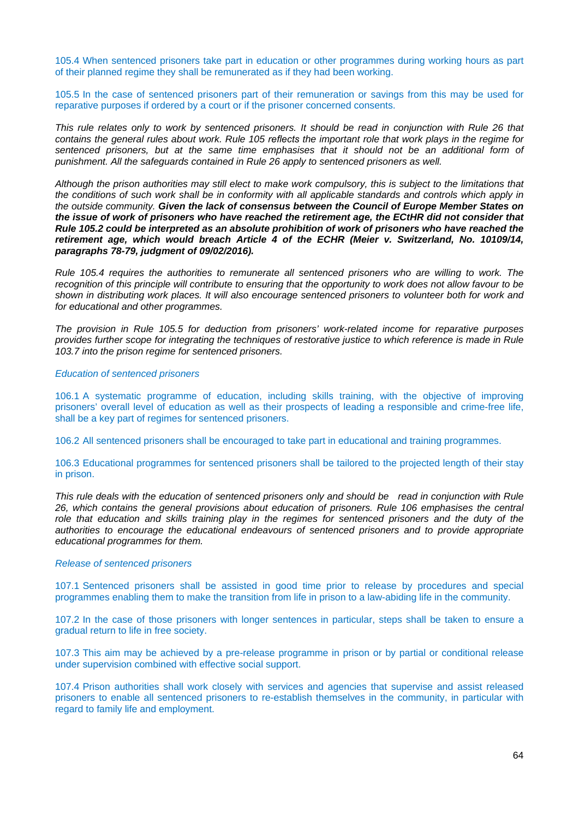105.4 When sentenced prisoners take part in education or other programmes during working hours as part of their planned regime they shall be remunerated as if they had been working.

105.5 In the case of sentenced prisoners part of their remuneration or savings from this may be used for reparative purposes if ordered by a court or if the prisoner concerned consents.

*This rule relates only to work by sentenced prisoners. It should be read in conjunction with Rule 26 that contains the general rules about work. Rule 105 reflects the important role that work plays in the regime for*  sentenced prisoners, but at the same time emphasises that it should not be an additional form of *punishment. All the safeguards contained in Rule 26 apply to sentenced prisoners as well.*

*Although the prison authorities may still elect to make work compulsory, this is subject to the limitations that the conditions of such work shall be in conformity with all applicable standards and controls which apply in the outside community. Given the lack of consensus between the Council of Europe Member States on the issue of work of prisoners who have reached the retirement age, the ECtHR did not consider that Rule 105.2 could be interpreted as an absolute prohibition of work of prisoners who have reached the retirement age, which would breach Article 4 of the ECHR (Meier v. Switzerland, No. 10109/14, paragraphs 78-79, judgment of 09/02/2016).*

*Rule 105.4 requires the authorities to remunerate all sentenced prisoners who are willing to work. The recognition of this principle will contribute to ensuring that the opportunity to work does not allow favour to be shown in distributing work places. It will also encourage sentenced prisoners to volunteer both for work and for educational and other programmes.*

*The provision in Rule 105.5 for deduction from prisoners' work-related income for reparative purposes provides further scope for integrating the techniques of restorative justice to which reference is made in Rule 103.7 into the prison regime for sentenced prisoners.*

#### *Education of sentenced prisoners*

106.1 A systematic programme of education, including skills training, with the objective of improving prisoners' overall level of education as well as their prospects of leading a responsible and crime-free life, shall be a key part of regimes for sentenced prisoners.

106.2 All sentenced prisoners shall be encouraged to take part in educational and training programmes.

106.3 Educational programmes for sentenced prisoners shall be tailored to the projected length of their stay in prison.

*This rule deals with the education of sentenced prisoners only and should be read in conjunction with Rule 26, which contains the general provisions about education of prisoners. Rule 106 emphasises the central role that education and skills training play in the regimes for sentenced prisoners and the duty of the authorities to encourage the educational endeavours of sentenced prisoners and to provide appropriate educational programmes for them.*

#### *Release of sentenced prisoners*

107.1 Sentenced prisoners shall be assisted in good time prior to release by procedures and special programmes enabling them to make the transition from life in prison to a law-abiding life in the community.

107.2 In the case of those prisoners with longer sentences in particular, steps shall be taken to ensure a gradual return to life in free society.

107.3 This aim may be achieved by a pre-release programme in prison or by partial or conditional release under supervision combined with effective social support.

107.4 Prison authorities shall work closely with services and agencies that supervise and assist released prisoners to enable all sentenced prisoners to re-establish themselves in the community, in particular with regard to family life and employment.